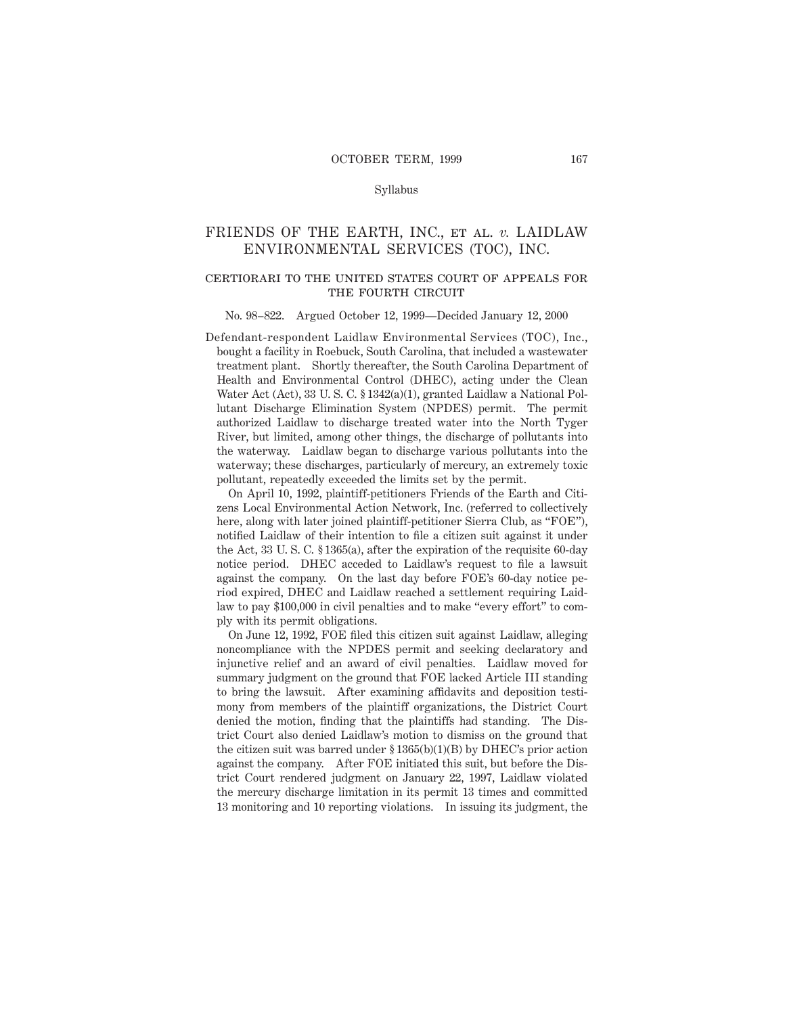#### Syllabus

# FRIENDS OF THE EARTH, INC., et al. *v.* LAIDLAW ENVIRONMENTAL SERVICES (TOC), INC.

# certiorari to the united states court of appeals for THE FOURTH CIRCUIT

### No. 98–822. Argued October 12, 1999—Decided January 12, 2000

Defendant-respondent Laidlaw Environmental Services (TOC), Inc., bought a facility in Roebuck, South Carolina, that included a wastewater treatment plant. Shortly thereafter, the South Carolina Department of Health and Environmental Control (DHEC), acting under the Clean Water Act (Act), 33 U. S. C. § 1342(a)(1), granted Laidlaw a National Pollutant Discharge Elimination System (NPDES) permit. The permit authorized Laidlaw to discharge treated water into the North Tyger River, but limited, among other things, the discharge of pollutants into the waterway. Laidlaw began to discharge various pollutants into the waterway; these discharges, particularly of mercury, an extremely toxic pollutant, repeatedly exceeded the limits set by the permit.

On April 10, 1992, plaintiff-petitioners Friends of the Earth and Citizens Local Environmental Action Network, Inc. (referred to collectively here, along with later joined plaintiff-petitioner Sierra Club, as "FOE"), notified Laidlaw of their intention to file a citizen suit against it under the Act, 33 U. S. C. § 1365(a), after the expiration of the requisite 60-day notice period. DHEC acceded to Laidlaw's request to file a lawsuit against the company. On the last day before FOE's 60-day notice period expired, DHEC and Laidlaw reached a settlement requiring Laidlaw to pay \$100,000 in civil penalties and to make "every effort" to comply with its permit obligations.

On June 12, 1992, FOE filed this citizen suit against Laidlaw, alleging noncompliance with the NPDES permit and seeking declaratory and injunctive relief and an award of civil penalties. Laidlaw moved for summary judgment on the ground that FOE lacked Article III standing to bring the lawsuit. After examining affidavits and deposition testimony from members of the plaintiff organizations, the District Court denied the motion, finding that the plaintiffs had standing. The District Court also denied Laidlaw's motion to dismiss on the ground that the citizen suit was barred under  $\S 1365(b)(1)(B)$  by DHEC's prior action against the company. After FOE initiated this suit, but before the District Court rendered judgment on January 22, 1997, Laidlaw violated the mercury discharge limitation in its permit 13 times and committed 13 monitoring and 10 reporting violations. In issuing its judgment, the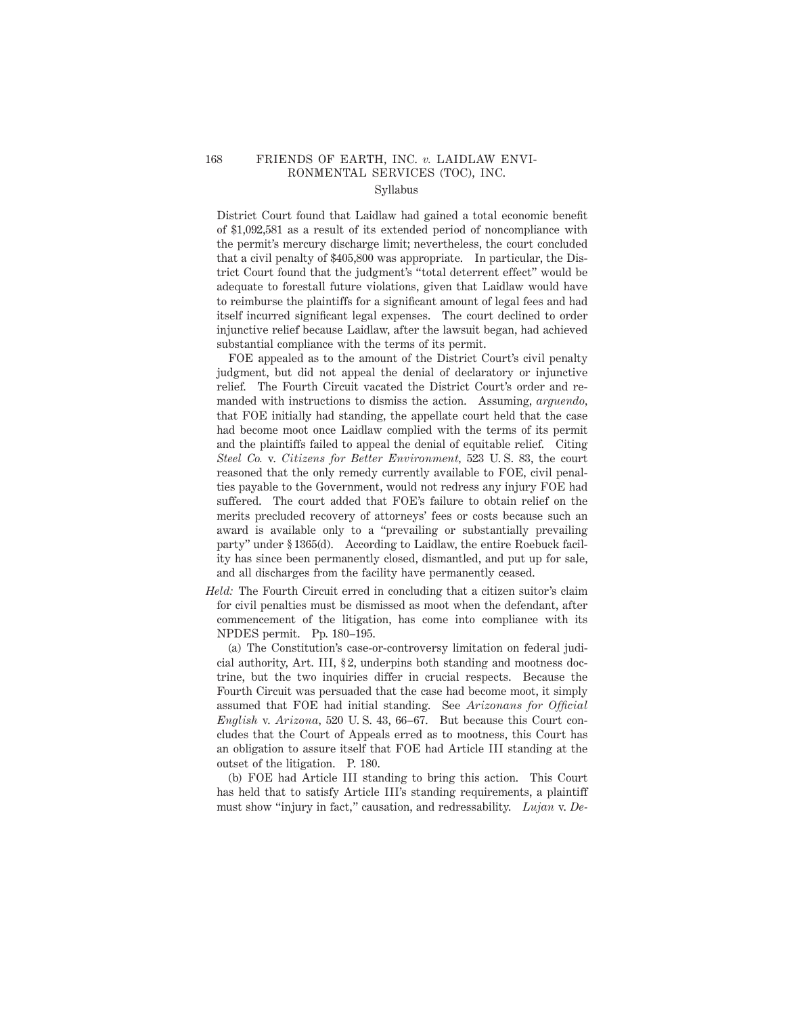### 168 FRIENDS OF EARTH, INC. *v.* LAIDLAW ENVI-RONMENTAL SERVICES (TOC), INC. Syllabus

District Court found that Laidlaw had gained a total economic benefit of \$1,092,581 as a result of its extended period of noncompliance with the permit's mercury discharge limit; nevertheless, the court concluded that a civil penalty of \$405,800 was appropriate. In particular, the District Court found that the judgment's "total deterrent effect" would be adequate to forestall future violations, given that Laidlaw would have to reimburse the plaintiffs for a significant amount of legal fees and had itself incurred significant legal expenses. The court declined to order injunctive relief because Laidlaw, after the lawsuit began, had achieved substantial compliance with the terms of its permit.

FOE appealed as to the amount of the District Court's civil penalty judgment, but did not appeal the denial of declaratory or injunctive relief. The Fourth Circuit vacated the District Court's order and remanded with instructions to dismiss the action. Assuming, *arguendo,* that FOE initially had standing, the appellate court held that the case had become moot once Laidlaw complied with the terms of its permit and the plaintiffs failed to appeal the denial of equitable relief. Citing *Steel Co.* v. *Citizens for Better Environment,* 523 U. S. 83, the court reasoned that the only remedy currently available to FOE, civil penalties payable to the Government, would not redress any injury FOE had suffered. The court added that FOE's failure to obtain relief on the merits precluded recovery of attorneys' fees or costs because such an award is available only to a "prevailing or substantially prevailing party" under § 1365(d). According to Laidlaw, the entire Roebuck facility has since been permanently closed, dismantled, and put up for sale, and all discharges from the facility have permanently ceased.

*Held:* The Fourth Circuit erred in concluding that a citizen suitor's claim for civil penalties must be dismissed as moot when the defendant, after commencement of the litigation, has come into compliance with its NPDES permit. Pp. 180–195.

(a) The Constitution's case-or-controversy limitation on federal judicial authority, Art. III, § 2, underpins both standing and mootness doctrine, but the two inquiries differ in crucial respects. Because the Fourth Circuit was persuaded that the case had become moot, it simply assumed that FOE had initial standing. See *Arizonans for Official English* v. *Arizona,* 520 U. S. 43, 66–67. But because this Court concludes that the Court of Appeals erred as to mootness, this Court has an obligation to assure itself that FOE had Article III standing at the outset of the litigation. P. 180.

(b) FOE had Article III standing to bring this action. This Court has held that to satisfy Article III's standing requirements, a plaintiff must show "injury in fact," causation, and redressability. *Lujan* v. *De-*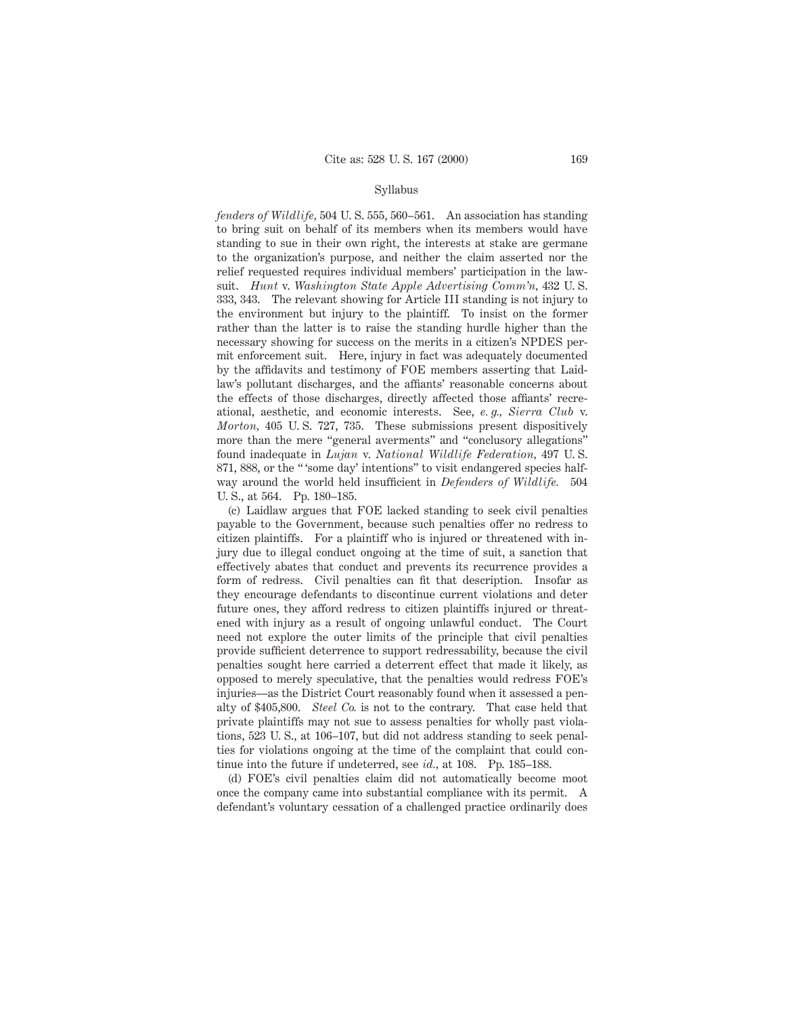#### Syllabus

*fenders of Wildlife,* 504 U. S. 555, 560–561. An association has standing to bring suit on behalf of its members when its members would have standing to sue in their own right, the interests at stake are germane to the organization's purpose, and neither the claim asserted nor the relief requested requires individual members' participation in the lawsuit. *Hunt* v. *Washington State Apple Advertising Comm'n,* 432 U. S. 333, 343. The relevant showing for Article III standing is not injury to the environment but injury to the plaintiff. To insist on the former rather than the latter is to raise the standing hurdle higher than the necessary showing for success on the merits in a citizen's NPDES permit enforcement suit. Here, injury in fact was adequately documented by the affidavits and testimony of FOE members asserting that Laidlaw's pollutant discharges, and the affiants' reasonable concerns about the effects of those discharges, directly affected those affiants' recreational, aesthetic, and economic interests. See, *e. g., Sierra Club* v. *Morton,* 405 U. S. 727, 735. These submissions present dispositively more than the mere "general averments" and "conclusory allegations" found inadequate in *Lujan* v. *National Wildlife Federation,* 497 U. S. 871, 888, or the "'some day' intentions" to visit endangered species halfway around the world held insufficient in *Defenders of Wildlife.* 504 U. S., at 564. Pp. 180–185.

(c) Laidlaw argues that FOE lacked standing to seek civil penalties payable to the Government, because such penalties offer no redress to citizen plaintiffs. For a plaintiff who is injured or threatened with injury due to illegal conduct ongoing at the time of suit, a sanction that effectively abates that conduct and prevents its recurrence provides a form of redress. Civil penalties can fit that description. Insofar as they encourage defendants to discontinue current violations and deter future ones, they afford redress to citizen plaintiffs injured or threatened with injury as a result of ongoing unlawful conduct. The Court need not explore the outer limits of the principle that civil penalties provide sufficient deterrence to support redressability, because the civil penalties sought here carried a deterrent effect that made it likely, as opposed to merely speculative, that the penalties would redress FOE's injuries—as the District Court reasonably found when it assessed a penalty of \$405,800. *Steel Co.* is not to the contrary. That case held that private plaintiffs may not sue to assess penalties for wholly past violations, 523 U. S., at 106–107, but did not address standing to seek penalties for violations ongoing at the time of the complaint that could continue into the future if undeterred, see *id.,* at 108. Pp. 185–188.

(d) FOE's civil penalties claim did not automatically become moot once the company came into substantial compliance with its permit. A defendant's voluntary cessation of a challenged practice ordinarily does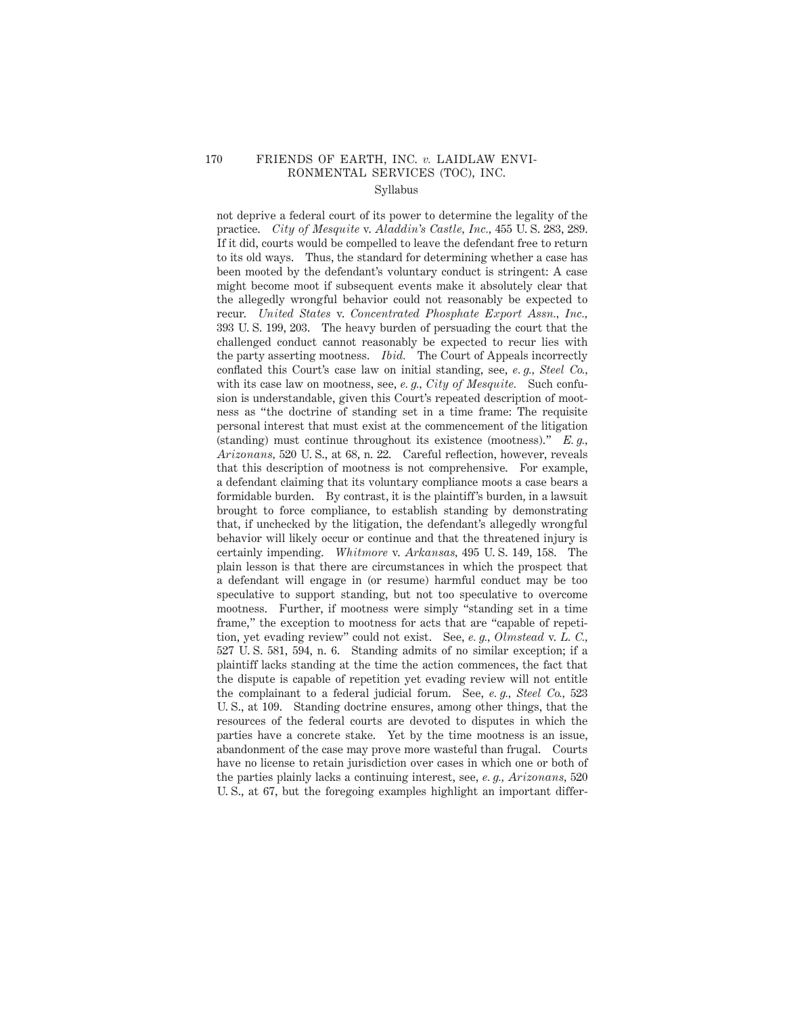### 170 FRIENDS OF EARTH, INC. *v.* LAIDLAW ENVI-RONMENTAL SERVICES (TOC), INC. Syllabus

not deprive a federal court of its power to determine the legality of the practice. *City of Mesquite* v. *Aladdin's Castle, Inc.,* 455 U. S. 283, 289. If it did, courts would be compelled to leave the defendant free to return to its old ways. Thus, the standard for determining whether a case has been mooted by the defendant's voluntary conduct is stringent: A case might become moot if subsequent events make it absolutely clear that the allegedly wrongful behavior could not reasonably be expected to recur. *United States* v. *Concentrated Phosphate Export Assn., Inc.,* 393 U. S. 199, 203. The heavy burden of persuading the court that the challenged conduct cannot reasonably be expected to recur lies with the party asserting mootness. *Ibid.* The Court of Appeals incorrectly conflated this Court's case law on initial standing, see, *e. g., Steel Co.,* with its case law on mootness, see, *e. g., City of Mesquite.* Such confusion is understandable, given this Court's repeated description of mootness as "the doctrine of standing set in a time frame: The requisite personal interest that must exist at the commencement of the litigation (standing) must continue throughout its existence (mootness)." *E. g., Arizonans,* 520 U. S., at 68, n. 22. Careful reflection, however, reveals that this description of mootness is not comprehensive. For example, a defendant claiming that its voluntary compliance moots a case bears a formidable burden. By contrast, it is the plaintiff's burden, in a lawsuit brought to force compliance, to establish standing by demonstrating that, if unchecked by the litigation, the defendant's allegedly wrongful behavior will likely occur or continue and that the threatened injury is certainly impending. *Whitmore* v. *Arkansas,* 495 U. S. 149, 158. The plain lesson is that there are circumstances in which the prospect that a defendant will engage in (or resume) harmful conduct may be too speculative to support standing, but not too speculative to overcome mootness. Further, if mootness were simply "standing set in a time frame," the exception to mootness for acts that are "capable of repetition, yet evading review" could not exist. See, *e. g., Olmstead* v. *L. C.,* 527 U. S. 581, 594, n. 6. Standing admits of no similar exception; if a plaintiff lacks standing at the time the action commences, the fact that the dispute is capable of repetition yet evading review will not entitle the complainant to a federal judicial forum. See, *e. g., Steel Co.,* 523 U. S., at 109. Standing doctrine ensures, among other things, that the resources of the federal courts are devoted to disputes in which the parties have a concrete stake. Yet by the time mootness is an issue, abandonment of the case may prove more wasteful than frugal. Courts have no license to retain jurisdiction over cases in which one or both of the parties plainly lacks a continuing interest, see, *e. g., Arizonans,* 520 U. S., at 67, but the foregoing examples highlight an important differ-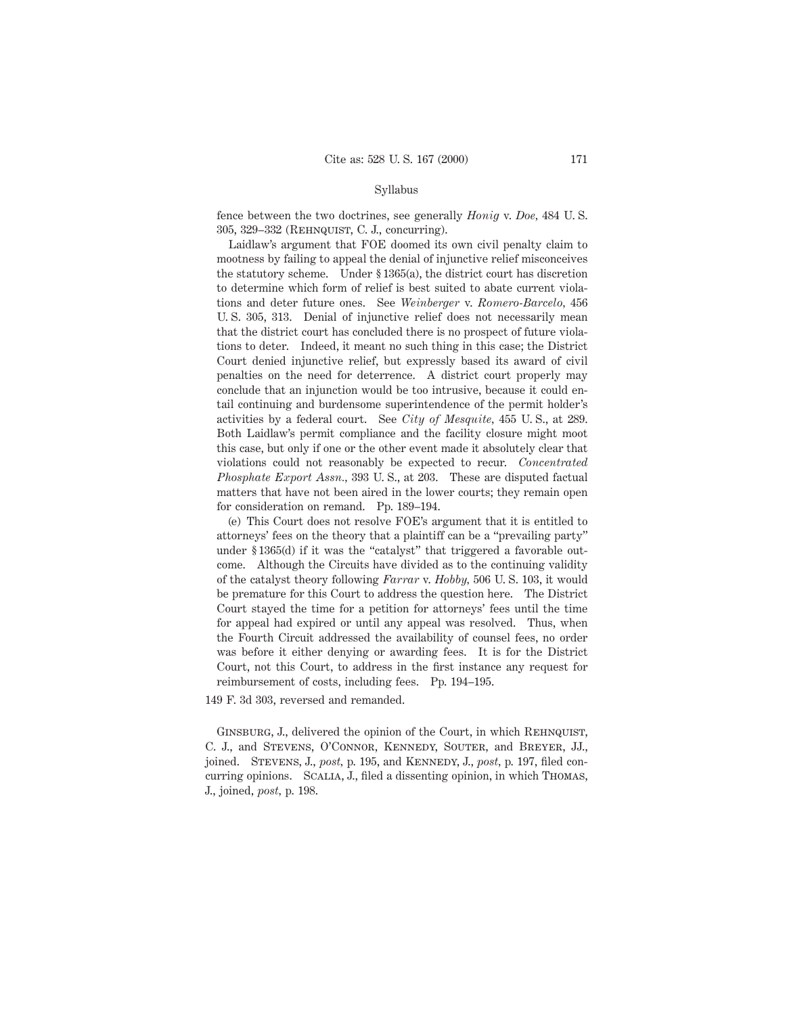#### Syllabus

fence between the two doctrines, see generally *Honig* v. *Doe,* 484 U. S. 305, 329–332 (Rehnquist, C. J., concurring).

Laidlaw's argument that FOE doomed its own civil penalty claim to mootness by failing to appeal the denial of injunctive relief misconceives the statutory scheme. Under § 1365(a), the district court has discretion to determine which form of relief is best suited to abate current violations and deter future ones. See *Weinberger* v. *Romero-Barcelo,* 456 U. S. 305, 313. Denial of injunctive relief does not necessarily mean that the district court has concluded there is no prospect of future violations to deter. Indeed, it meant no such thing in this case; the District Court denied injunctive relief, but expressly based its award of civil penalties on the need for deterrence. A district court properly may conclude that an injunction would be too intrusive, because it could entail continuing and burdensome superintendence of the permit holder's activities by a federal court. See *City of Mesquite,* 455 U. S., at 289. Both Laidlaw's permit compliance and the facility closure might moot this case, but only if one or the other event made it absolutely clear that violations could not reasonably be expected to recur. *Concentrated Phosphate Export Assn.,* 393 U. S., at 203. These are disputed factual matters that have not been aired in the lower courts; they remain open for consideration on remand. Pp. 189–194.

(e) This Court does not resolve FOE's argument that it is entitled to attorneys' fees on the theory that a plaintiff can be a "prevailing party" under § 1365(d) if it was the "catalyst" that triggered a favorable outcome. Although the Circuits have divided as to the continuing validity of the catalyst theory following *Farrar* v. *Hobby,* 506 U. S. 103, it would be premature for this Court to address the question here. The District Court stayed the time for a petition for attorneys' fees until the time for appeal had expired or until any appeal was resolved. Thus, when the Fourth Circuit addressed the availability of counsel fees, no order was before it either denying or awarding fees. It is for the District Court, not this Court, to address in the first instance any request for reimbursement of costs, including fees. Pp. 194–195.

149 F. 3d 303, reversed and remanded.

GINSBURG, J., delivered the opinion of the Court, in which REHNQUIST, C. J., and Stevens, O'Connor, Kennedy, Souter, and Breyer, JJ., joined. Stevens, J., *post,* p. 195, and Kennedy, J., *post,* p. 197, filed concurring opinions. Scalia, J., filed a dissenting opinion, in which Thomas, J., joined, *post,* p. 198.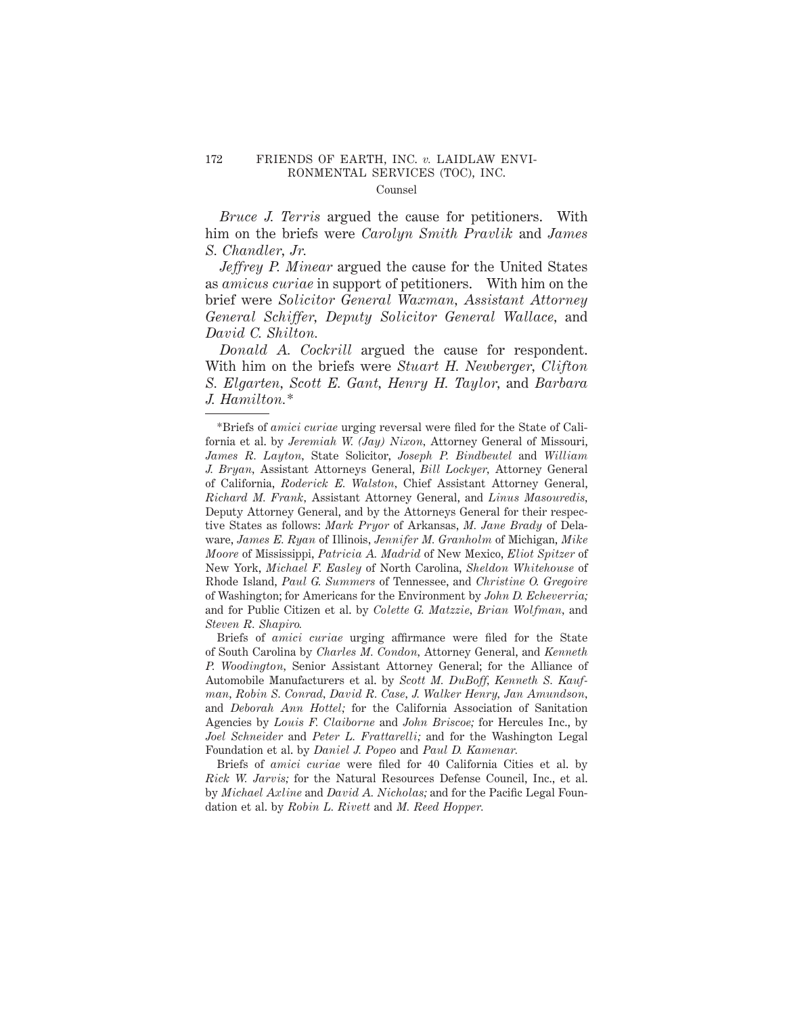### 172 FRIENDS OF EARTH, INC. *v.* LAIDLAW ENVI-RONMENTAL SERVICES (TOC), INC. Counsel

*Bruce J. Terris* argued the cause for petitioners. With him on the briefs were *Carolyn Smith Pravlik* and *James S. Chandler, Jr.*

*Jeffrey P. Minear* argued the cause for the United States as *amicus curiae* in support of petitioners. With him on the brief were *Solicitor General Waxman, Assistant Attorney General Schiffer, Deputy Solicitor General Wallace,* and *David C. Shilton.*

*Donald A. Cockrill* argued the cause for respondent. With him on the briefs were *Stuart H. Newberger, Clifton S. Elgarten, Scott E. Gant, Henry H. Taylor,* and *Barbara J. Hamilton.\**

Briefs of *amici curiae* urging affirmance were filed for the State of South Carolina by *Charles M. Condon,* Attorney General, and *Kenneth P. Woodington,* Senior Assistant Attorney General; for the Alliance of Automobile Manufacturers et al. by *Scott M. DuBoff, Kenneth S. Kaufman, Robin S. Conrad, David R. Case, J. Walker Henry, Jan Amundson,* and *Deborah Ann Hottel;* for the California Association of Sanitation Agencies by *Louis F. Claiborne* and *John Briscoe;* for Hercules Inc., by *Joel Schneider* and *Peter L. Frattarelli;* and for the Washington Legal Foundation et al. by *Daniel J. Popeo* and *Paul D. Kamenar.*

Briefs of *amici curiae* were filed for 40 California Cities et al. by *Rick W. Jarvis;* for the Natural Resources Defense Council, Inc., et al. by *Michael Axline* and *David A. Nicholas;* and for the Pacific Legal Foundation et al. by *Robin L. Rivett* and *M. Reed Hopper.*

<sup>\*</sup>Briefs of *amici curiae* urging reversal were filed for the State of California et al. by *Jeremiah W. (Jay) Nixon,* Attorney General of Missouri, *James R. Layton,* State Solicitor, *Joseph P. Bindbeutel* and *William J. Bryan,* Assistant Attorneys General, *Bill Lockyer,* Attorney General of California, *Roderick E. Walston,* Chief Assistant Attorney General, *Richard M. Frank,* Assistant Attorney General, and *Linus Masouredis,* Deputy Attorney General, and by the Attorneys General for their respective States as follows: *Mark Pryor* of Arkansas, *M. Jane Brady* of Delaware, *James E. Ryan* of Illinois, *Jennifer M. Granholm* of Michigan, *Mike Moore* of Mississippi, *Patricia A. Madrid* of New Mexico, *Eliot Spitzer* of New York, *Michael F. Easley* of North Carolina, *Sheldon Whitehouse* of Rhode Island, *Paul G. Summers* of Tennessee, and *Christine O. Gregoire* of Washington; for Americans for the Environment by *John D. Echeverria;* and for Public Citizen et al. by *Colette G. Matzzie, Brian Wolfman,* and *Steven R. Shapiro.*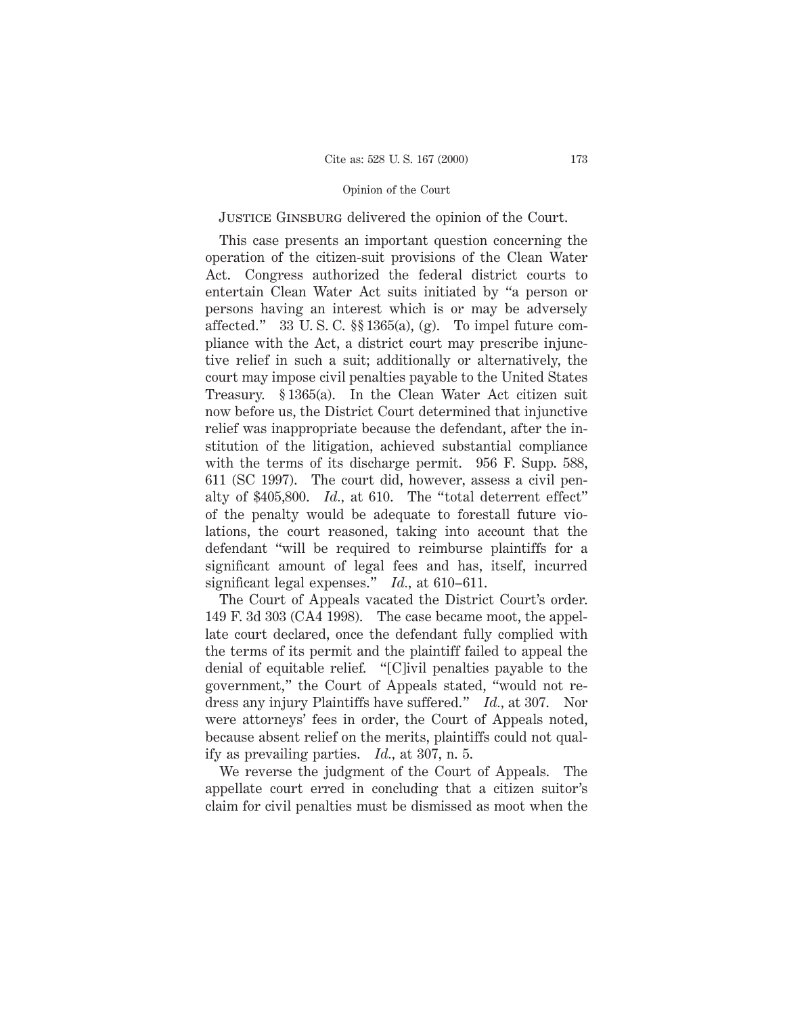# JUSTICE GINSBURG delivered the opinion of the Court.

This case presents an important question concerning the operation of the citizen-suit provisions of the Clean Water Act. Congress authorized the federal district courts to entertain Clean Water Act suits initiated by "a person or persons having an interest which is or may be adversely affected." 33 U.S.C.  $\S$  1365(a), (g). To impel future compliance with the Act, a district court may prescribe injunctive relief in such a suit; additionally or alternatively, the court may impose civil penalties payable to the United States Treasury. § 1365(a). In the Clean Water Act citizen suit now before us, the District Court determined that injunctive relief was inappropriate because the defendant, after the institution of the litigation, achieved substantial compliance with the terms of its discharge permit. 956 F. Supp. 588, 611 (SC 1997). The court did, however, assess a civil penalty of \$405,800. *Id.,* at 610. The "total deterrent effect" of the penalty would be adequate to forestall future violations, the court reasoned, taking into account that the defendant "will be required to reimburse plaintiffs for a significant amount of legal fees and has, itself, incurred significant legal expenses." *Id.,* at 610–611.

The Court of Appeals vacated the District Court's order. 149 F. 3d 303 (CA4 1998). The case became moot, the appellate court declared, once the defendant fully complied with the terms of its permit and the plaintiff failed to appeal the denial of equitable relief. "[C]ivil penalties payable to the government," the Court of Appeals stated, "would not redress any injury Plaintiffs have suffered." *Id.,* at 307. Nor were attorneys' fees in order, the Court of Appeals noted, because absent relief on the merits, plaintiffs could not qualify as prevailing parties. *Id.,* at 307, n. 5.

We reverse the judgment of the Court of Appeals. The appellate court erred in concluding that a citizen suitor's claim for civil penalties must be dismissed as moot when the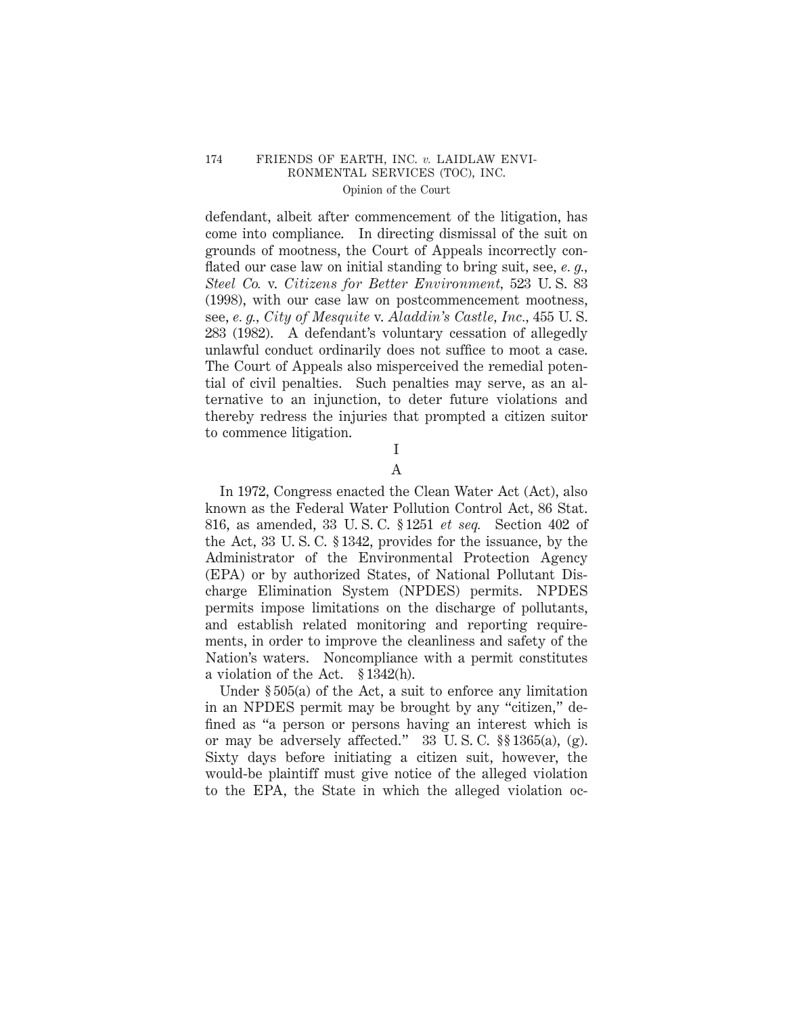defendant, albeit after commencement of the litigation, has come into compliance. In directing dismissal of the suit on grounds of mootness, the Court of Appeals incorrectly conflated our case law on initial standing to bring suit, see, *e. g., Steel Co.* v. *Citizens for Better Environment,* 523 U. S. 83 (1998), with our case law on postcommencement mootness, see, *e. g., City of Mesquite* v. *Aladdin's Castle, Inc.,* 455 U. S. 283 (1982). A defendant's voluntary cessation of allegedly unlawful conduct ordinarily does not suffice to moot a case. The Court of Appeals also misperceived the remedial potential of civil penalties. Such penalties may serve, as an alternative to an injunction, to deter future violations and thereby redress the injuries that prompted a citizen suitor to commence litigation.

I

# A

In 1972, Congress enacted the Clean Water Act (Act), also known as the Federal Water Pollution Control Act, 86 Stat. 816, as amended, 33 U. S. C. § 1251 *et seq.* Section 402 of the Act, 33 U. S. C. § 1342, provides for the issuance, by the Administrator of the Environmental Protection Agency (EPA) or by authorized States, of National Pollutant Discharge Elimination System (NPDES) permits. NPDES permits impose limitations on the discharge of pollutants, and establish related monitoring and reporting requirements, in order to improve the cleanliness and safety of the Nation's waters. Noncompliance with a permit constitutes a violation of the Act. § 1342(h).

Under § 505(a) of the Act, a suit to enforce any limitation in an NPDES permit may be brought by any "citizen," defined as "a person or persons having an interest which is or may be adversely affected."  $33 \text{ U.S. C. }$   $\S$   $\S$   $1365(a)$ , (g). Sixty days before initiating a citizen suit, however, the would-be plaintiff must give notice of the alleged violation to the EPA, the State in which the alleged violation oc-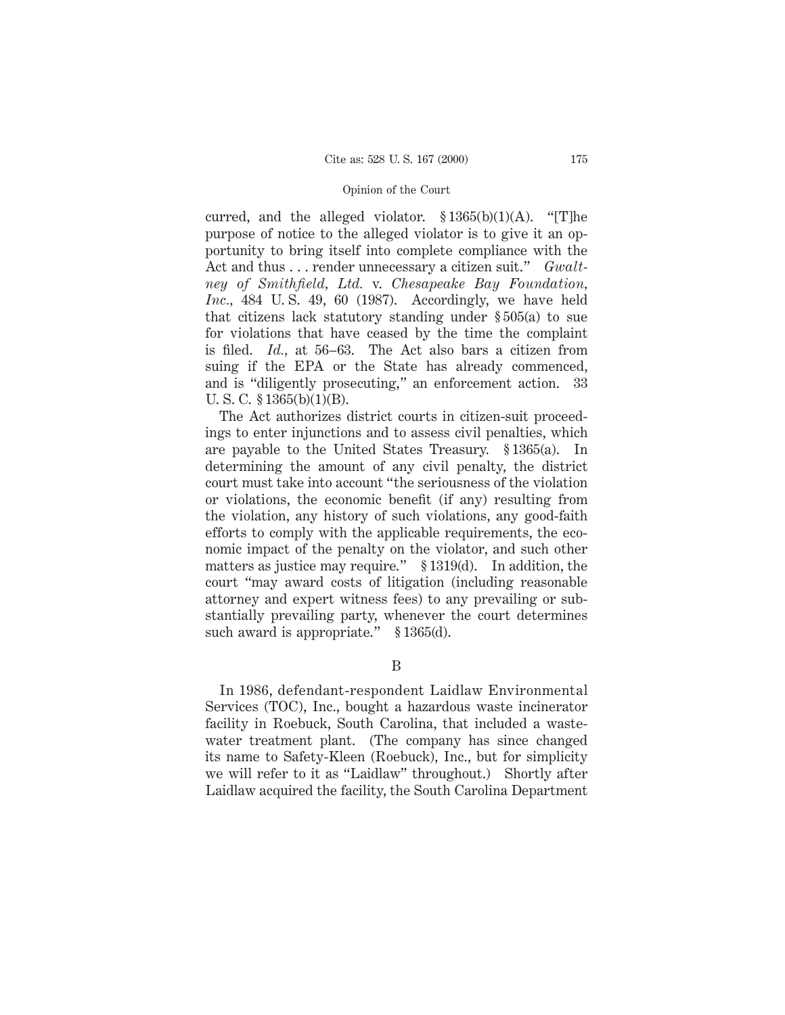curred, and the alleged violator.  $$1365(b)(1)(A)$ . "[T]he purpose of notice to the alleged violator is to give it an opportunity to bring itself into complete compliance with the Act and thus . . . render unnecessary a citizen suit." *Gwaltney of Smithfield, Ltd.* v. *Chesapeake Bay Foundation, Inc.*, 484 U.S. 49, 60 (1987). Accordingly, we have held that citizens lack statutory standing under § 505(a) to sue for violations that have ceased by the time the complaint is filed. *Id.,* at 56–63. The Act also bars a citizen from suing if the EPA or the State has already commenced, and is "diligently prosecuting," an enforcement action. 33 U. S. C. § 1365(b)(1)(B).

The Act authorizes district courts in citizen-suit proceedings to enter injunctions and to assess civil penalties, which are payable to the United States Treasury. § 1365(a). In determining the amount of any civil penalty, the district court must take into account "the seriousness of the violation or violations, the economic benefit (if any) resulting from the violation, any history of such violations, any good-faith efforts to comply with the applicable requirements, the economic impact of the penalty on the violator, and such other matters as justice may require." § 1319(d). In addition, the court "may award costs of litigation (including reasonable attorney and expert witness fees) to any prevailing or substantially prevailing party, whenever the court determines such award is appropriate." § 1365(d).

B

In 1986, defendant-respondent Laidlaw Environmental Services (TOC), Inc., bought a hazardous waste incinerator facility in Roebuck, South Carolina, that included a wastewater treatment plant. (The company has since changed its name to Safety-Kleen (Roebuck), Inc., but for simplicity we will refer to it as "Laidlaw" throughout.) Shortly after Laidlaw acquired the facility, the South Carolina Department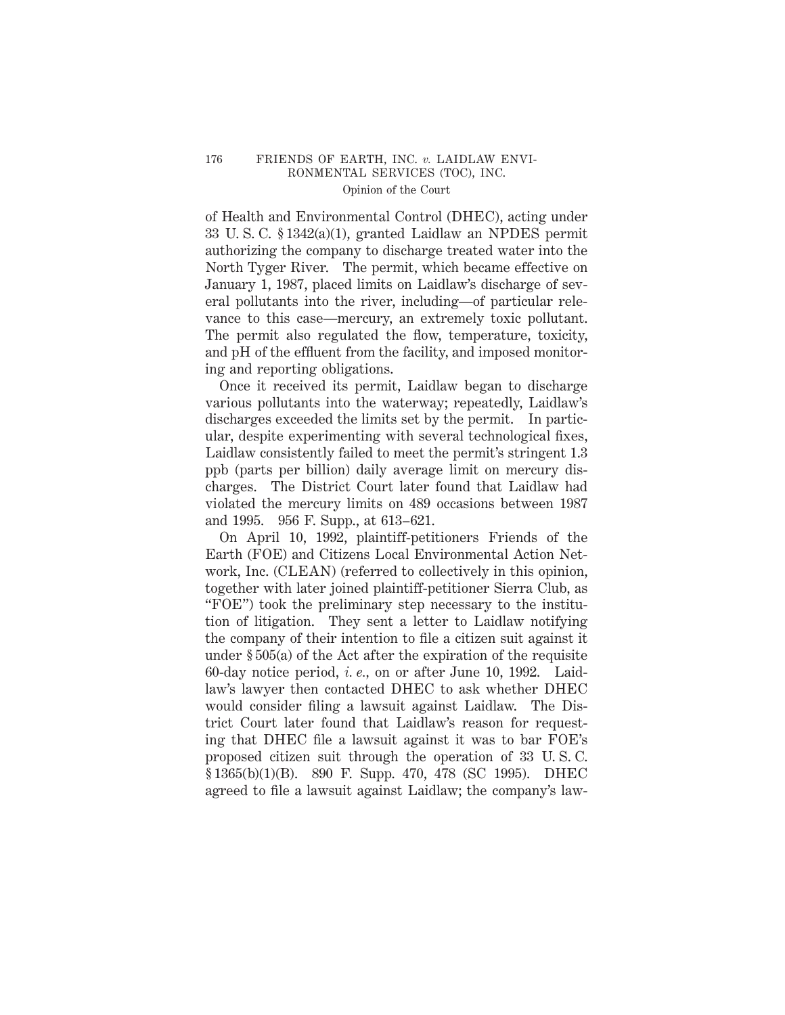of Health and Environmental Control (DHEC), acting under 33 U. S. C. § 1342(a)(1), granted Laidlaw an NPDES permit authorizing the company to discharge treated water into the North Tyger River. The permit, which became effective on January 1, 1987, placed limits on Laidlaw's discharge of several pollutants into the river, including—of particular relevance to this case—mercury, an extremely toxic pollutant. The permit also regulated the flow, temperature, toxicity, and pH of the effluent from the facility, and imposed monitoring and reporting obligations.

Once it received its permit, Laidlaw began to discharge various pollutants into the waterway; repeatedly, Laidlaw's discharges exceeded the limits set by the permit. In particular, despite experimenting with several technological fixes, Laidlaw consistently failed to meet the permit's stringent 1.3 ppb (parts per billion) daily average limit on mercury discharges. The District Court later found that Laidlaw had violated the mercury limits on 489 occasions between 1987 and 1995. 956 F. Supp., at 613–621.

On April 10, 1992, plaintiff-petitioners Friends of the Earth (FOE) and Citizens Local Environmental Action Network, Inc. (CLEAN) (referred to collectively in this opinion, together with later joined plaintiff-petitioner Sierra Club, as "FOE") took the preliminary step necessary to the institution of litigation. They sent a letter to Laidlaw notifying the company of their intention to file a citizen suit against it under § 505(a) of the Act after the expiration of the requisite 60-day notice period, *i. e.,* on or after June 10, 1992. Laidlaw's lawyer then contacted DHEC to ask whether DHEC would consider filing a lawsuit against Laidlaw. The District Court later found that Laidlaw's reason for requesting that DHEC file a lawsuit against it was to bar FOE's proposed citizen suit through the operation of 33 U. S. C. § 1365(b)(1)(B). 890 F. Supp. 470, 478 (SC 1995). DHEC agreed to file a lawsuit against Laidlaw; the company's law-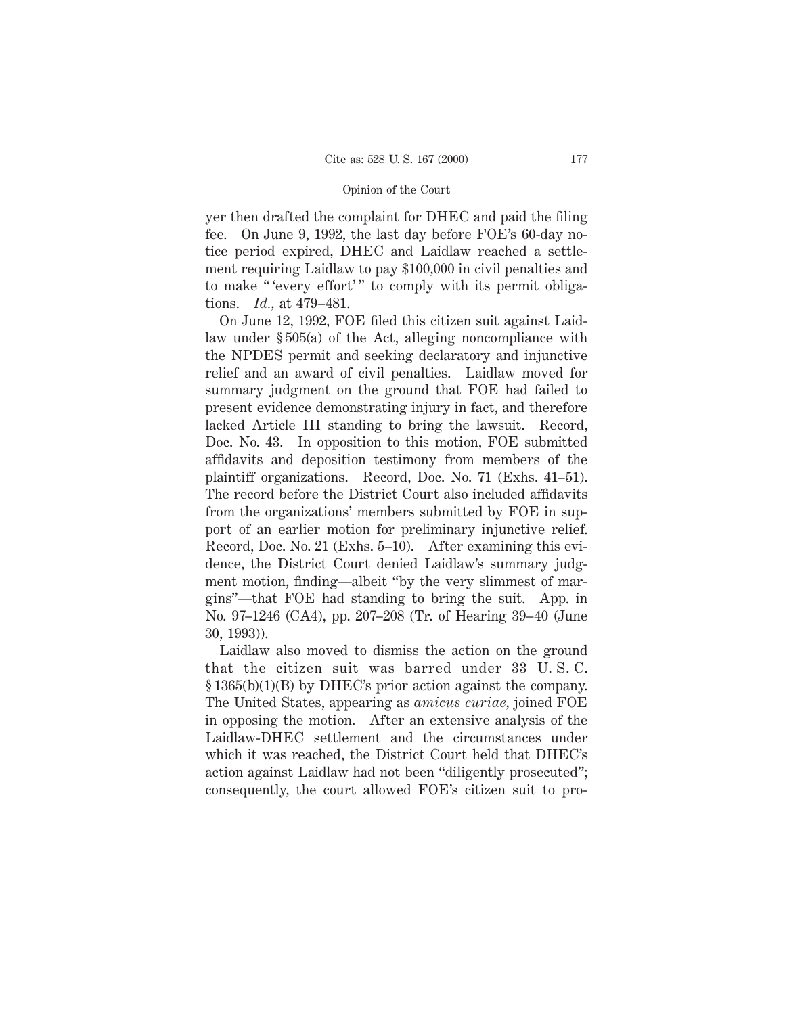yer then drafted the complaint for DHEC and paid the filing fee. On June 9, 1992, the last day before FOE's 60-day notice period expired, DHEC and Laidlaw reached a settlement requiring Laidlaw to pay \$100,000 in civil penalties and to make "'every effort'" to comply with its permit obligations. *Id.,* at 479–481.

On June 12, 1992, FOE filed this citizen suit against Laidlaw under § 505(a) of the Act, alleging noncompliance with the NPDES permit and seeking declaratory and injunctive relief and an award of civil penalties. Laidlaw moved for summary judgment on the ground that FOE had failed to present evidence demonstrating injury in fact, and therefore lacked Article III standing to bring the lawsuit. Record, Doc. No. 43. In opposition to this motion, FOE submitted affidavits and deposition testimony from members of the plaintiff organizations. Record, Doc. No. 71 (Exhs. 41–51). The record before the District Court also included affidavits from the organizations' members submitted by FOE in support of an earlier motion for preliminary injunctive relief. Record, Doc. No. 21 (Exhs. 5–10). After examining this evidence, the District Court denied Laidlaw's summary judgment motion, finding—albeit "by the very slimmest of margins"—that FOE had standing to bring the suit. App. in No. 97–1246 (CA4), pp. 207–208 (Tr. of Hearing 39–40 (June 30, 1993)).

Laidlaw also moved to dismiss the action on the ground that the citizen suit was barred under 33 U. S. C. § 1365(b)(1)(B) by DHEC's prior action against the company. The United States, appearing as *amicus curiae,* joined FOE in opposing the motion. After an extensive analysis of the Laidlaw-DHEC settlement and the circumstances under which it was reached, the District Court held that DHEC's action against Laidlaw had not been "diligently prosecuted"; consequently, the court allowed FOE's citizen suit to pro-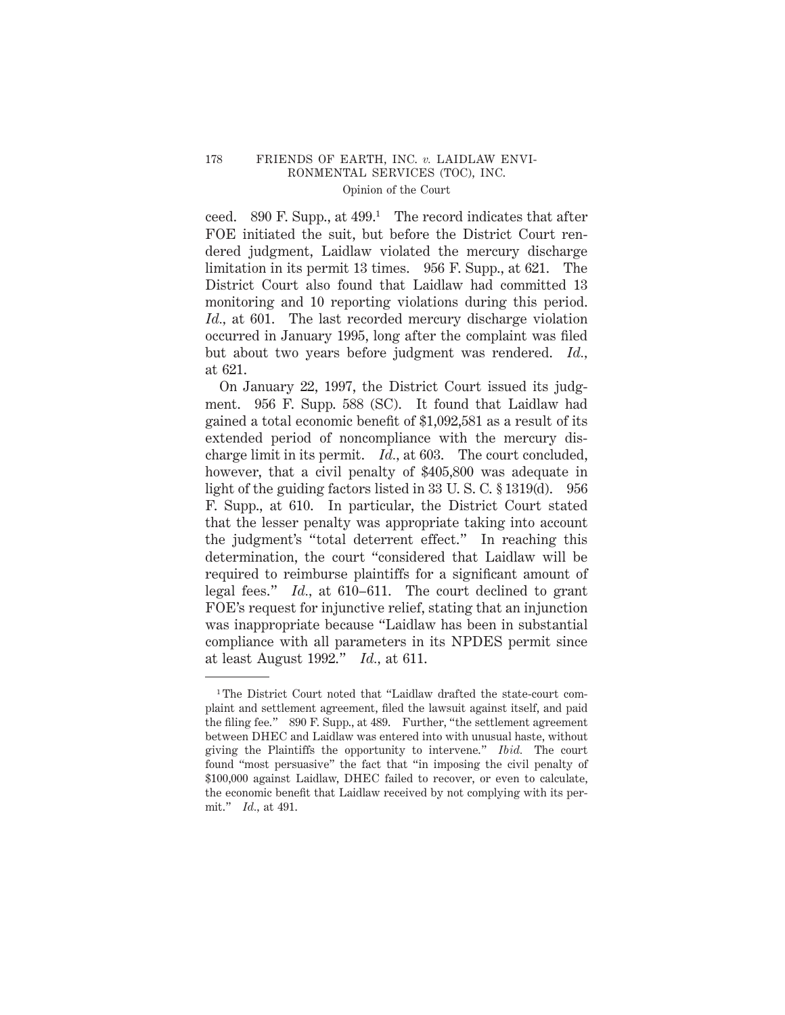ceed. 890 F. Supp., at  $499.1$  The record indicates that after FOE initiated the suit, but before the District Court rendered judgment, Laidlaw violated the mercury discharge limitation in its permit 13 times. 956 F. Supp., at 621. The District Court also found that Laidlaw had committed 13 monitoring and 10 reporting violations during this period. *Id.,* at 601. The last recorded mercury discharge violation occurred in January 1995, long after the complaint was filed but about two years before judgment was rendered. *Id.,* at 621.

On January 22, 1997, the District Court issued its judgment. 956 F. Supp. 588 (SC). It found that Laidlaw had gained a total economic benefit of \$1,092,581 as a result of its extended period of noncompliance with the mercury discharge limit in its permit. *Id.,* at 603. The court concluded, however, that a civil penalty of \$405,800 was adequate in light of the guiding factors listed in 33 U. S. C. § 1319(d). 956 F. Supp., at 610. In particular, the District Court stated that the lesser penalty was appropriate taking into account the judgment's "total deterrent effect." In reaching this determination, the court "considered that Laidlaw will be required to reimburse plaintiffs for a significant amount of legal fees." *Id.,* at 610–611. The court declined to grant FOE's request for injunctive relief, stating that an injunction was inappropriate because "Laidlaw has been in substantial compliance with all parameters in its NPDES permit since at least August 1992." *Id.,* at 611.

<sup>&</sup>lt;sup>1</sup> The District Court noted that "Laidlaw drafted the state-court complaint and settlement agreement, filed the lawsuit against itself, and paid the filing fee." 890 F. Supp., at 489. Further, "the settlement agreement between DHEC and Laidlaw was entered into with unusual haste, without giving the Plaintiffs the opportunity to intervene." *Ibid.* The court found "most persuasive" the fact that "in imposing the civil penalty of \$100,000 against Laidlaw, DHEC failed to recover, or even to calculate, the economic benefit that Laidlaw received by not complying with its permit." *Id.,* at 491.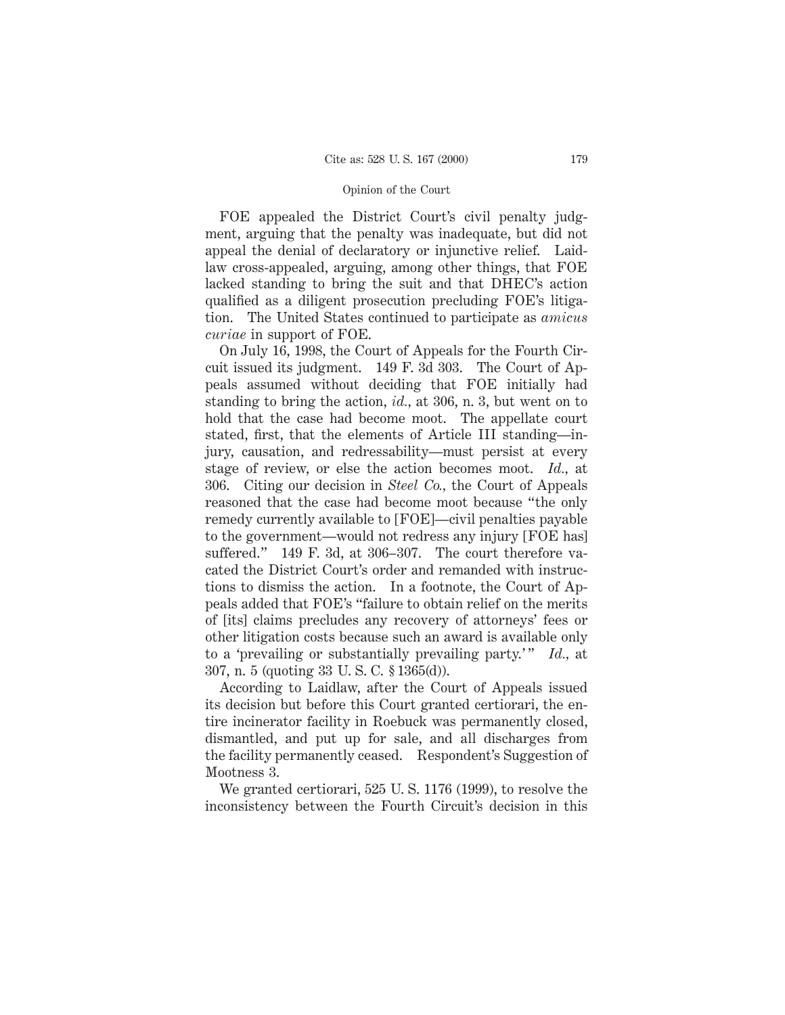FOE appealed the District Court's civil penalty judgment, arguing that the penalty was inadequate, but did not appeal the denial of declaratory or injunctive relief. Laidlaw cross-appealed, arguing, among other things, that FOE lacked standing to bring the suit and that DHEC's action qualified as a diligent prosecution precluding FOE's litigation. The United States continued to participate as *amicus curiae* in support of FOE.

On July 16, 1998, the Court of Appeals for the Fourth Circuit issued its judgment. 149 F. 3d 303. The Court of Appeals assumed without deciding that FOE initially had standing to bring the action, *id.,* at 306, n. 3, but went on to hold that the case had become moot. The appellate court stated, first, that the elements of Article III standing—injury, causation, and redressability—must persist at every stage of review, or else the action becomes moot. *Id.,* at 306. Citing our decision in *Steel Co.,* the Court of Appeals reasoned that the case had become moot because "the only remedy currently available to [FOE]—civil penalties payable to the government—would not redress any injury [FOE has] suffered." 149 F. 3d, at 306–307. The court therefore vacated the District Court's order and remanded with instructions to dismiss the action. In a footnote, the Court of Appeals added that FOE's "failure to obtain relief on the merits of [its] claims precludes any recovery of attorneys' fees or other litigation costs because such an award is available only to a 'prevailing or substantially prevailing party.'" *Id.*, at 307, n. 5 (quoting 33 U. S. C. § 1365(d)).

According to Laidlaw, after the Court of Appeals issued its decision but before this Court granted certiorari, the entire incinerator facility in Roebuck was permanently closed, dismantled, and put up for sale, and all discharges from the facility permanently ceased. Respondent's Suggestion of Mootness 3.

We granted certiorari, 525 U. S. 1176 (1999), to resolve the inconsistency between the Fourth Circuit's decision in this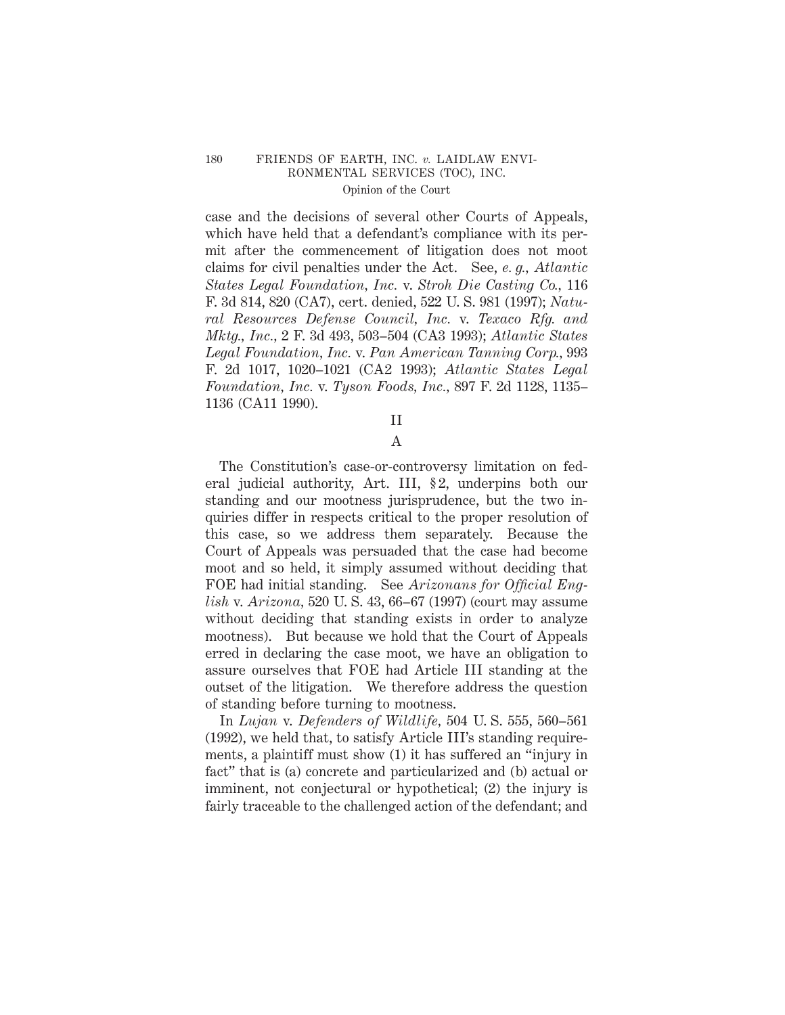case and the decisions of several other Courts of Appeals, which have held that a defendant's compliance with its permit after the commencement of litigation does not moot claims for civil penalties under the Act. See, *e. g., Atlantic States Legal Foundation, Inc.* v. *Stroh Die Casting Co.,* 116 F. 3d 814, 820 (CA7), cert. denied, 522 U. S. 981 (1997); *Natural Resources Defense Council, Inc.* v. *Texaco Rfg. and Mktg., Inc.,* 2 F. 3d 493, 503–504 (CA3 1993); *Atlantic States Legal Foundation, Inc.* v. *Pan American Tanning Corp.,* 993 F. 2d 1017, 1020–1021 (CA2 1993); *Atlantic States Legal Foundation, Inc.* v. *Tyson Foods, Inc.,* 897 F. 2d 1128, 1135– 1136 (CA11 1990).

> II A

The Constitution's case-or-controversy limitation on federal judicial authority, Art. III, § 2, underpins both our standing and our mootness jurisprudence, but the two inquiries differ in respects critical to the proper resolution of this case, so we address them separately. Because the Court of Appeals was persuaded that the case had become moot and so held, it simply assumed without deciding that FOE had initial standing. See *Arizonans for Official English* v. *Arizona,* 520 U. S. 43, 66–67 (1997) (court may assume without deciding that standing exists in order to analyze mootness). But because we hold that the Court of Appeals erred in declaring the case moot, we have an obligation to assure ourselves that FOE had Article III standing at the outset of the litigation. We therefore address the question of standing before turning to mootness.

In *Lujan* v. *Defenders of Wildlife,* 504 U. S. 555, 560–561 (1992), we held that, to satisfy Article III's standing requirements, a plaintiff must show (1) it has suffered an "injury in fact" that is (a) concrete and particularized and (b) actual or imminent, not conjectural or hypothetical; (2) the injury is fairly traceable to the challenged action of the defendant; and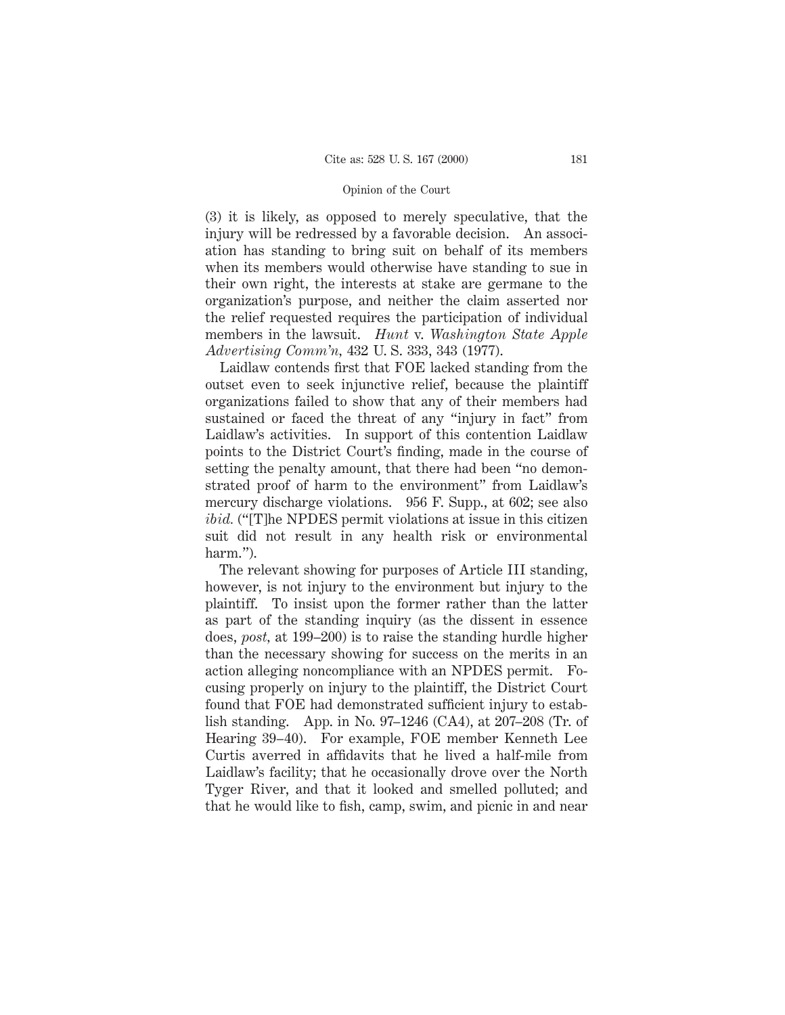(3) it is likely, as opposed to merely speculative, that the injury will be redressed by a favorable decision. An association has standing to bring suit on behalf of its members when its members would otherwise have standing to sue in their own right, the interests at stake are germane to the organization's purpose, and neither the claim asserted nor the relief requested requires the participation of individual members in the lawsuit. *Hunt* v. *Washington State Apple Advertising Comm'n,* 432 U. S. 333, 343 (1977).

Laidlaw contends first that FOE lacked standing from the outset even to seek injunctive relief, because the plaintiff organizations failed to show that any of their members had sustained or faced the threat of any "injury in fact" from Laidlaw's activities. In support of this contention Laidlaw points to the District Court's finding, made in the course of setting the penalty amount, that there had been "no demonstrated proof of harm to the environment" from Laidlaw's mercury discharge violations. 956 F. Supp., at 602; see also *ibid.* ("[T]he NPDES permit violations at issue in this citizen suit did not result in any health risk or environmental harm.").

The relevant showing for purposes of Article III standing, however, is not injury to the environment but injury to the plaintiff. To insist upon the former rather than the latter as part of the standing inquiry (as the dissent in essence does, *post,* at 199–200) is to raise the standing hurdle higher than the necessary showing for success on the merits in an action alleging noncompliance with an NPDES permit. Focusing properly on injury to the plaintiff, the District Court found that FOE had demonstrated sufficient injury to establish standing. App. in No. 97–1246 (CA4), at 207–208 (Tr. of Hearing 39–40). For example, FOE member Kenneth Lee Curtis averred in affidavits that he lived a half-mile from Laidlaw's facility; that he occasionally drove over the North Tyger River, and that it looked and smelled polluted; and that he would like to fish, camp, swim, and picnic in and near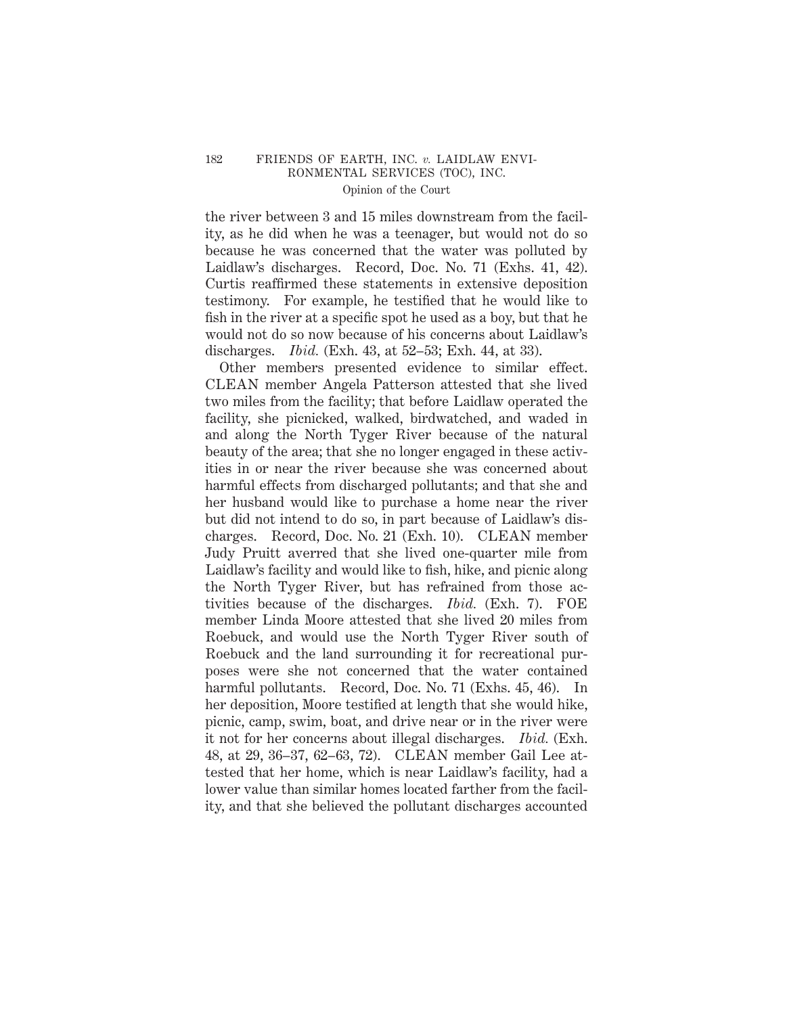the river between 3 and 15 miles downstream from the facility, as he did when he was a teenager, but would not do so because he was concerned that the water was polluted by Laidlaw's discharges. Record, Doc. No. 71 (Exhs. 41, 42). Curtis reaffirmed these statements in extensive deposition testimony. For example, he testified that he would like to fish in the river at a specific spot he used as a boy, but that he would not do so now because of his concerns about Laidlaw's discharges. *Ibid.* (Exh. 43, at 52–53; Exh. 44, at 33).

Other members presented evidence to similar effect. CLEAN member Angela Patterson attested that she lived two miles from the facility; that before Laidlaw operated the facility, she picnicked, walked, birdwatched, and waded in and along the North Tyger River because of the natural beauty of the area; that she no longer engaged in these activities in or near the river because she was concerned about harmful effects from discharged pollutants; and that she and her husband would like to purchase a home near the river but did not intend to do so, in part because of Laidlaw's discharges. Record, Doc. No. 21 (Exh. 10). CLEAN member Judy Pruitt averred that she lived one-quarter mile from Laidlaw's facility and would like to fish, hike, and picnic along the North Tyger River, but has refrained from those activities because of the discharges. *Ibid.* (Exh. 7). FOE member Linda Moore attested that she lived 20 miles from Roebuck, and would use the North Tyger River south of Roebuck and the land surrounding it for recreational purposes were she not concerned that the water contained harmful pollutants. Record, Doc. No. 71 (Exhs. 45, 46). In her deposition, Moore testified at length that she would hike, picnic, camp, swim, boat, and drive near or in the river were it not for her concerns about illegal discharges. *Ibid.* (Exh. 48, at 29, 36–37, 62–63, 72). CLEAN member Gail Lee attested that her home, which is near Laidlaw's facility, had a lower value than similar homes located farther from the facility, and that she believed the pollutant discharges accounted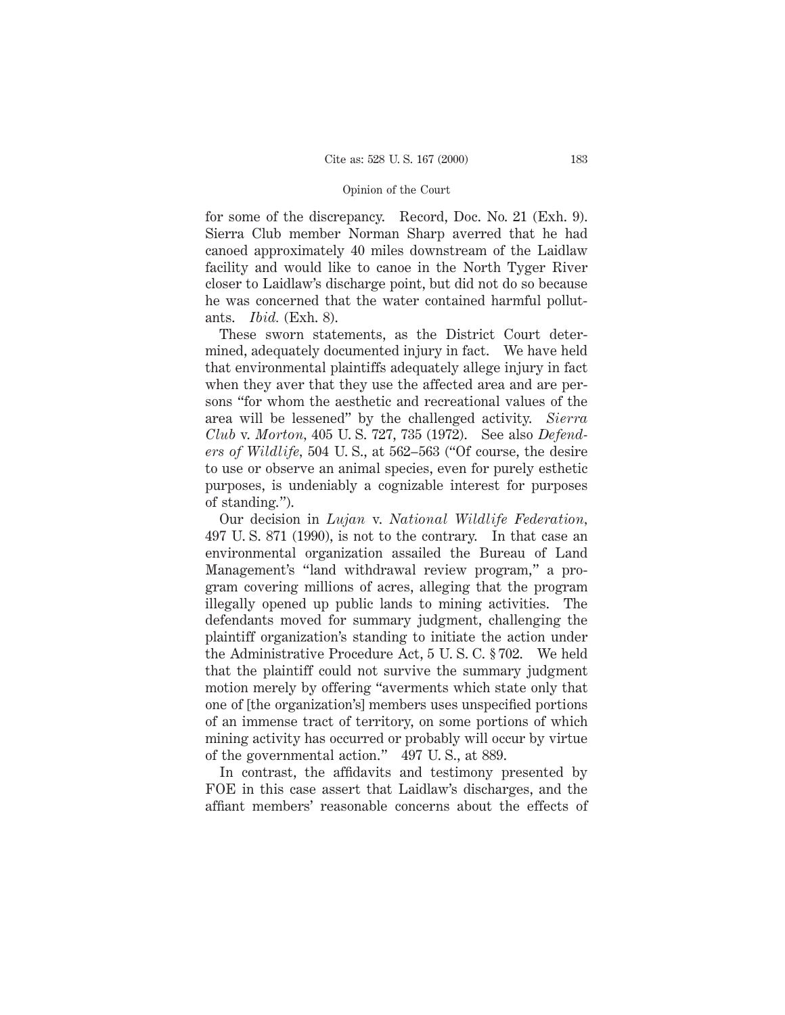for some of the discrepancy. Record, Doc. No. 21 (Exh. 9). Sierra Club member Norman Sharp averred that he had canoed approximately 40 miles downstream of the Laidlaw facility and would like to canoe in the North Tyger River closer to Laidlaw's discharge point, but did not do so because he was concerned that the water contained harmful pollutants. *Ibid.* (Exh. 8).

These sworn statements, as the District Court determined, adequately documented injury in fact. We have held that environmental plaintiffs adequately allege injury in fact when they aver that they use the affected area and are persons "for whom the aesthetic and recreational values of the area will be lessened" by the challenged activity. *Sierra Club* v. *Morton,* 405 U. S. 727, 735 (1972). See also *Defenders of Wildlife,* 504 U. S., at 562–563 ("Of course, the desire to use or observe an animal species, even for purely esthetic purposes, is undeniably a cognizable interest for purposes of standing.").

Our decision in *Lujan* v. *National Wildlife Federation,* 497 U. S. 871 (1990), is not to the contrary. In that case an environmental organization assailed the Bureau of Land Management's "land withdrawal review program," a program covering millions of acres, alleging that the program illegally opened up public lands to mining activities. The defendants moved for summary judgment, challenging the plaintiff organization's standing to initiate the action under the Administrative Procedure Act, 5 U. S. C. § 702. We held that the plaintiff could not survive the summary judgment motion merely by offering "averments which state only that one of [the organization's] members uses unspecified portions of an immense tract of territory, on some portions of which mining activity has occurred or probably will occur by virtue of the governmental action." 497 U. S., at 889.

In contrast, the affidavits and testimony presented by FOE in this case assert that Laidlaw's discharges, and the affiant members' reasonable concerns about the effects of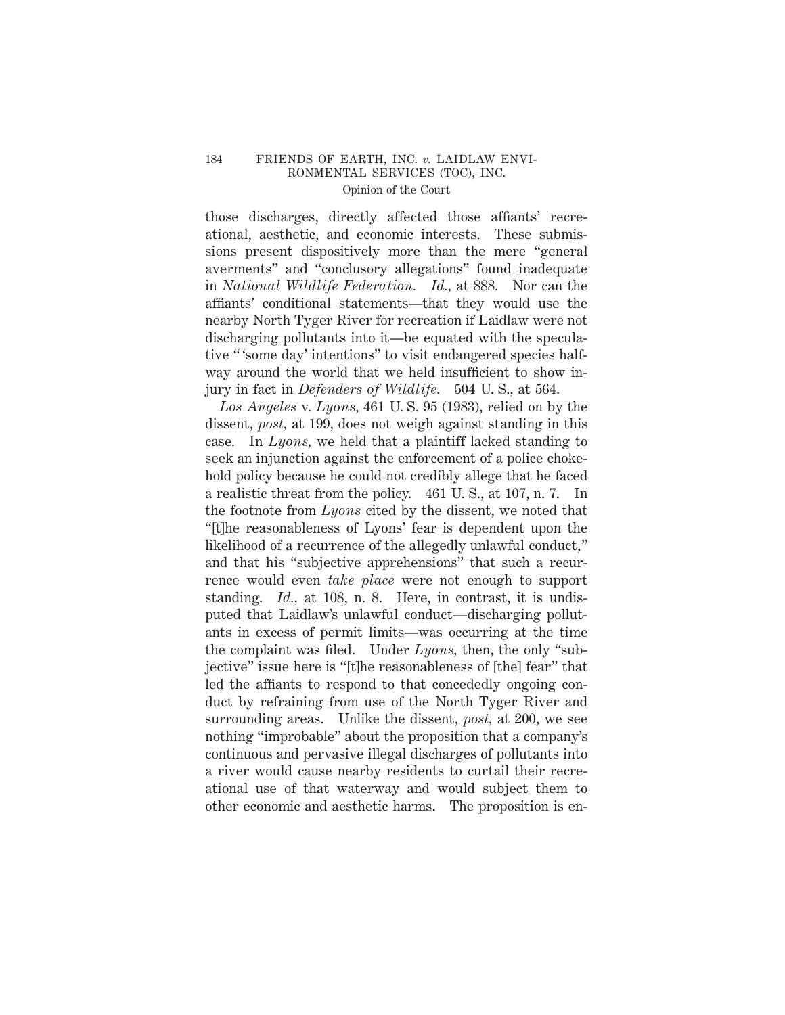those discharges, directly affected those affiants' recreational, aesthetic, and economic interests. These submissions present dispositively more than the mere "general averments" and "conclusory allegations" found inadequate in *National Wildlife Federation. Id.,* at 888. Nor can the affiants' conditional statements—that they would use the nearby North Tyger River for recreation if Laidlaw were not discharging pollutants into it—be equated with the speculative " 'some day' intentions" to visit endangered species halfway around the world that we held insufficient to show injury in fact in *Defenders of Wildlife.* 504 U. S., at 564.

*Los Angeles* v. *Lyons,* 461 U. S. 95 (1983), relied on by the dissent, *post,* at 199, does not weigh against standing in this case. In *Lyons,* we held that a plaintiff lacked standing to seek an injunction against the enforcement of a police chokehold policy because he could not credibly allege that he faced a realistic threat from the policy. 461 U. S., at 107, n. 7. In the footnote from *Lyons* cited by the dissent, we noted that "[t]he reasonableness of Lyons' fear is dependent upon the likelihood of a recurrence of the allegedly unlawful conduct," and that his "subjective apprehensions" that such a recurrence would even *take place* were not enough to support standing. *Id.,* at 108, n. 8. Here, in contrast, it is undisputed that Laidlaw's unlawful conduct—discharging pollutants in excess of permit limits—was occurring at the time the complaint was filed. Under *Lyons,* then, the only "subjective" issue here is "[t]he reasonableness of [the] fear" that led the affiants to respond to that concededly ongoing conduct by refraining from use of the North Tyger River and surrounding areas. Unlike the dissent, *post,* at 200, we see nothing "improbable" about the proposition that a company's continuous and pervasive illegal discharges of pollutants into a river would cause nearby residents to curtail their recreational use of that waterway and would subject them to other economic and aesthetic harms. The proposition is en-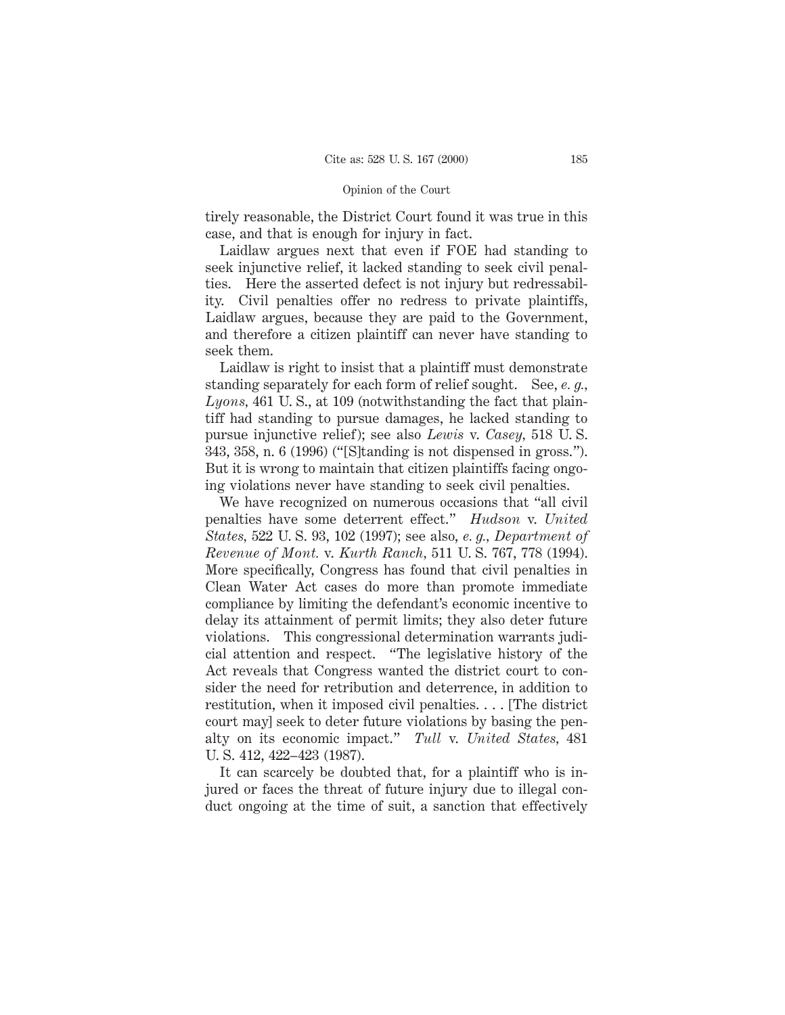tirely reasonable, the District Court found it was true in this case, and that is enough for injury in fact.

Laidlaw argues next that even if FOE had standing to seek injunctive relief, it lacked standing to seek civil penalties. Here the asserted defect is not injury but redressability. Civil penalties offer no redress to private plaintiffs, Laidlaw argues, because they are paid to the Government, and therefore a citizen plaintiff can never have standing to seek them.

Laidlaw is right to insist that a plaintiff must demonstrate standing separately for each form of relief sought. See, *e. g., Lyons,* 461 U. S., at 109 (notwithstanding the fact that plaintiff had standing to pursue damages, he lacked standing to pursue injunctive relief); see also *Lewis* v. *Casey,* 518 U. S. 343, 358, n. 6 (1996) ("[S]tanding is not dispensed in gross."). But it is wrong to maintain that citizen plaintiffs facing ongoing violations never have standing to seek civil penalties.

We have recognized on numerous occasions that "all civil penalties have some deterrent effect." *Hudson* v. *United States,* 522 U. S. 93, 102 (1997); see also, *e. g., Department of Revenue of Mont.* v. *Kurth Ranch,* 511 U. S. 767, 778 (1994). More specifically, Congress has found that civil penalties in Clean Water Act cases do more than promote immediate compliance by limiting the defendant's economic incentive to delay its attainment of permit limits; they also deter future violations. This congressional determination warrants judicial attention and respect. "The legislative history of the Act reveals that Congress wanted the district court to consider the need for retribution and deterrence, in addition to restitution, when it imposed civil penalties. . . . [The district court may] seek to deter future violations by basing the penalty on its economic impact." *Tull* v. *United States,* 481 U. S. 412, 422–423 (1987).

It can scarcely be doubted that, for a plaintiff who is injured or faces the threat of future injury due to illegal conduct ongoing at the time of suit, a sanction that effectively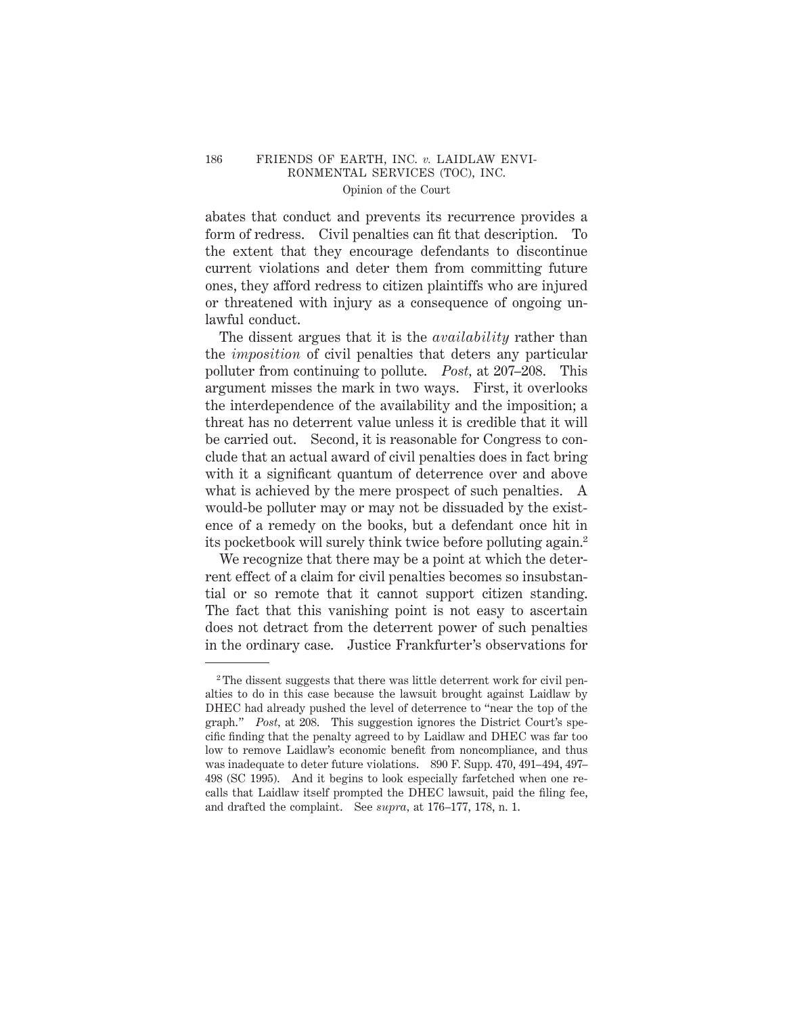abates that conduct and prevents its recurrence provides a form of redress. Civil penalties can fit that description. To the extent that they encourage defendants to discontinue current violations and deter them from committing future ones, they afford redress to citizen plaintiffs who are injured or threatened with injury as a consequence of ongoing unlawful conduct.

The dissent argues that it is the *availability* rather than the *imposition* of civil penalties that deters any particular polluter from continuing to pollute. *Post,* at 207–208. This argument misses the mark in two ways. First, it overlooks the interdependence of the availability and the imposition; a threat has no deterrent value unless it is credible that it will be carried out. Second, it is reasonable for Congress to conclude that an actual award of civil penalties does in fact bring with it a significant quantum of deterrence over and above what is achieved by the mere prospect of such penalties. A would-be polluter may or may not be dissuaded by the existence of a remedy on the books, but a defendant once hit in its pocketbook will surely think twice before polluting again.2

We recognize that there may be a point at which the deterrent effect of a claim for civil penalties becomes so insubstantial or so remote that it cannot support citizen standing. The fact that this vanishing point is not easy to ascertain does not detract from the deterrent power of such penalties in the ordinary case. Justice Frankfurter's observations for

<sup>&</sup>lt;sup>2</sup> The dissent suggests that there was little deterrent work for civil penalties to do in this case because the lawsuit brought against Laidlaw by DHEC had already pushed the level of deterrence to "near the top of the graph." *Post,* at 208. This suggestion ignores the District Court's specific finding that the penalty agreed to by Laidlaw and DHEC was far too low to remove Laidlaw's economic benefit from noncompliance, and thus was inadequate to deter future violations. 890 F. Supp. 470, 491–494, 497– 498 (SC 1995). And it begins to look especially farfetched when one recalls that Laidlaw itself prompted the DHEC lawsuit, paid the filing fee, and drafted the complaint. See *supra,* at 176–177, 178, n. 1.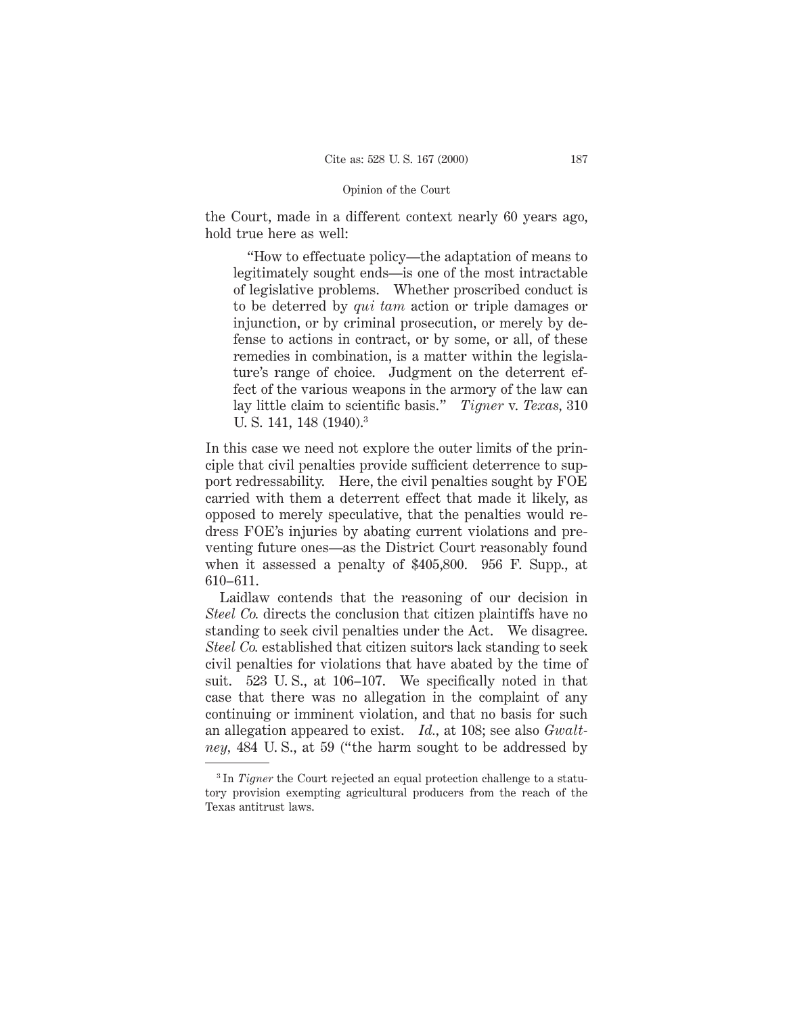the Court, made in a different context nearly 60 years ago, hold true here as well:

"How to effectuate policy—the adaptation of means to legitimately sought ends—is one of the most intractable of legislative problems. Whether proscribed conduct is to be deterred by *qui tam* action or triple damages or injunction, or by criminal prosecution, or merely by defense to actions in contract, or by some, or all, of these remedies in combination, is a matter within the legislature's range of choice. Judgment on the deterrent effect of the various weapons in the armory of the law can lay little claim to scientific basis." *Tigner* v. *Texas,* 310 U. S. 141, 148 (1940).<sup>3</sup>

In this case we need not explore the outer limits of the principle that civil penalties provide sufficient deterrence to support redressability. Here, the civil penalties sought by FOE carried with them a deterrent effect that made it likely, as opposed to merely speculative, that the penalties would redress FOE's injuries by abating current violations and preventing future ones—as the District Court reasonably found when it assessed a penalty of \$405,800. 956 F. Supp., at 610–611.

Laidlaw contends that the reasoning of our decision in *Steel Co.* directs the conclusion that citizen plaintiffs have no standing to seek civil penalties under the Act. We disagree. *Steel Co.* established that citizen suitors lack standing to seek civil penalties for violations that have abated by the time of suit. 523 U.S., at 106–107. We specifically noted in that case that there was no allegation in the complaint of any continuing or imminent violation, and that no basis for such an allegation appeared to exist. *Id.,* at 108; see also *Gwaltney,* 484 U. S., at 59 ("the harm sought to be addressed by

<sup>&</sup>lt;sup>3</sup> In *Tigner* the Court rejected an equal protection challenge to a statutory provision exempting agricultural producers from the reach of the Texas antitrust laws.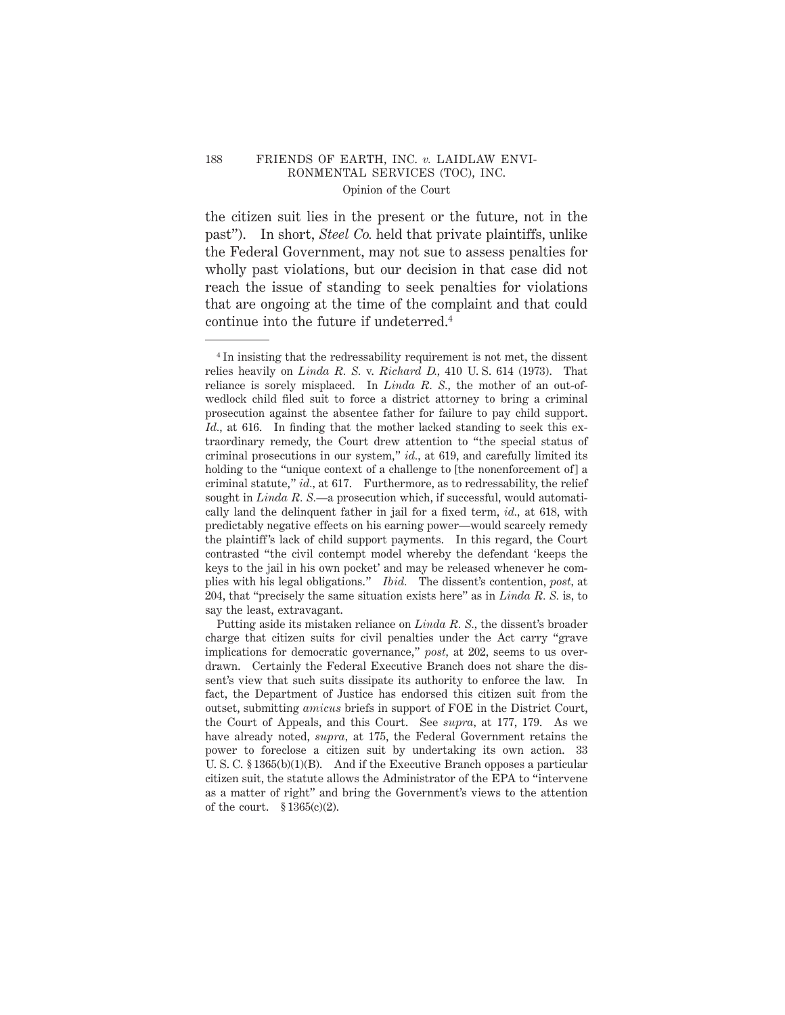the citizen suit lies in the present or the future, not in the past"). In short, *Steel Co.* held that private plaintiffs, unlike the Federal Government, may not sue to assess penalties for wholly past violations, but our decision in that case did not reach the issue of standing to seek penalties for violations that are ongoing at the time of the complaint and that could continue into the future if undeterred.4

<sup>4</sup> In insisting that the redressability requirement is not met, the dissent relies heavily on *Linda R. S.* v. *Richard D.,* 410 U. S. 614 (1973). That reliance is sorely misplaced. In *Linda R. S.,* the mother of an out-ofwedlock child filed suit to force a district attorney to bring a criminal prosecution against the absentee father for failure to pay child support. *Id.,* at 616. In finding that the mother lacked standing to seek this extraordinary remedy, the Court drew attention to "the special status of criminal prosecutions in our system," *id.,* at 619, and carefully limited its holding to the "unique context of a challenge to [the nonenforcement of] a criminal statute," *id.,* at 617. Furthermore, as to redressability, the relief sought in *Linda R. S.*—a prosecution which, if successful, would automatically land the delinquent father in jail for a fixed term, *id.,* at 618, with predictably negative effects on his earning power—would scarcely remedy the plaintiff's lack of child support payments. In this regard, the Court contrasted "the civil contempt model whereby the defendant 'keeps the keys to the jail in his own pocket' and may be released whenever he complies with his legal obligations." *Ibid.* The dissent's contention, *post,* at 204, that "precisely the same situation exists here" as in *Linda R. S.* is, to say the least, extravagant.

Putting aside its mistaken reliance on *Linda R. S.,* the dissent's broader charge that citizen suits for civil penalties under the Act carry "grave implications for democratic governance," *post,* at 202, seems to us overdrawn. Certainly the Federal Executive Branch does not share the dissent's view that such suits dissipate its authority to enforce the law. In fact, the Department of Justice has endorsed this citizen suit from the outset, submitting *amicus* briefs in support of FOE in the District Court, the Court of Appeals, and this Court. See *supra,* at 177, 179. As we have already noted, *supra,* at 175, the Federal Government retains the power to foreclose a citizen suit by undertaking its own action. 33 U. S. C. § 1365(b)(1)(B). And if the Executive Branch opposes a particular citizen suit, the statute allows the Administrator of the EPA to "intervene as a matter of right" and bring the Government's views to the attention of the court.  $$1365(c)(2)$ .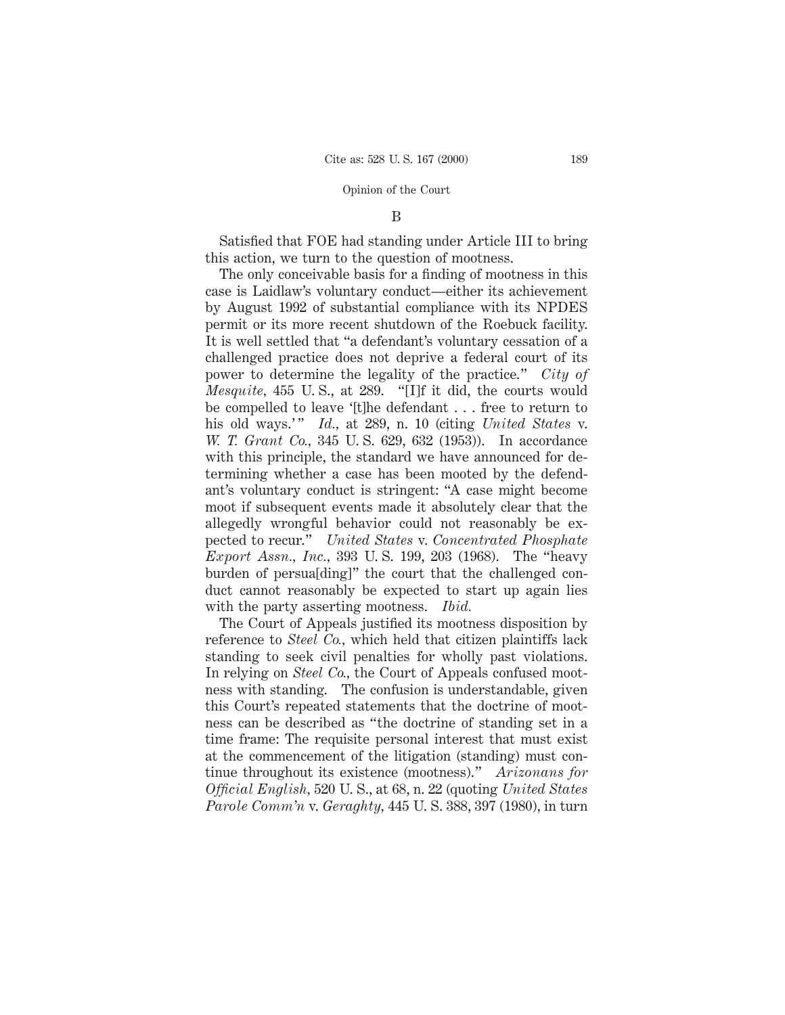### B

Satisfied that FOE had standing under Article III to bring this action, we turn to the question of mootness.

The only conceivable basis for a finding of mootness in this case is Laidlaw's voluntary conduct—either its achievement by August 1992 of substantial compliance with its NPDES permit or its more recent shutdown of the Roebuck facility. It is well settled that "a defendant's voluntary cessation of a challenged practice does not deprive a federal court of its power to determine the legality of the practice." *City of Mesquite,* 455 U. S., at 289. "[I]f it did, the courts would be compelled to leave '[t]he defendant . . . free to return to his old ways.'" *Id.*, at 289, n. 10 (citing *United States v. W. T. Grant Co.,* 345 U. S. 629, 632 (1953)). In accordance with this principle, the standard we have announced for determining whether a case has been mooted by the defendant's voluntary conduct is stringent: "A case might become moot if subsequent events made it absolutely clear that the allegedly wrongful behavior could not reasonably be expected to recur." *United States* v. *Concentrated Phosphate Export Assn., Inc.,* 393 U. S. 199, 203 (1968). The "heavy burden of persua[ding]" the court that the challenged conduct cannot reasonably be expected to start up again lies with the party asserting mootness. *Ibid.*

The Court of Appeals justified its mootness disposition by reference to *Steel Co.,* which held that citizen plaintiffs lack standing to seek civil penalties for wholly past violations. In relying on *Steel Co.,* the Court of Appeals confused mootness with standing. The confusion is understandable, given this Court's repeated statements that the doctrine of mootness can be described as "the doctrine of standing set in a time frame: The requisite personal interest that must exist at the commencement of the litigation (standing) must continue throughout its existence (mootness)." *Arizonans for Official English,* 520 U. S., at 68, n. 22 (quoting *United States Parole Comm'n* v. *Geraghty,* 445 U. S. 388, 397 (1980), in turn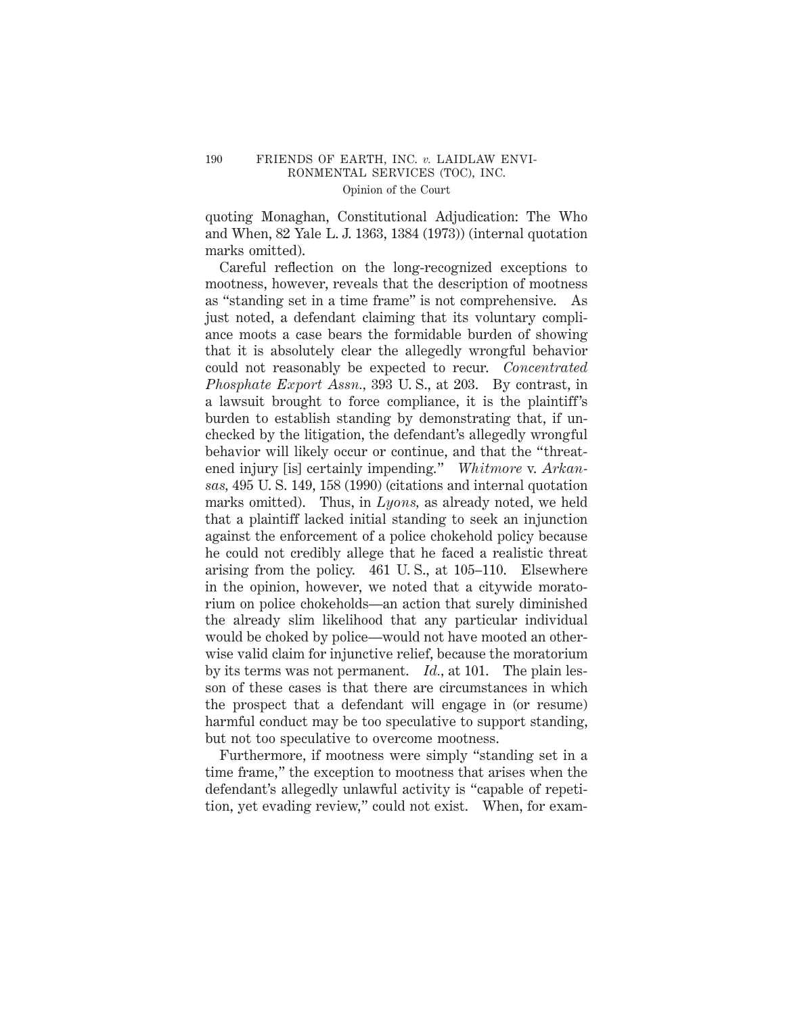quoting Monaghan, Constitutional Adjudication: The Who and When, 82 Yale L. J. 1363, 1384 (1973)) (internal quotation marks omitted).

Careful reflection on the long-recognized exceptions to mootness, however, reveals that the description of mootness as "standing set in a time frame" is not comprehensive. As just noted, a defendant claiming that its voluntary compliance moots a case bears the formidable burden of showing that it is absolutely clear the allegedly wrongful behavior could not reasonably be expected to recur. *Concentrated Phosphate Export Assn.,* 393 U. S., at 203. By contrast, in a lawsuit brought to force compliance, it is the plaintiff's burden to establish standing by demonstrating that, if unchecked by the litigation, the defendant's allegedly wrongful behavior will likely occur or continue, and that the "threatened injury [is] certainly impending." *Whitmore* v. *Arkansas,* 495 U. S. 149, 158 (1990) (citations and internal quotation marks omitted). Thus, in *Lyons,* as already noted, we held that a plaintiff lacked initial standing to seek an injunction against the enforcement of a police chokehold policy because he could not credibly allege that he faced a realistic threat arising from the policy. 461 U. S., at 105–110. Elsewhere in the opinion, however, we noted that a citywide moratorium on police chokeholds—an action that surely diminished the already slim likelihood that any particular individual would be choked by police—would not have mooted an otherwise valid claim for injunctive relief, because the moratorium by its terms was not permanent. *Id.,* at 101. The plain lesson of these cases is that there are circumstances in which the prospect that a defendant will engage in (or resume) harmful conduct may be too speculative to support standing, but not too speculative to overcome mootness.

Furthermore, if mootness were simply "standing set in a time frame," the exception to mootness that arises when the defendant's allegedly unlawful activity is "capable of repetition, yet evading review," could not exist. When, for exam-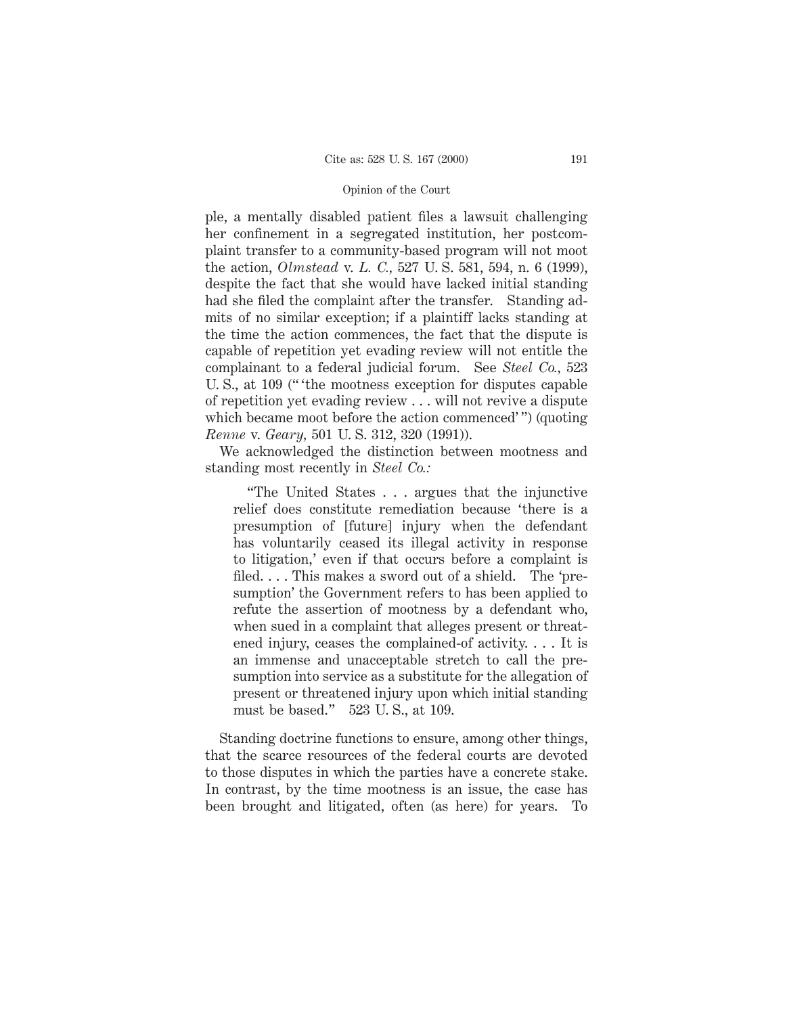ple, a mentally disabled patient files a lawsuit challenging her confinement in a segregated institution, her postcomplaint transfer to a community-based program will not moot the action, *Olmstead* v. *L. C.,* 527 U. S. 581, 594, n. 6 (1999), despite the fact that she would have lacked initial standing had she filed the complaint after the transfer. Standing admits of no similar exception; if a plaintiff lacks standing at the time the action commences, the fact that the dispute is capable of repetition yet evading review will not entitle the complainant to a federal judicial forum. See *Steel Co.,* 523 U. S., at 109 (" 'the mootness exception for disputes capable of repetition yet evading review . . . will not revive a dispute which became moot before the action commenced'") (quoting *Renne* v. *Geary,* 501 U. S. 312, 320 (1991)).

We acknowledged the distinction between mootness and standing most recently in *Steel Co.:*

"The United States . . . argues that the injunctive relief does constitute remediation because 'there is a presumption of [future] injury when the defendant has voluntarily ceased its illegal activity in response to litigation,' even if that occurs before a complaint is filed. . . . This makes a sword out of a shield. The 'presumption' the Government refers to has been applied to refute the assertion of mootness by a defendant who, when sued in a complaint that alleges present or threatened injury, ceases the complained-of activity. . . . It is an immense and unacceptable stretch to call the presumption into service as a substitute for the allegation of present or threatened injury upon which initial standing must be based." 523 U. S., at 109.

Standing doctrine functions to ensure, among other things, that the scarce resources of the federal courts are devoted to those disputes in which the parties have a concrete stake. In contrast, by the time mootness is an issue, the case has been brought and litigated, often (as here) for years. To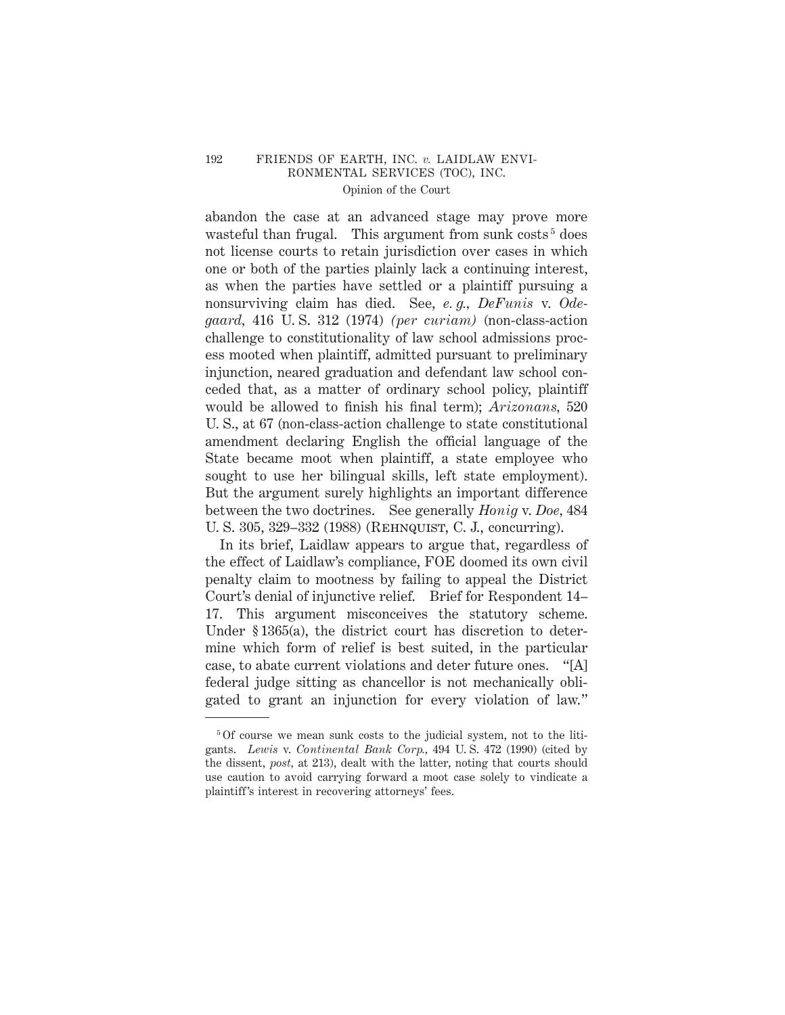abandon the case at an advanced stage may prove more wasteful than frugal. This argument from sunk  $\cos t s^5$  does not license courts to retain jurisdiction over cases in which one or both of the parties plainly lack a continuing interest, as when the parties have settled or a plaintiff pursuing a nonsurviving claim has died. See, *e. g., DeFunis* v. *Odegaard,* 416 U. S. 312 (1974) *(per curiam)* (non-class-action challenge to constitutionality of law school admissions process mooted when plaintiff, admitted pursuant to preliminary injunction, neared graduation and defendant law school conceded that, as a matter of ordinary school policy, plaintiff would be allowed to finish his final term); *Arizonans,* 520 U. S., at 67 (non-class-action challenge to state constitutional amendment declaring English the official language of the State became moot when plaintiff, a state employee who sought to use her bilingual skills, left state employment). But the argument surely highlights an important difference between the two doctrines. See generally *Honig* v. *Doe,* 484 U. S. 305, 329–332 (1988) (Rehnquist, C. J., concurring).

In its brief, Laidlaw appears to argue that, regardless of the effect of Laidlaw's compliance, FOE doomed its own civil penalty claim to mootness by failing to appeal the District Court's denial of injunctive relief. Brief for Respondent 14– 17. This argument misconceives the statutory scheme. Under § 1365(a), the district court has discretion to determine which form of relief is best suited, in the particular case, to abate current violations and deter future ones. "[A] federal judge sitting as chancellor is not mechanically obligated to grant an injunction for every violation of law."

<sup>5</sup> Of course we mean sunk costs to the judicial system, not to the litigants. *Lewis* v. *Continental Bank Corp.,* 494 U. S. 472 (1990) (cited by the dissent, *post,* at 213), dealt with the latter, noting that courts should use caution to avoid carrying forward a moot case solely to vindicate a plaintiff's interest in recovering attorneys' fees.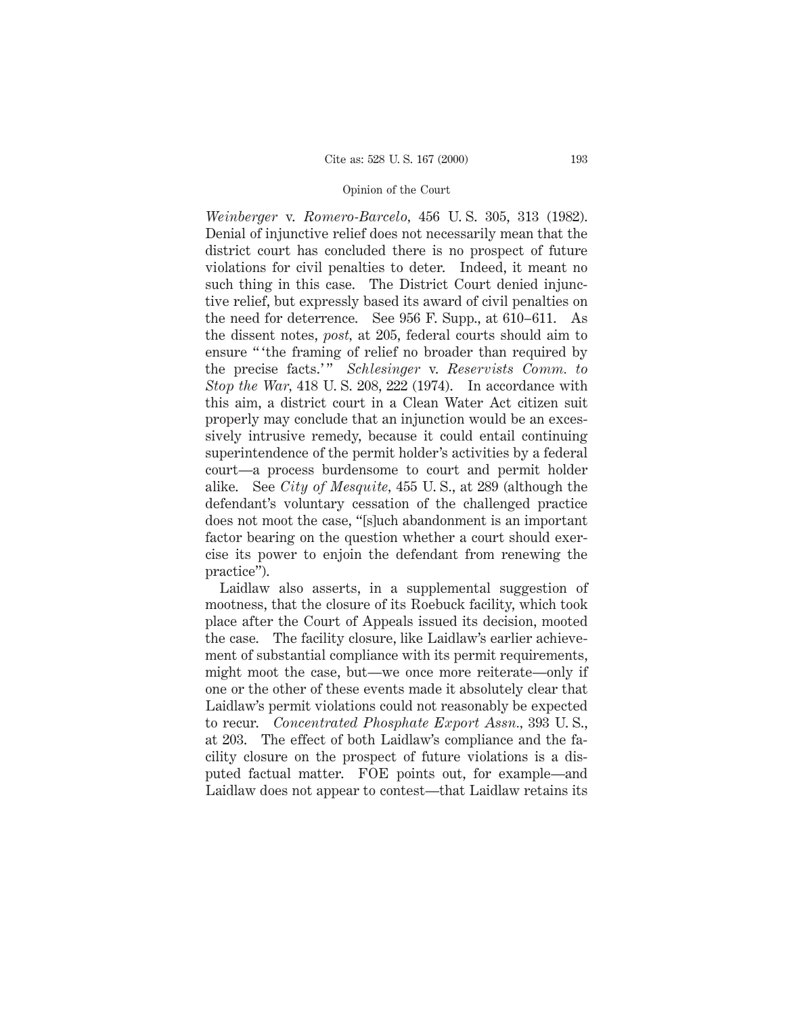*Weinberger* v. *Romero-Barcelo,* 456 U. S. 305, 313 (1982). Denial of injunctive relief does not necessarily mean that the district court has concluded there is no prospect of future violations for civil penalties to deter. Indeed, it meant no such thing in this case. The District Court denied injunctive relief, but expressly based its award of civil penalties on the need for deterrence. See 956 F. Supp., at 610–611. As the dissent notes, *post,* at 205, federal courts should aim to ensure "'the framing of relief no broader than required by the precise facts.'" *Schlesinger* v. *Reservists Comm. to Stop the War,* 418 U. S. 208, 222 (1974). In accordance with this aim, a district court in a Clean Water Act citizen suit properly may conclude that an injunction would be an excessively intrusive remedy, because it could entail continuing superintendence of the permit holder's activities by a federal court—a process burdensome to court and permit holder alike. See *City of Mesquite,* 455 U. S., at 289 (although the defendant's voluntary cessation of the challenged practice does not moot the case, "[s]uch abandonment is an important factor bearing on the question whether a court should exercise its power to enjoin the defendant from renewing the practice").

Laidlaw also asserts, in a supplemental suggestion of mootness, that the closure of its Roebuck facility, which took place after the Court of Appeals issued its decision, mooted the case. The facility closure, like Laidlaw's earlier achievement of substantial compliance with its permit requirements, might moot the case, but—we once more reiterate—only if one or the other of these events made it absolutely clear that Laidlaw's permit violations could not reasonably be expected to recur. *Concentrated Phosphate Export Assn.,* 393 U. S., at 203. The effect of both Laidlaw's compliance and the facility closure on the prospect of future violations is a disputed factual matter. FOE points out, for example—and Laidlaw does not appear to contest—that Laidlaw retains its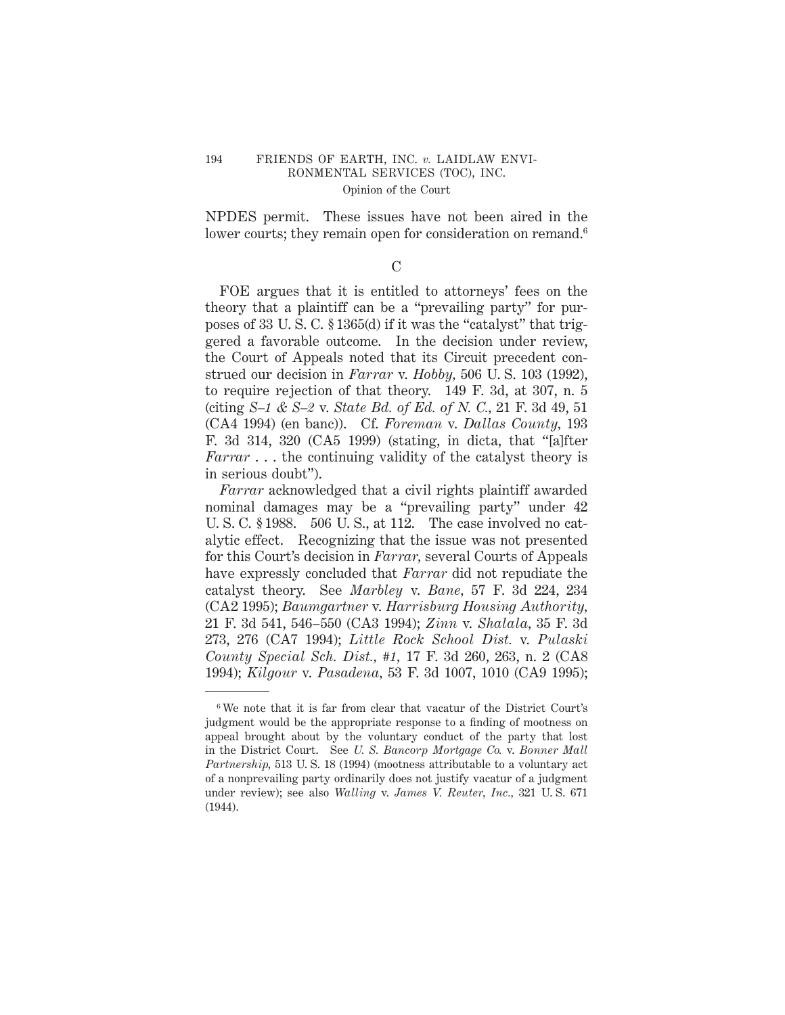NPDES permit. These issues have not been aired in the lower courts; they remain open for consideration on remand.<sup>6</sup>

C

FOE argues that it is entitled to attorneys' fees on the theory that a plaintiff can be a "prevailing party" for purposes of 33 U. S. C. § 1365(d) if it was the "catalyst" that triggered a favorable outcome. In the decision under review, the Court of Appeals noted that its Circuit precedent construed our decision in *Farrar* v. *Hobby,* 506 U. S. 103 (1992), to require rejection of that theory. 149 F. 3d, at 307, n. 5 (citing *S–1 & S–2* v. *State Bd. of Ed. of N. C.,* 21 F. 3d 49, 51 (CA4 1994) (en banc)). Cf. *Foreman* v. *Dallas County,* 193 F. 3d 314, 320 (CA5 1999) (stating, in dicta, that "[a]fter *Farrar* . . . the continuing validity of the catalyst theory is in serious doubt").

*Farrar* acknowledged that a civil rights plaintiff awarded nominal damages may be a "prevailing party" under 42 U. S. C. § 1988. 506 U. S., at 112. The case involved no catalytic effect. Recognizing that the issue was not presented for this Court's decision in *Farrar,* several Courts of Appeals have expressly concluded that *Farrar* did not repudiate the catalyst theory. See *Marbley* v. *Bane,* 57 F. 3d 224, 234 (CA2 1995); *Baumgartner* v. *Harrisburg Housing Authority,* 21 F. 3d 541, 546–550 (CA3 1994); *Zinn* v. *Shalala,* 35 F. 3d 273, 276 (CA7 1994); *Little Rock School Dist.* v. *Pulaski County Special Sch. Dist., #1,* 17 F. 3d 260, 263, n. 2 (CA8 1994); *Kilgour* v. *Pasadena,* 53 F. 3d 1007, 1010 (CA9 1995);

<sup>6</sup> We note that it is far from clear that vacatur of the District Court's judgment would be the appropriate response to a finding of mootness on appeal brought about by the voluntary conduct of the party that lost in the District Court. See *U. S. Bancorp Mortgage Co.* v. *Bonner Mall Partnership,* 513 U. S. 18 (1994) (mootness attributable to a voluntary act of a nonprevailing party ordinarily does not justify vacatur of a judgment under review); see also *Walling* v. *James V. Reuter, Inc.,* 321 U. S. 671 (1944).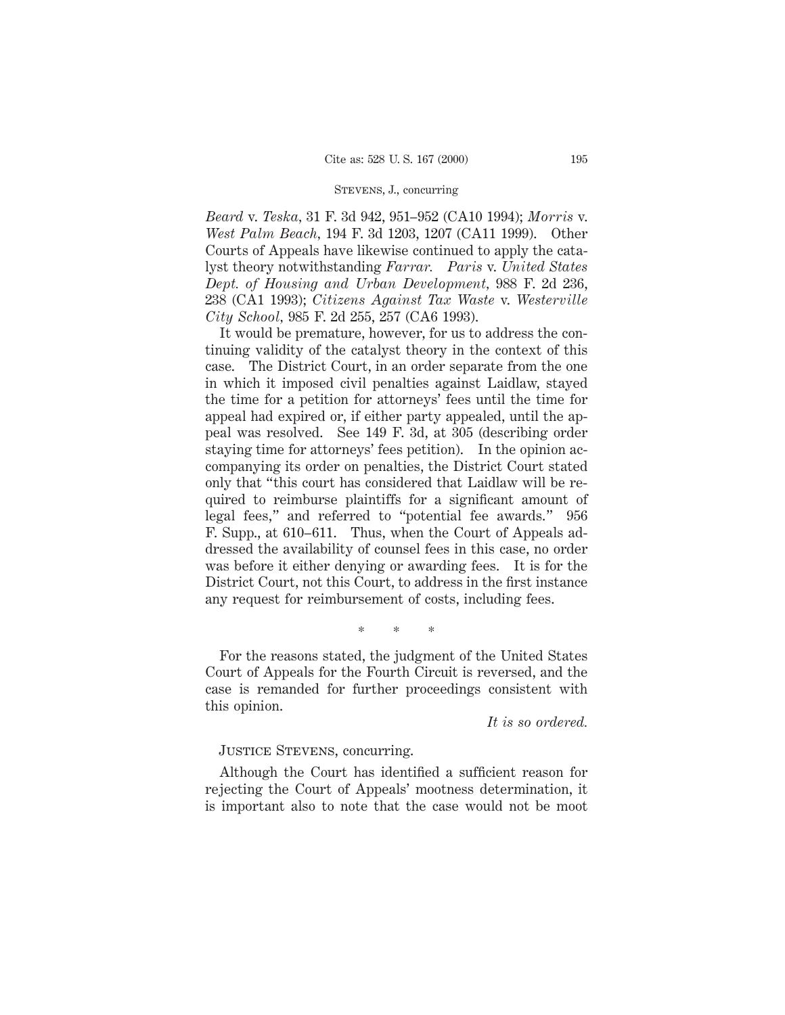### STEVENS, J., concurring

*Beard* v. *Teska,* 31 F. 3d 942, 951–952 (CA10 1994); *Morris* v. *West Palm Beach,* 194 F. 3d 1203, 1207 (CA11 1999). Other Courts of Appeals have likewise continued to apply the catalyst theory notwithstanding *Farrar. Paris* v. *United States Dept. of Housing and Urban Development,* 988 F. 2d 236, 238 (CA1 1993); *Citizens Against Tax Waste* v. *Westerville City School,* 985 F. 2d 255, 257 (CA6 1993).

It would be premature, however, for us to address the continuing validity of the catalyst theory in the context of this case. The District Court, in an order separate from the one in which it imposed civil penalties against Laidlaw, stayed the time for a petition for attorneys' fees until the time for appeal had expired or, if either party appealed, until the appeal was resolved. See 149 F. 3d, at 305 (describing order staying time for attorneys' fees petition). In the opinion accompanying its order on penalties, the District Court stated only that "this court has considered that Laidlaw will be required to reimburse plaintiffs for a significant amount of legal fees," and referred to "potential fee awards." 956 F. Supp., at 610–611. Thus, when the Court of Appeals addressed the availability of counsel fees in this case, no order was before it either denying or awarding fees. It is for the District Court, not this Court, to address in the first instance any request for reimbursement of costs, including fees.

\*\*\*

For the reasons stated, the judgment of the United States Court of Appeals for the Fourth Circuit is reversed, and the case is remanded for further proceedings consistent with this opinion.

*It is so ordered.*

Justice Stevens, concurring.

Although the Court has identified a sufficient reason for rejecting the Court of Appeals' mootness determination, it is important also to note that the case would not be moot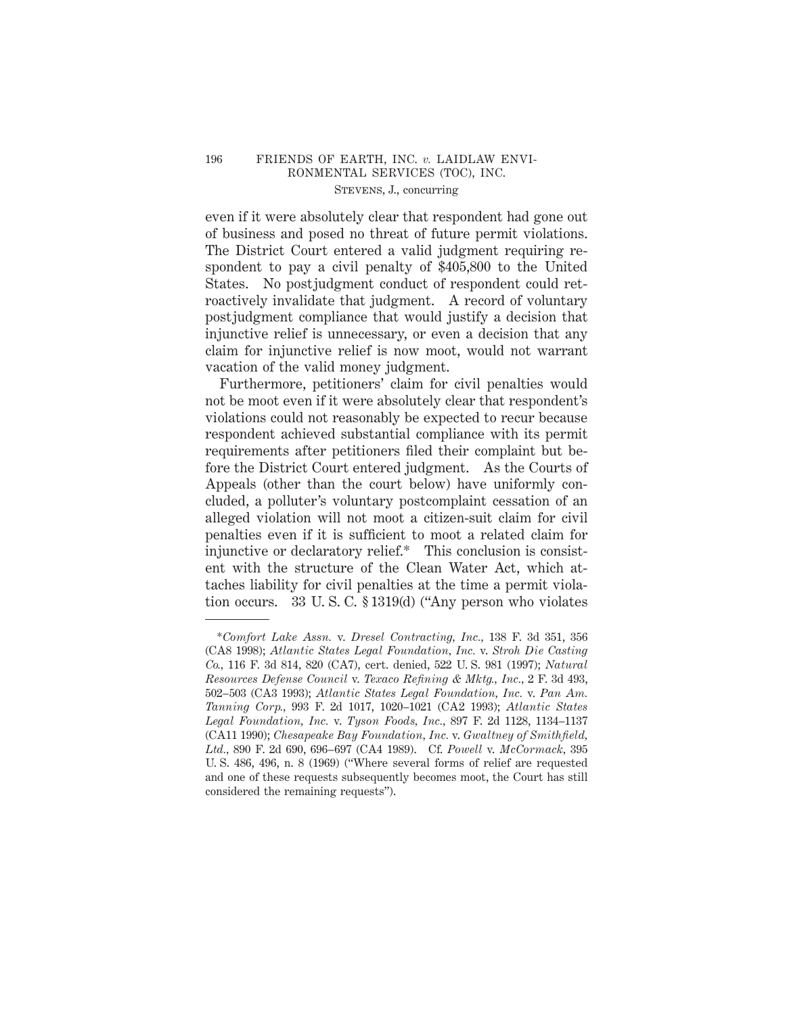# 196 FRIENDS OF EARTH, INC. *v.* LAIDLAW ENVI-RONMENTAL SERVICES (TOC), INC. STEVENS, J., concurring

even if it were absolutely clear that respondent had gone out of business and posed no threat of future permit violations. The District Court entered a valid judgment requiring respondent to pay a civil penalty of \$405,800 to the United States. No postjudgment conduct of respondent could retroactively invalidate that judgment. A record of voluntary postjudgment compliance that would justify a decision that injunctive relief is unnecessary, or even a decision that any claim for injunctive relief is now moot, would not warrant vacation of the valid money judgment.

Furthermore, petitioners' claim for civil penalties would not be moot even if it were absolutely clear that respondent's violations could not reasonably be expected to recur because respondent achieved substantial compliance with its permit requirements after petitioners filed their complaint but before the District Court entered judgment. As the Courts of Appeals (other than the court below) have uniformly concluded, a polluter's voluntary postcomplaint cessation of an alleged violation will not moot a citizen-suit claim for civil penalties even if it is sufficient to moot a related claim for injunctive or declaratory relief.\* This conclusion is consistent with the structure of the Clean Water Act, which attaches liability for civil penalties at the time a permit violation occurs. 33 U. S. C. § 1319(d) ("Any person who violates

<sup>\*</sup>*Comfort Lake Assn.* v. *Dresel Contracting, Inc.,* 138 F. 3d 351, 356 (CA8 1998); *Atlantic States Legal Foundation, Inc.* v. *Stroh Die Casting Co.,* 116 F. 3d 814, 820 (CA7), cert. denied, 522 U. S. 981 (1997); *Natural Resources Defense Council* v. *Texaco Refining & Mktg., Inc.,* 2 F. 3d 493, 502–503 (CA3 1993); *Atlantic States Legal Foundation, Inc.* v. *Pan Am. Tanning Corp.,* 993 F. 2d 1017, 1020–1021 (CA2 1993); *Atlantic States Legal Foundation, Inc.* v. *Tyson Foods, Inc.,* 897 F. 2d 1128, 1134–1137 (CA11 1990); *Chesapeake Bay Foundation, Inc.* v. *Gwaltney of Smithfield, Ltd.,* 890 F. 2d 690, 696–697 (CA4 1989). Cf. *Powell* v. *McCormack,* 395 U. S. 486, 496, n. 8 (1969) ("Where several forms of relief are requested and one of these requests subsequently becomes moot, the Court has still considered the remaining requests").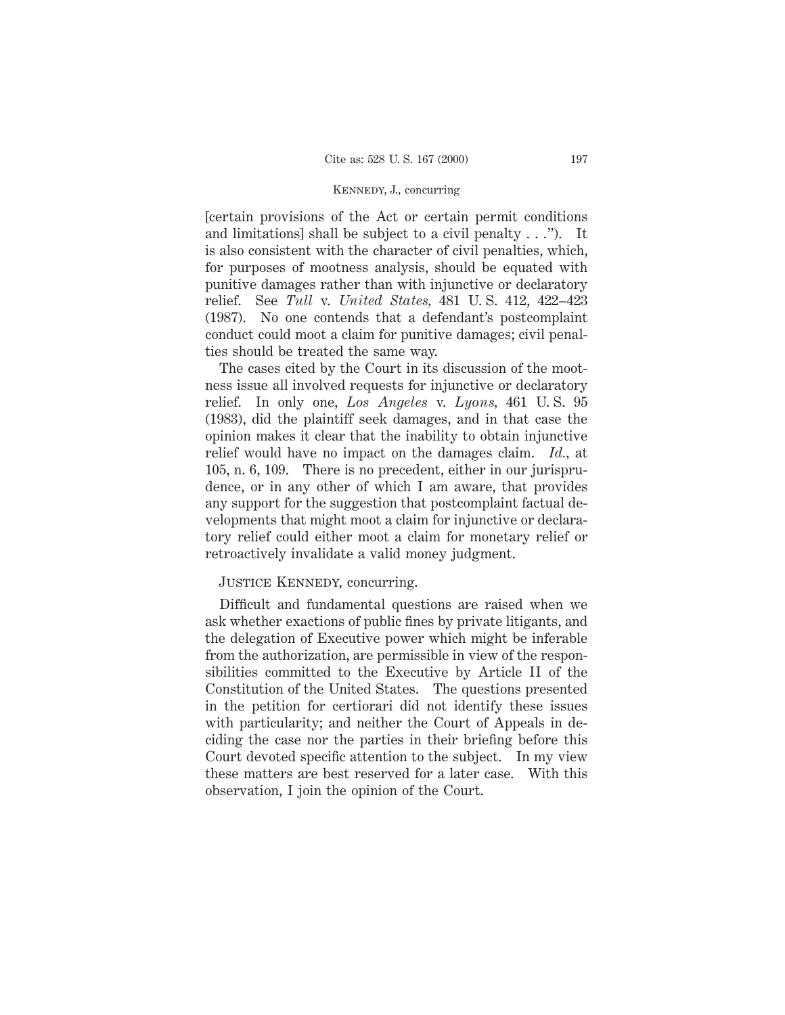### Kennedy, J., concurring

[certain provisions of the Act or certain permit conditions and limitations] shall be subject to a civil penalty  $\dots$ "). It is also consistent with the character of civil penalties, which, for purposes of mootness analysis, should be equated with punitive damages rather than with injunctive or declaratory relief. See *Tull* v. *United States,* 481 U. S. 412, 422–423 (1987). No one contends that a defendant's postcomplaint conduct could moot a claim for punitive damages; civil penalties should be treated the same way.

The cases cited by the Court in its discussion of the mootness issue all involved requests for injunctive or declaratory relief. In only one, *Los Angeles* v. *Lyons,* 461 U. S. 95 (1983), did the plaintiff seek damages, and in that case the opinion makes it clear that the inability to obtain injunctive relief would have no impact on the damages claim. *Id.,* at 105, n. 6, 109. There is no precedent, either in our jurisprudence, or in any other of which I am aware, that provides any support for the suggestion that postcomplaint factual developments that might moot a claim for injunctive or declaratory relief could either moot a claim for monetary relief or retroactively invalidate a valid money judgment.

### JUSTICE KENNEDY, concurring.

Difficult and fundamental questions are raised when we ask whether exactions of public fines by private litigants, and the delegation of Executive power which might be inferable from the authorization, are permissible in view of the responsibilities committed to the Executive by Article II of the Constitution of the United States. The questions presented in the petition for certiorari did not identify these issues with particularity; and neither the Court of Appeals in deciding the case nor the parties in their briefing before this Court devoted specific attention to the subject. In my view these matters are best reserved for a later case. With this observation, I join the opinion of the Court.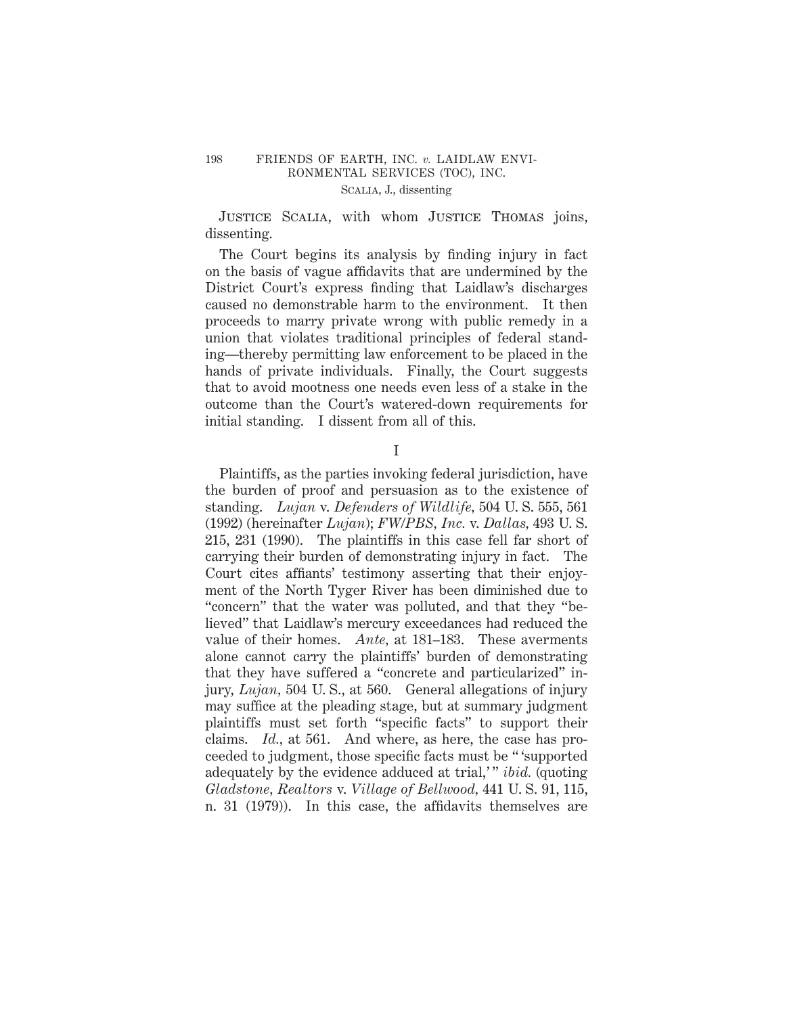# 198 FRIENDS OF EARTH, INC. *v.* LAIDLAW ENVI-RONMENTAL SERVICES (TOC), INC. Scalia, J., dissenting

Justice Scalia, with whom Justice Thomas joins, dissenting.

The Court begins its analysis by finding injury in fact on the basis of vague affidavits that are undermined by the District Court's express finding that Laidlaw's discharges caused no demonstrable harm to the environment. It then proceeds to marry private wrong with public remedy in a union that violates traditional principles of federal standing—thereby permitting law enforcement to be placed in the hands of private individuals. Finally, the Court suggests that to avoid mootness one needs even less of a stake in the outcome than the Court's watered-down requirements for initial standing. I dissent from all of this.

I

Plaintiffs, as the parties invoking federal jurisdiction, have the burden of proof and persuasion as to the existence of standing. *Lujan* v. *Defenders of Wildlife,* 504 U. S. 555, 561 (1992) (hereinafter *Lujan*); *FW/PBS, Inc.* v. *Dallas,* 493 U. S. 215, 231 (1990). The plaintiffs in this case fell far short of carrying their burden of demonstrating injury in fact. The Court cites affiants' testimony asserting that their enjoyment of the North Tyger River has been diminished due to "concern" that the water was polluted, and that they "believed" that Laidlaw's mercury exceedances had reduced the value of their homes. *Ante,* at 181–183. These averments alone cannot carry the plaintiffs' burden of demonstrating that they have suffered a "concrete and particularized" injury, *Lujan,* 504 U. S., at 560. General allegations of injury may suffice at the pleading stage, but at summary judgment plaintiffs must set forth "specific facts" to support their claims. *Id.,* at 561. And where, as here, the case has proceeded to judgment, those specific facts must be " 'supported adequately by the evidence adduced at trial,'" *ibid.* (quoting *Gladstone, Realtors* v. *Village of Bellwood,* 441 U. S. 91, 115, n. 31 (1979)). In this case, the affidavits themselves are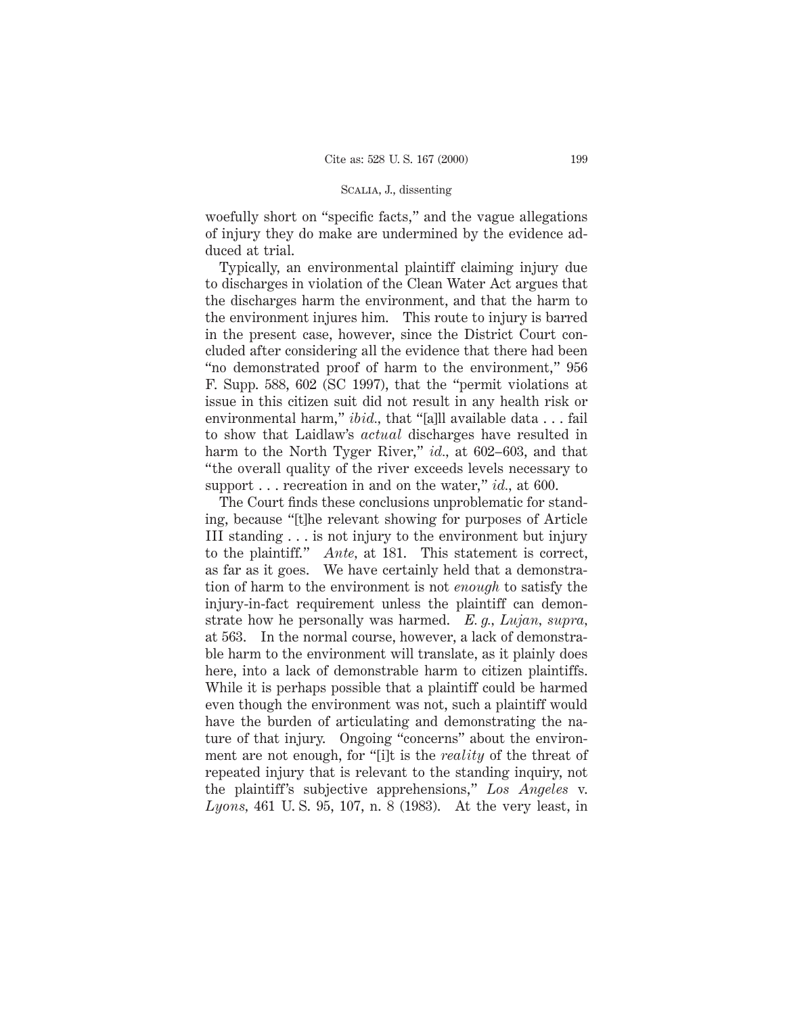### Scalia, J., dissenting

woefully short on "specific facts," and the vague allegations of injury they do make are undermined by the evidence adduced at trial.

Typically, an environmental plaintiff claiming injury due to discharges in violation of the Clean Water Act argues that the discharges harm the environment, and that the harm to the environment injures him. This route to injury is barred in the present case, however, since the District Court concluded after considering all the evidence that there had been "no demonstrated proof of harm to the environment," 956 F. Supp. 588, 602 (SC 1997), that the "permit violations at issue in this citizen suit did not result in any health risk or environmental harm," *ibid.,* that "[a]ll available data . . . fail to show that Laidlaw's *actual* discharges have resulted in harm to the North Tyger River," *id.,* at 602–603, and that "the overall quality of the river exceeds levels necessary to support . . . recreation in and on the water," *id.,* at 600.

The Court finds these conclusions unproblematic for standing, because "[t]he relevant showing for purposes of Article III standing . . . is not injury to the environment but injury to the plaintiff." *Ante,* at 181. This statement is correct, as far as it goes. We have certainly held that a demonstration of harm to the environment is not *enough* to satisfy the injury-in-fact requirement unless the plaintiff can demonstrate how he personally was harmed. *E. g., Lujan, supra,* at 563. In the normal course, however, a lack of demonstrable harm to the environment will translate, as it plainly does here, into a lack of demonstrable harm to citizen plaintiffs. While it is perhaps possible that a plaintiff could be harmed even though the environment was not, such a plaintiff would have the burden of articulating and demonstrating the nature of that injury. Ongoing "concerns" about the environment are not enough, for "[i]t is the *reality* of the threat of repeated injury that is relevant to the standing inquiry, not the plaintiff's subjective apprehensions," *Los Angeles* v. *Lyons,* 461 U. S. 95, 107, n. 8 (1983). At the very least, in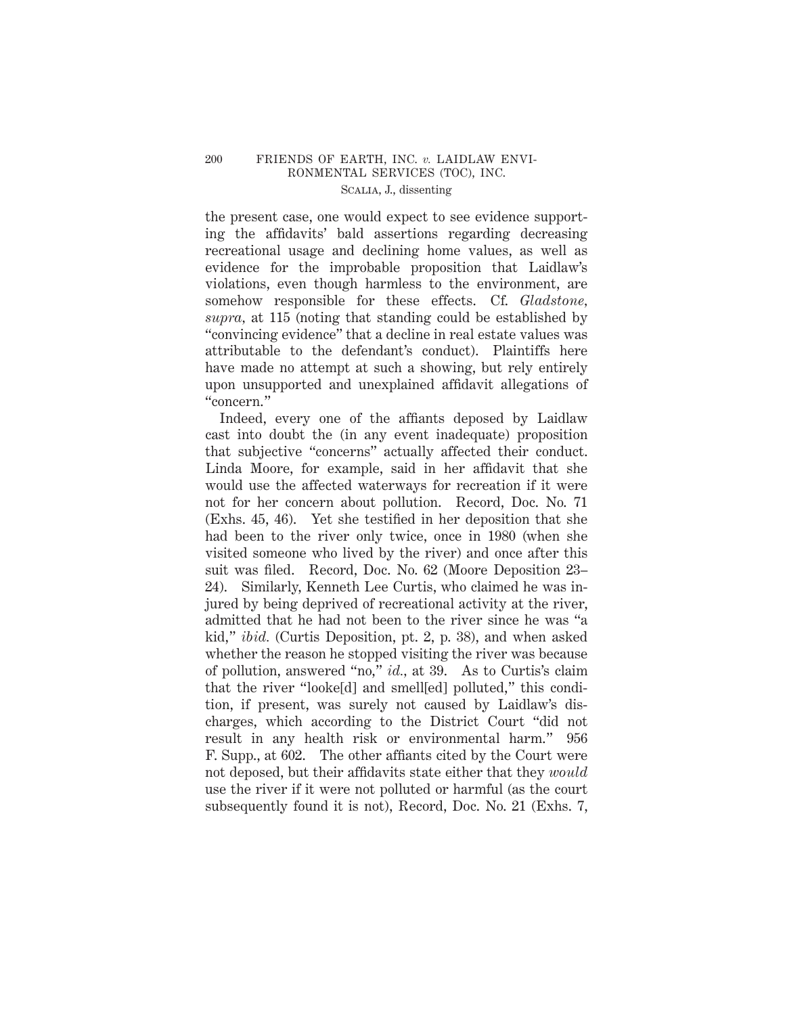# 200 FRIENDS OF EARTH, INC. *v.* LAIDLAW ENVI-RONMENTAL SERVICES (TOC), INC. Scalia, J., dissenting

the present case, one would expect to see evidence supporting the affidavits' bald assertions regarding decreasing recreational usage and declining home values, as well as evidence for the improbable proposition that Laidlaw's violations, even though harmless to the environment, are somehow responsible for these effects. Cf. *Gladstone, supra,* at 115 (noting that standing could be established by "convincing evidence" that a decline in real estate values was attributable to the defendant's conduct). Plaintiffs here have made no attempt at such a showing, but rely entirely upon unsupported and unexplained affidavit allegations of "concern."

Indeed, every one of the affiants deposed by Laidlaw cast into doubt the (in any event inadequate) proposition that subjective "concerns" actually affected their conduct. Linda Moore, for example, said in her affidavit that she would use the affected waterways for recreation if it were not for her concern about pollution. Record, Doc. No. 71 (Exhs. 45, 46). Yet she testified in her deposition that she had been to the river only twice, once in 1980 (when she visited someone who lived by the river) and once after this suit was filed. Record, Doc. No. 62 (Moore Deposition 23– 24). Similarly, Kenneth Lee Curtis, who claimed he was injured by being deprived of recreational activity at the river, admitted that he had not been to the river since he was "a kid," *ibid.* (Curtis Deposition, pt. 2, p. 38), and when asked whether the reason he stopped visiting the river was because of pollution, answered "no," *id.,* at 39. As to Curtis's claim that the river "looke[d] and smell[ed] polluted," this condition, if present, was surely not caused by Laidlaw's discharges, which according to the District Court "did not result in any health risk or environmental harm." 956 F. Supp., at 602. The other affiants cited by the Court were not deposed, but their affidavits state either that they *would* use the river if it were not polluted or harmful (as the court subsequently found it is not), Record, Doc. No. 21 (Exhs. 7,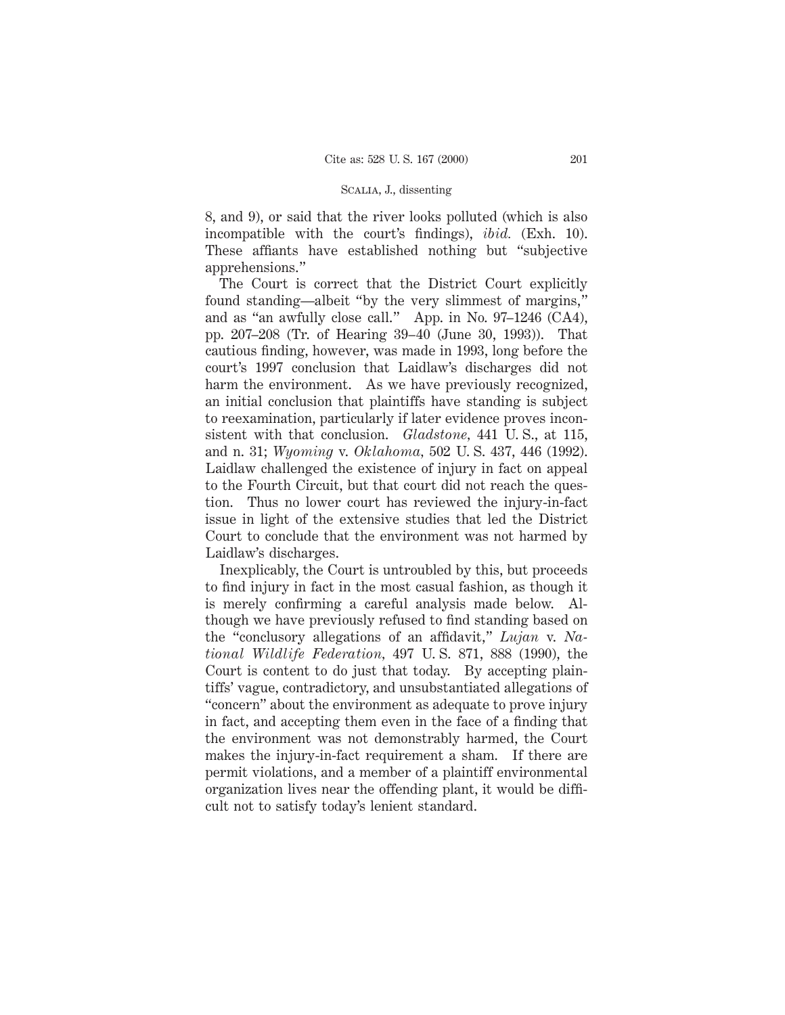### Scalia, J., dissenting

8, and 9), or said that the river looks polluted (which is also incompatible with the court's findings), *ibid.* (Exh. 10). These affiants have established nothing but "subjective apprehensions."

The Court is correct that the District Court explicitly found standing—albeit "by the very slimmest of margins," and as "an awfully close call." App. in No. 97–1246 (CA4), pp. 207–208 (Tr. of Hearing 39–40 (June 30, 1993)). That cautious finding, however, was made in 1993, long before the court's 1997 conclusion that Laidlaw's discharges did not harm the environment. As we have previously recognized, an initial conclusion that plaintiffs have standing is subject to reexamination, particularly if later evidence proves inconsistent with that conclusion. *Gladstone,* 441 U. S., at 115, and n. 31; *Wyoming* v. *Oklahoma,* 502 U. S. 437, 446 (1992). Laidlaw challenged the existence of injury in fact on appeal to the Fourth Circuit, but that court did not reach the question. Thus no lower court has reviewed the injury-in-fact issue in light of the extensive studies that led the District Court to conclude that the environment was not harmed by Laidlaw's discharges.

Inexplicably, the Court is untroubled by this, but proceeds to find injury in fact in the most casual fashion, as though it is merely confirming a careful analysis made below. Although we have previously refused to find standing based on the "conclusory allegations of an affidavit," *Lujan* v. *National Wildlife Federation,* 497 U. S. 871, 888 (1990), the Court is content to do just that today. By accepting plaintiffs' vague, contradictory, and unsubstantiated allegations of "concern" about the environment as adequate to prove injury in fact, and accepting them even in the face of a finding that the environment was not demonstrably harmed, the Court makes the injury-in-fact requirement a sham. If there are permit violations, and a member of a plaintiff environmental organization lives near the offending plant, it would be difficult not to satisfy today's lenient standard.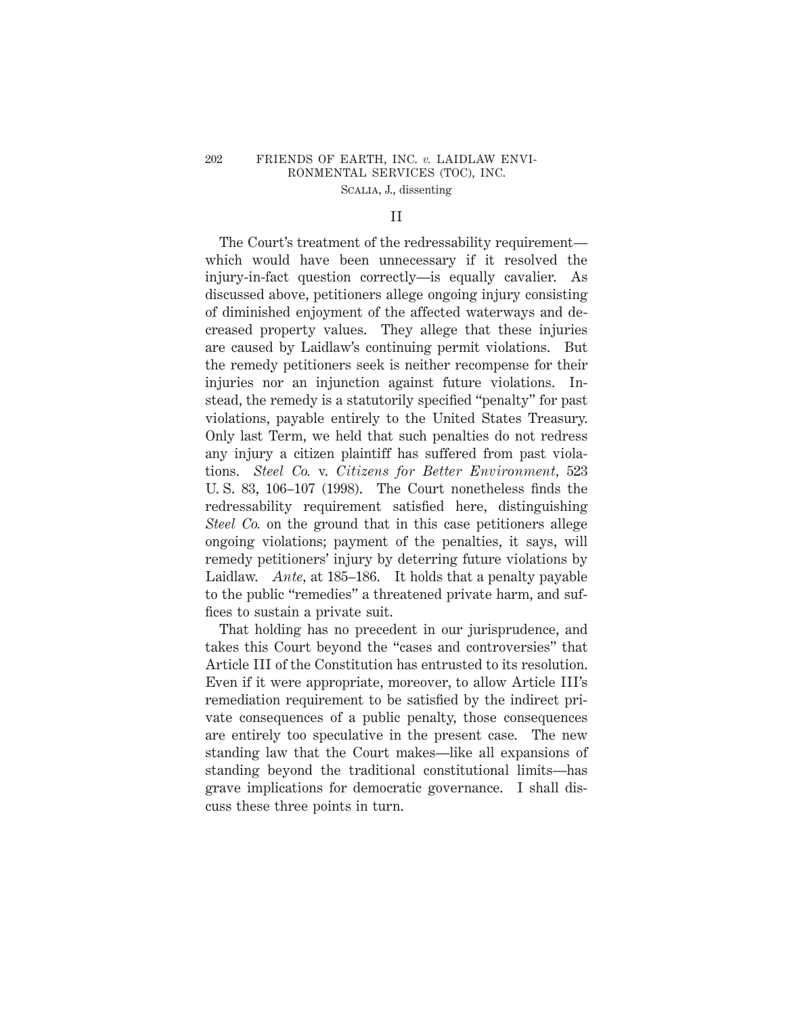# 202 FRIENDS OF EARTH, INC. *v.* LAIDLAW ENVI-RONMENTAL SERVICES (TOC), INC. Scalia, J., dissenting

### II

The Court's treatment of the redressability requirement which would have been unnecessary if it resolved the injury-in-fact question correctly—is equally cavalier. As discussed above, petitioners allege ongoing injury consisting of diminished enjoyment of the affected waterways and decreased property values. They allege that these injuries are caused by Laidlaw's continuing permit violations. But the remedy petitioners seek is neither recompense for their injuries nor an injunction against future violations. Instead, the remedy is a statutorily specified "penalty" for past violations, payable entirely to the United States Treasury. Only last Term, we held that such penalties do not redress any injury a citizen plaintiff has suffered from past violations. *Steel Co.* v. *Citizens for Better Environment,* 523 U. S. 83, 106–107 (1998). The Court nonetheless finds the redressability requirement satisfied here, distinguishing *Steel Co.* on the ground that in this case petitioners allege ongoing violations; payment of the penalties, it says, will remedy petitioners' injury by deterring future violations by Laidlaw. *Ante,* at 185–186. It holds that a penalty payable to the public "remedies" a threatened private harm, and suffices to sustain a private suit.

That holding has no precedent in our jurisprudence, and takes this Court beyond the "cases and controversies" that Article III of the Constitution has entrusted to its resolution. Even if it were appropriate, moreover, to allow Article III's remediation requirement to be satisfied by the indirect private consequences of a public penalty, those consequences are entirely too speculative in the present case. The new standing law that the Court makes—like all expansions of standing beyond the traditional constitutional limits—has grave implications for democratic governance. I shall discuss these three points in turn.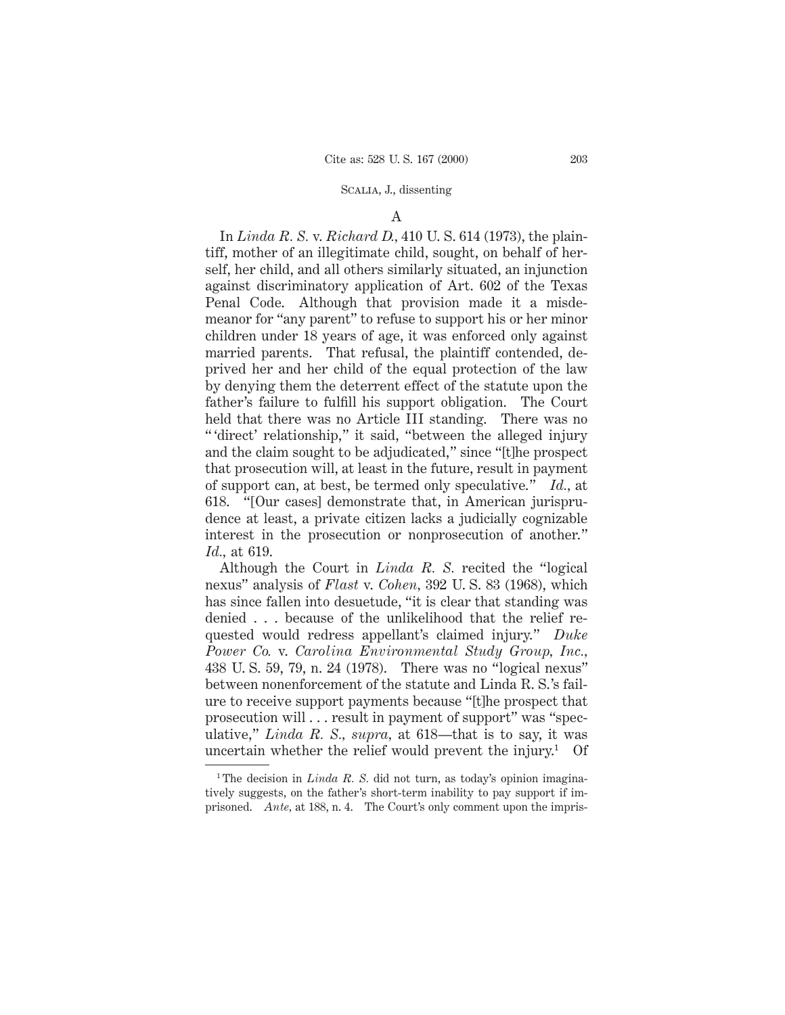### Scalia, J., dissenting

# A

In *Linda R. S.* v. *Richard D.,* 410 U. S. 614 (1973), the plaintiff, mother of an illegitimate child, sought, on behalf of herself, her child, and all others similarly situated, an injunction against discriminatory application of Art. 602 of the Texas Penal Code. Although that provision made it a misdemeanor for "any parent" to refuse to support his or her minor children under 18 years of age, it was enforced only against married parents. That refusal, the plaintiff contended, deprived her and her child of the equal protection of the law by denying them the deterrent effect of the statute upon the father's failure to fulfill his support obligation. The Court held that there was no Article III standing. There was no " 'direct' relationship," it said, "between the alleged injury and the claim sought to be adjudicated," since "[t]he prospect that prosecution will, at least in the future, result in payment of support can, at best, be termed only speculative." *Id.,* at 618. "[Our cases] demonstrate that, in American jurisprudence at least, a private citizen lacks a judicially cognizable interest in the prosecution or nonprosecution of another." *Id.,* at 619.

Although the Court in *Linda R. S.* recited the "logical nexus" analysis of *Flast* v. *Cohen,* 392 U. S. 83 (1968), which has since fallen into desuetude, "it is clear that standing was denied . . . because of the unlikelihood that the relief requested would redress appellant's claimed injury." *Duke Power Co.* v. *Carolina Environmental Study Group, Inc.,* 438 U. S. 59, 79, n. 24 (1978). There was no "logical nexus" between nonenforcement of the statute and Linda R. S.'s failure to receive support payments because "[t]he prospect that prosecution will . . . result in payment of support" was "speculative," *Linda R. S., supra,* at 618—that is to say, it was uncertain whether the relief would prevent the injury.<sup>1</sup> Of

<sup>&</sup>lt;sup>1</sup> The decision in *Linda R. S.* did not turn, as today's opinion imaginatively suggests, on the father's short-term inability to pay support if imprisoned. *Ante,* at 188, n. 4. The Court's only comment upon the impris-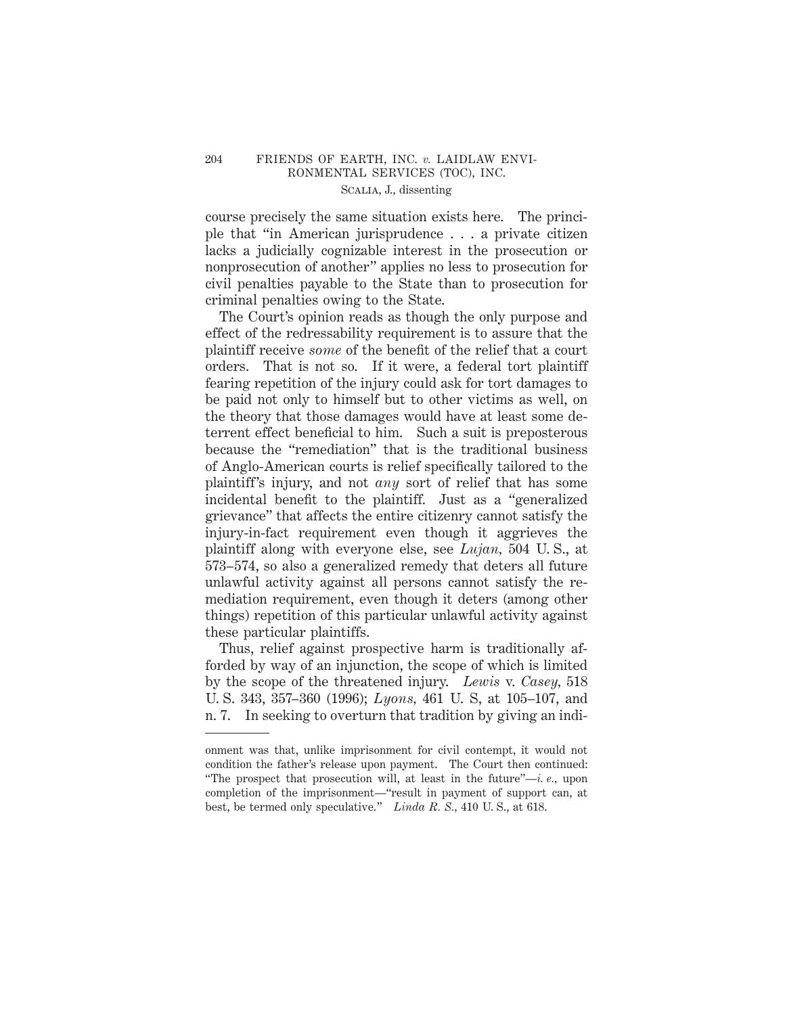# 204 FRIENDS OF EARTH, INC. *v.* LAIDLAW ENVI-RONMENTAL SERVICES (TOC), INC. Scalia, J., dissenting

course precisely the same situation exists here. The principle that "in American jurisprudence . . . a private citizen lacks a judicially cognizable interest in the prosecution or nonprosecution of another" applies no less to prosecution for civil penalties payable to the State than to prosecution for criminal penalties owing to the State.

The Court's opinion reads as though the only purpose and effect of the redressability requirement is to assure that the plaintiff receive *some* of the benefit of the relief that a court orders. That is not so. If it were, a federal tort plaintiff fearing repetition of the injury could ask for tort damages to be paid not only to himself but to other victims as well, on the theory that those damages would have at least some deterrent effect beneficial to him. Such a suit is preposterous because the "remediation" that is the traditional business of Anglo-American courts is relief specifically tailored to the plaintiff's injury, and not *any* sort of relief that has some incidental benefit to the plaintiff. Just as a "generalized grievance" that affects the entire citizenry cannot satisfy the injury-in-fact requirement even though it aggrieves the plaintiff along with everyone else, see *Lujan,* 504 U. S., at 573–574, so also a generalized remedy that deters all future unlawful activity against all persons cannot satisfy the remediation requirement, even though it deters (among other things) repetition of this particular unlawful activity against these particular plaintiffs.

Thus, relief against prospective harm is traditionally afforded by way of an injunction, the scope of which is limited by the scope of the threatened injury. *Lewis* v. *Casey,* 518 U. S. 343, 357–360 (1996); *Lyons,* 461 U. S, at 105–107, and n. 7. In seeking to overturn that tradition by giving an indi-

onment was that, unlike imprisonment for civil contempt, it would not condition the father's release upon payment. The Court then continued: "The prospect that prosecution will, at least in the future"—*i. e.,* upon completion of the imprisonment—"result in payment of support can, at best, be termed only speculative." *Linda R. S.,* 410 U. S., at 618.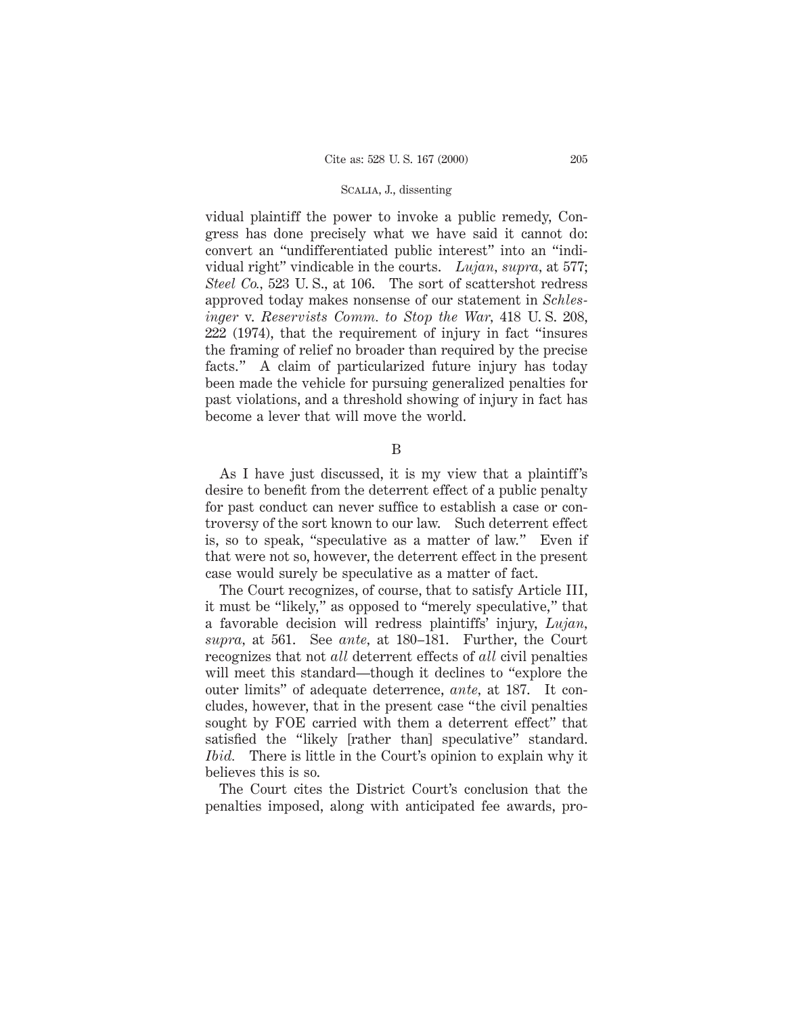### Scalia, J., dissenting

vidual plaintiff the power to invoke a public remedy, Congress has done precisely what we have said it cannot do: convert an "undifferentiated public interest" into an "individual right" vindicable in the courts. *Lujan, supra,* at 577; *Steel Co.,* 523 U. S., at 106. The sort of scattershot redress approved today makes nonsense of our statement in *Schlesinger* v. *Reservists Comm. to Stop the War,* 418 U. S. 208, 222 (1974), that the requirement of injury in fact "insures the framing of relief no broader than required by the precise facts." A claim of particularized future injury has today been made the vehicle for pursuing generalized penalties for past violations, and a threshold showing of injury in fact has become a lever that will move the world.

B

As I have just discussed, it is my view that a plaintiff's desire to benefit from the deterrent effect of a public penalty for past conduct can never suffice to establish a case or controversy of the sort known to our law. Such deterrent effect is, so to speak, "speculative as a matter of law." Even if that were not so, however, the deterrent effect in the present case would surely be speculative as a matter of fact.

The Court recognizes, of course, that to satisfy Article III, it must be "likely," as opposed to "merely speculative," that a favorable decision will redress plaintiffs' injury, *Lujan, supra,* at 561. See *ante,* at 180–181. Further, the Court recognizes that not *all* deterrent effects of *all* civil penalties will meet this standard—though it declines to "explore the outer limits" of adequate deterrence, *ante,* at 187. It concludes, however, that in the present case "the civil penalties sought by FOE carried with them a deterrent effect" that satisfied the "likely [rather than] speculative" standard. *Ibid.* There is little in the Court's opinion to explain why it believes this is so.

The Court cites the District Court's conclusion that the penalties imposed, along with anticipated fee awards, pro-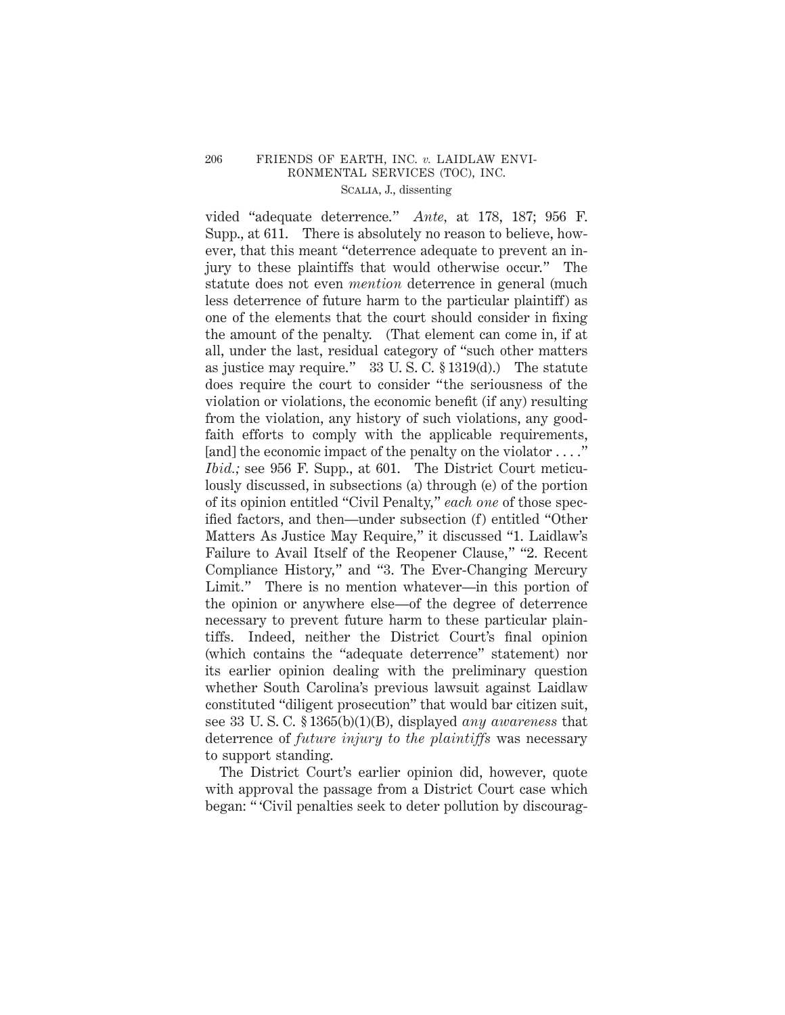# 206 FRIENDS OF EARTH, INC. *v.* LAIDLAW ENVI-RONMENTAL SERVICES (TOC), INC. Scalia, J., dissenting

vided "adequate deterrence." *Ante,* at 178, 187; 956 F. Supp., at 611. There is absolutely no reason to believe, however, that this meant "deterrence adequate to prevent an injury to these plaintiffs that would otherwise occur." The statute does not even *mention* deterrence in general (much less deterrence of future harm to the particular plaintiff) as one of the elements that the court should consider in fixing the amount of the penalty. (That element can come in, if at all, under the last, residual category of "such other matters as justice may require." 33 U. S. C. § 1319(d).) The statute does require the court to consider "the seriousness of the violation or violations, the economic benefit (if any) resulting from the violation, any history of such violations, any goodfaith efforts to comply with the applicable requirements, [and] the economic impact of the penalty on the violator  $\dots$ ." *Ibid.*; see 956 F. Supp., at 601. The District Court meticulously discussed, in subsections (a) through (e) of the portion of its opinion entitled "Civil Penalty," *each one* of those specified factors, and then—under subsection (f) entitled "Other Matters As Justice May Require," it discussed "1. Laidlaw's Failure to Avail Itself of the Reopener Clause," "2. Recent Compliance History," and "3. The Ever-Changing Mercury Limit." There is no mention whatever—in this portion of the opinion or anywhere else—of the degree of deterrence necessary to prevent future harm to these particular plaintiffs. Indeed, neither the District Court's final opinion (which contains the "adequate deterrence" statement) nor its earlier opinion dealing with the preliminary question whether South Carolina's previous lawsuit against Laidlaw constituted "diligent prosecution" that would bar citizen suit, see 33 U. S. C. § 1365(b)(1)(B), displayed *any awareness* that deterrence of *future injury to the plaintiffs* was necessary to support standing.

The District Court's earlier opinion did, however, quote with approval the passage from a District Court case which began: " 'Civil penalties seek to deter pollution by discourag-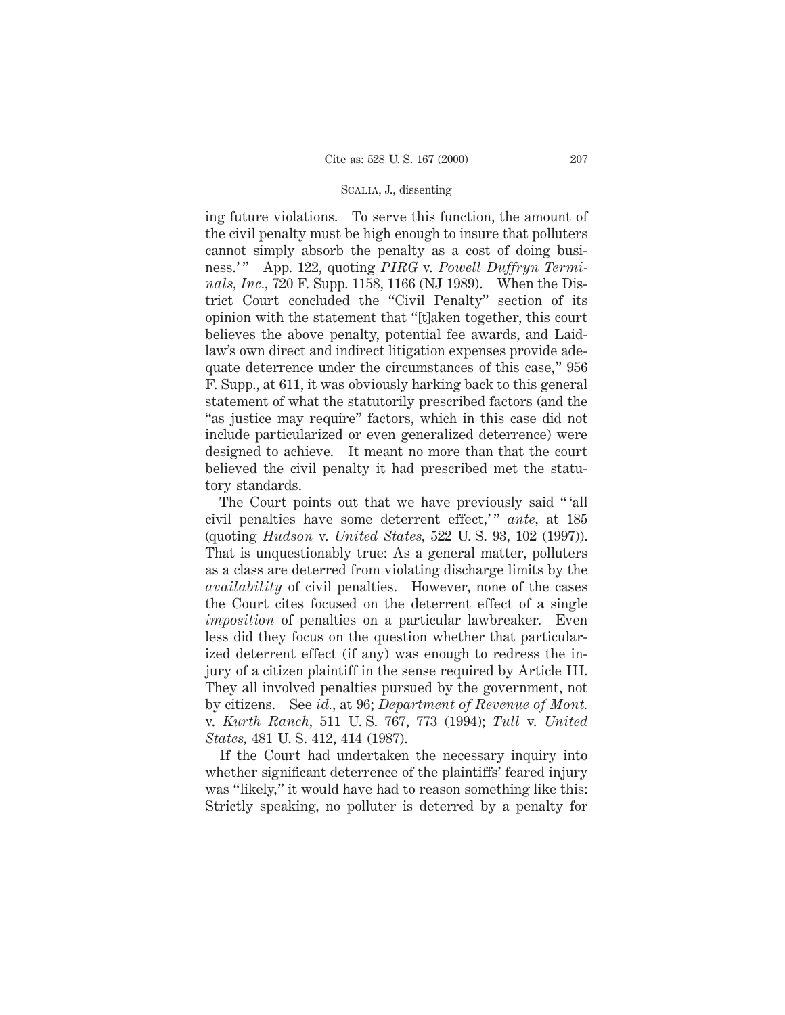### Scalia, J., dissenting

ing future violations. To serve this function, the amount of the civil penalty must be high enough to insure that polluters cannot simply absorb the penalty as a cost of doing business.'" App. 122, quoting *PIRG* v. *Powell Duffryn Terminals, Inc.,* 720 F. Supp. 1158, 1166 (NJ 1989). When the District Court concluded the "Civil Penalty" section of its opinion with the statement that "[t]aken together, this court believes the above penalty, potential fee awards, and Laidlaw's own direct and indirect litigation expenses provide adequate deterrence under the circumstances of this case," 956 F. Supp., at 611, it was obviously harking back to this general statement of what the statutorily prescribed factors (and the "as justice may require" factors, which in this case did not include particularized or even generalized deterrence) were designed to achieve. It meant no more than that the court believed the civil penalty it had prescribed met the statutory standards.

The Court points out that we have previously said " 'all civil penalties have some deterrent effect,'" ante, at 185 (quoting *Hudson* v. *United States,* 522 U. S. 93, 102 (1997)). That is unquestionably true: As a general matter, polluters as a class are deterred from violating discharge limits by the *availability* of civil penalties. However, none of the cases the Court cites focused on the deterrent effect of a single *imposition* of penalties on a particular lawbreaker. Even less did they focus on the question whether that particularized deterrent effect (if any) was enough to redress the injury of a citizen plaintiff in the sense required by Article III. They all involved penalties pursued by the government, not by citizens. See *id.,* at 96; *Department of Revenue of Mont.* v. *Kurth Ranch,* 511 U. S. 767, 773 (1994); *Tull* v. *United States,* 481 U. S. 412, 414 (1987).

If the Court had undertaken the necessary inquiry into whether significant deterrence of the plaintiffs' feared injury was "likely," it would have had to reason something like this: Strictly speaking, no polluter is deterred by a penalty for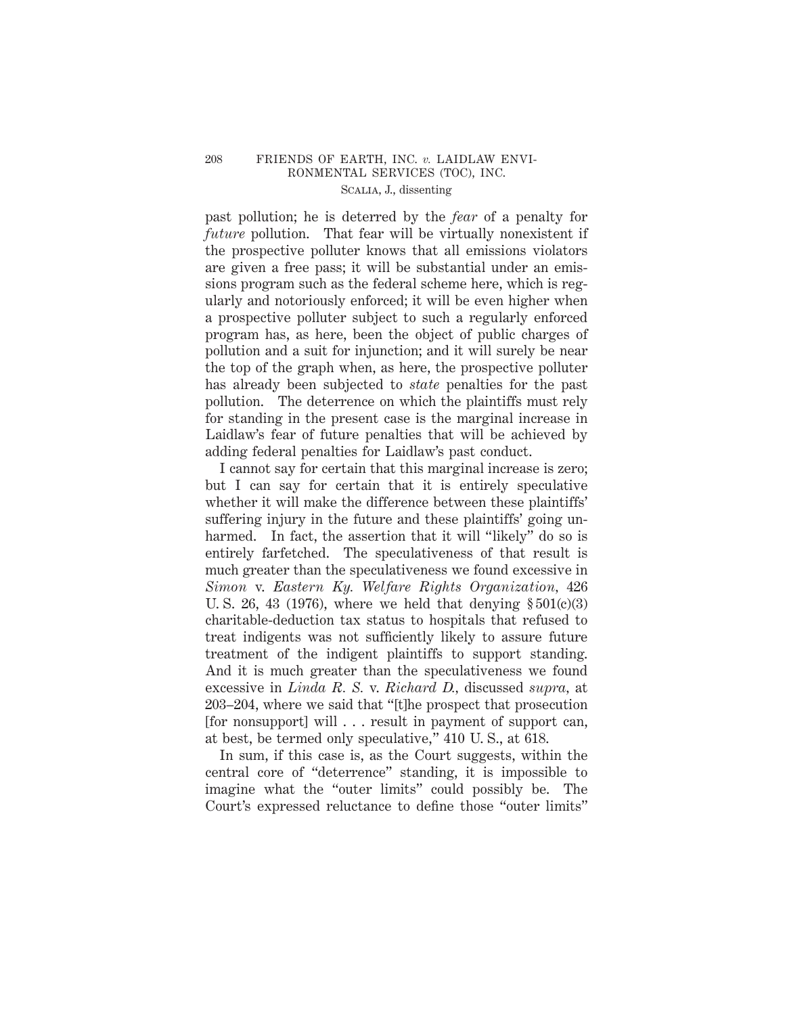# 208 FRIENDS OF EARTH, INC. *v.* LAIDLAW ENVI-RONMENTAL SERVICES (TOC), INC. Scalia, J., dissenting

past pollution; he is deterred by the *fear* of a penalty for *future* pollution. That fear will be virtually nonexistent if the prospective polluter knows that all emissions violators are given a free pass; it will be substantial under an emissions program such as the federal scheme here, which is regularly and notoriously enforced; it will be even higher when a prospective polluter subject to such a regularly enforced program has, as here, been the object of public charges of pollution and a suit for injunction; and it will surely be near the top of the graph when, as here, the prospective polluter has already been subjected to *state* penalties for the past pollution. The deterrence on which the plaintiffs must rely for standing in the present case is the marginal increase in Laidlaw's fear of future penalties that will be achieved by adding federal penalties for Laidlaw's past conduct.

I cannot say for certain that this marginal increase is zero; but I can say for certain that it is entirely speculative whether it will make the difference between these plaintiffs' suffering injury in the future and these plaintiffs' going unharmed. In fact, the assertion that it will "likely" do so is entirely farfetched. The speculativeness of that result is much greater than the speculativeness we found excessive in *Simon* v. *Eastern Ky. Welfare Rights Organization,* 426 U. S. 26, 43 (1976), where we held that denying  $\S 501(c)(3)$ charitable-deduction tax status to hospitals that refused to treat indigents was not sufficiently likely to assure future treatment of the indigent plaintiffs to support standing. And it is much greater than the speculativeness we found excessive in *Linda R. S.* v. *Richard D.,* discussed *supra,* at 203–204, where we said that "[t]he prospect that prosecution [for nonsupport] will . . . result in payment of support can, at best, be termed only speculative," 410 U. S., at 618.

In sum, if this case is, as the Court suggests, within the central core of "deterrence" standing, it is impossible to imagine what the "outer limits" could possibly be. The Court's expressed reluctance to define those "outer limits"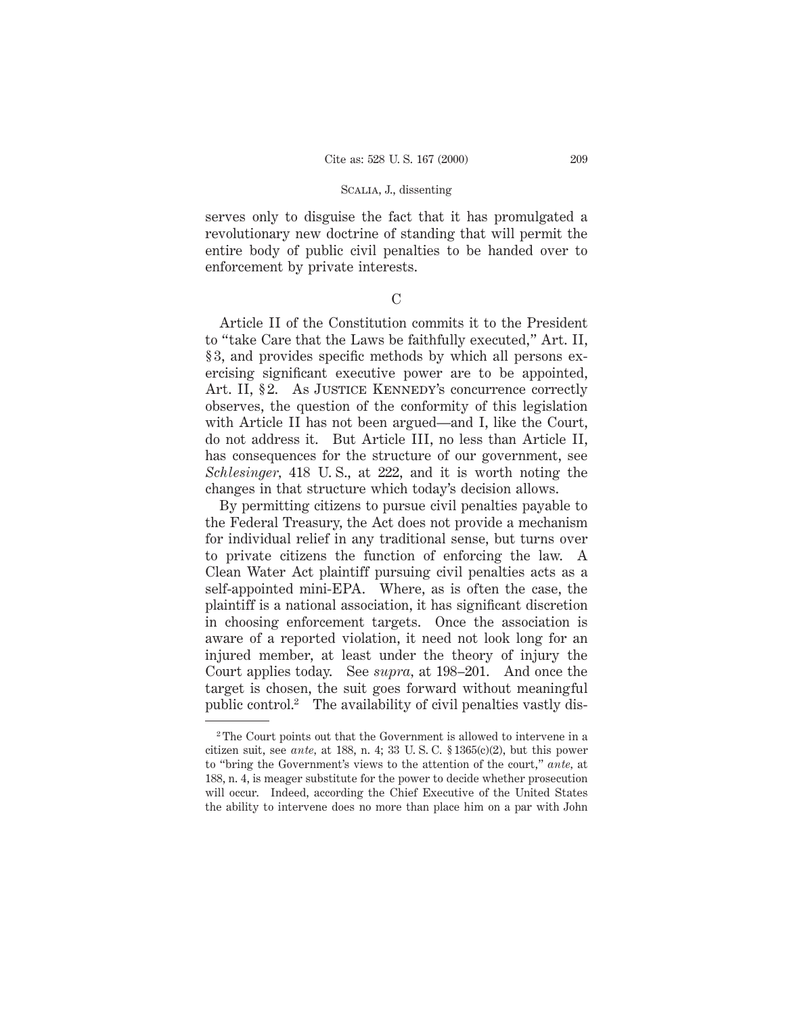## Scalia, J., dissenting

serves only to disguise the fact that it has promulgated a revolutionary new doctrine of standing that will permit the entire body of public civil penalties to be handed over to enforcement by private interests.

 $\mathcal{C}$ 

Article II of the Constitution commits it to the President to "take Care that the Laws be faithfully executed," Art. II, § 3, and provides specific methods by which all persons exercising significant executive power are to be appointed, Art. II, §2. As JUSTICE KENNEDY's concurrence correctly observes, the question of the conformity of this legislation with Article II has not been argued—and I, like the Court, do not address it. But Article III, no less than Article II, has consequences for the structure of our government, see *Schlesinger,* 418 U. S., at 222, and it is worth noting the changes in that structure which today's decision allows.

By permitting citizens to pursue civil penalties payable to the Federal Treasury, the Act does not provide a mechanism for individual relief in any traditional sense, but turns over to private citizens the function of enforcing the law. A Clean Water Act plaintiff pursuing civil penalties acts as a self-appointed mini-EPA. Where, as is often the case, the plaintiff is a national association, it has significant discretion in choosing enforcement targets. Once the association is aware of a reported violation, it need not look long for an injured member, at least under the theory of injury the Court applies today. See *supra,* at 198–201. And once the target is chosen, the suit goes forward without meaningful public control.2 The availability of civil penalties vastly dis-

<sup>2</sup> The Court points out that the Government is allowed to intervene in a citizen suit, see *ante,* at 188, n. 4; 33 U. S. C. § 1365(c)(2), but this power to "bring the Government's views to the attention of the court," *ante,* at 188, n. 4, is meager substitute for the power to decide whether prosecution will occur. Indeed, according the Chief Executive of the United States the ability to intervene does no more than place him on a par with John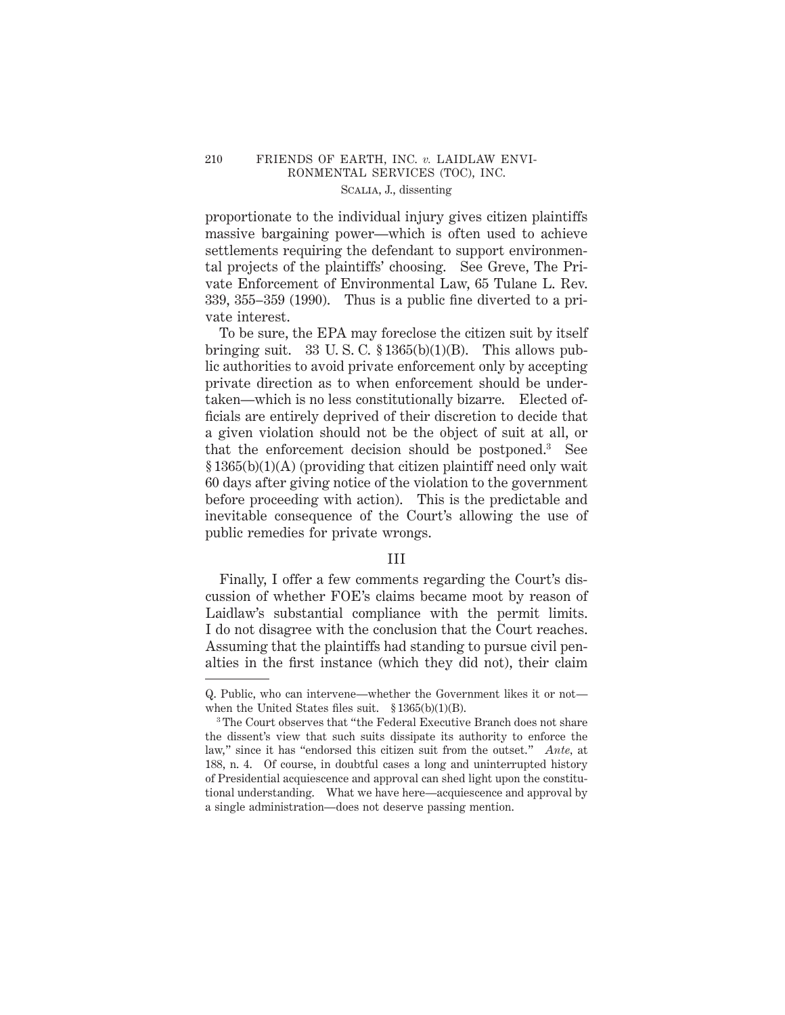# 210 FRIENDS OF EARTH, INC. *v.* LAIDLAW ENVI-RONMENTAL SERVICES (TOC), INC. Scalia, J., dissenting

proportionate to the individual injury gives citizen plaintiffs massive bargaining power—which is often used to achieve settlements requiring the defendant to support environmental projects of the plaintiffs' choosing. See Greve, The Private Enforcement of Environmental Law, 65 Tulane L. Rev. 339, 355–359 (1990). Thus is a public fine diverted to a private interest.

To be sure, the EPA may foreclose the citizen suit by itself bringing suit. 33 U.S.C.  $$1365(b)(1)(B)$ . This allows public authorities to avoid private enforcement only by accepting private direction as to when enforcement should be undertaken—which is no less constitutionally bizarre. Elected officials are entirely deprived of their discretion to decide that a given violation should not be the object of suit at all, or that the enforcement decision should be postponed.3 See § 1365(b)(1)(A) (providing that citizen plaintiff need only wait 60 days after giving notice of the violation to the government before proceeding with action). This is the predictable and inevitable consequence of the Court's allowing the use of public remedies for private wrongs.

#### III

Finally, I offer a few comments regarding the Court's discussion of whether FOE's claims became moot by reason of Laidlaw's substantial compliance with the permit limits. I do not disagree with the conclusion that the Court reaches. Assuming that the plaintiffs had standing to pursue civil penalties in the first instance (which they did not), their claim

Q. Public, who can intervene—whether the Government likes it or not when the United States files suit. § 1365(b)(1)(B).

<sup>3</sup> The Court observes that "the Federal Executive Branch does not share the dissent's view that such suits dissipate its authority to enforce the law," since it has "endorsed this citizen suit from the outset." *Ante,* at 188, n. 4. Of course, in doubtful cases a long and uninterrupted history of Presidential acquiescence and approval can shed light upon the constitutional understanding. What we have here—acquiescence and approval by a single administration—does not deserve passing mention.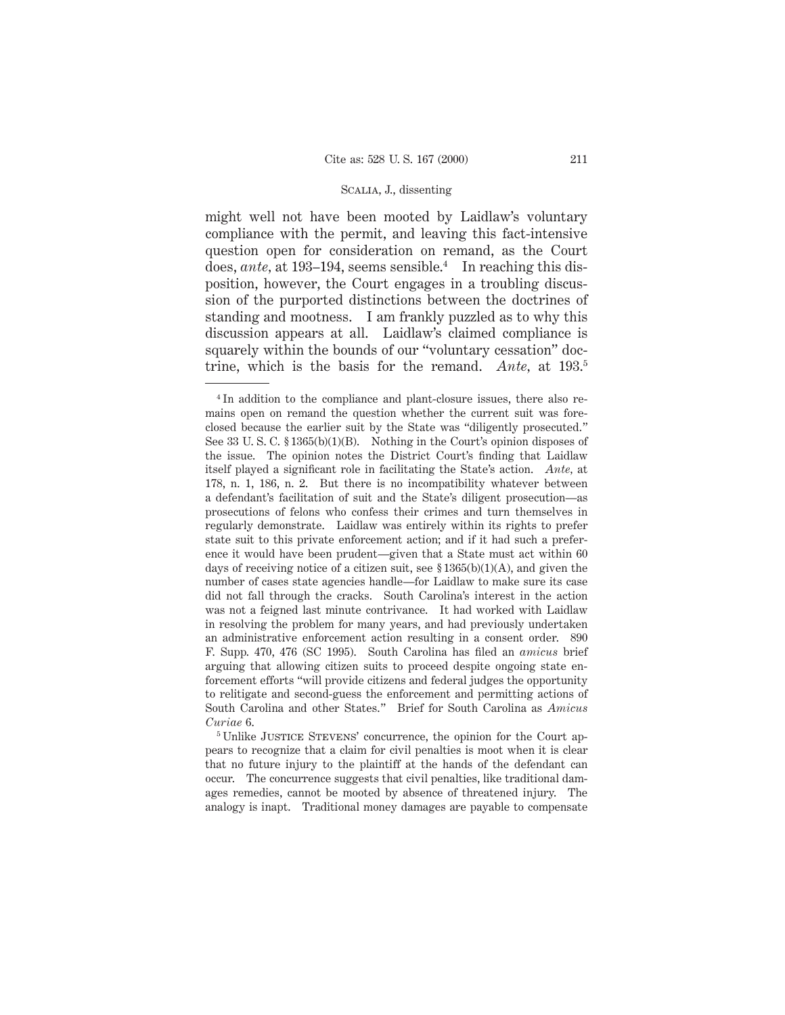### Scalia, J., dissenting

might well not have been mooted by Laidlaw's voluntary compliance with the permit, and leaving this fact-intensive question open for consideration on remand, as the Court does, *ante,* at 193–194, seems sensible.4 In reaching this disposition, however, the Court engages in a troubling discussion of the purported distinctions between the doctrines of standing and mootness. I am frankly puzzled as to why this discussion appears at all. Laidlaw's claimed compliance is squarely within the bounds of our "voluntary cessation" doctrine, which is the basis for the remand. *Ante,* at 193.5

<sup>5</sup> Unlike JUSTICE STEVENS' concurrence, the opinion for the Court appears to recognize that a claim for civil penalties is moot when it is clear that no future injury to the plaintiff at the hands of the defendant can occur. The concurrence suggests that civil penalties, like traditional damages remedies, cannot be mooted by absence of threatened injury. The analogy is inapt. Traditional money damages are payable to compensate

<sup>4</sup> In addition to the compliance and plant-closure issues, there also remains open on remand the question whether the current suit was foreclosed because the earlier suit by the State was "diligently prosecuted." See 33 U. S. C. § 1365(b)(1)(B). Nothing in the Court's opinion disposes of the issue. The opinion notes the District Court's finding that Laidlaw itself played a significant role in facilitating the State's action. *Ante,* at 178, n. 1, 186, n. 2. But there is no incompatibility whatever between a defendant's facilitation of suit and the State's diligent prosecution—as prosecutions of felons who confess their crimes and turn themselves in regularly demonstrate. Laidlaw was entirely within its rights to prefer state suit to this private enforcement action; and if it had such a preference it would have been prudent—given that a State must act within 60 days of receiving notice of a citizen suit, see  $§ 1365(b)(1)(A)$ , and given the number of cases state agencies handle—for Laidlaw to make sure its case did not fall through the cracks. South Carolina's interest in the action was not a feigned last minute contrivance. It had worked with Laidlaw in resolving the problem for many years, and had previously undertaken an administrative enforcement action resulting in a consent order. 890 F. Supp. 470, 476 (SC 1995). South Carolina has filed an *amicus* brief arguing that allowing citizen suits to proceed despite ongoing state enforcement efforts "will provide citizens and federal judges the opportunity to relitigate and second-guess the enforcement and permitting actions of South Carolina and other States." Brief for South Carolina as *Amicus Curiae* 6.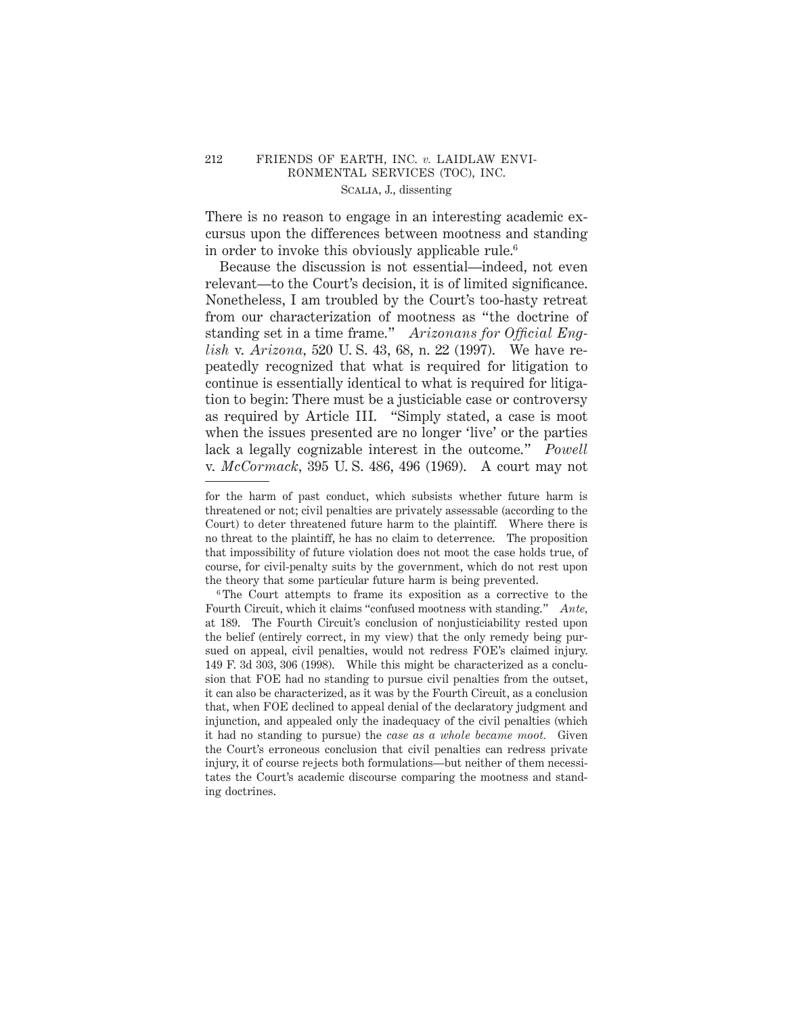# 212 FRIENDS OF EARTH, INC. *v.* LAIDLAW ENVI-RONMENTAL SERVICES (TOC), INC. Scalia, J., dissenting

There is no reason to engage in an interesting academic excursus upon the differences between mootness and standing in order to invoke this obviously applicable rule.<sup>6</sup>

Because the discussion is not essential—indeed, not even relevant—to the Court's decision, it is of limited significance. Nonetheless, I am troubled by the Court's too-hasty retreat from our characterization of mootness as "the doctrine of standing set in a time frame." *Arizonans for Official English* v. *Arizona,* 520 U. S. 43, 68, n. 22 (1997). We have repeatedly recognized that what is required for litigation to continue is essentially identical to what is required for litigation to begin: There must be a justiciable case or controversy as required by Article III. "Simply stated, a case is moot when the issues presented are no longer 'live' or the parties lack a legally cognizable interest in the outcome." *Powell* v. *McCormack,* 395 U. S. 486, 496 (1969). A court may not

<sup>6</sup> The Court attempts to frame its exposition as a corrective to the Fourth Circuit, which it claims "confused mootness with standing." *Ante,* at 189. The Fourth Circuit's conclusion of nonjusticiability rested upon the belief (entirely correct, in my view) that the only remedy being pursued on appeal, civil penalties, would not redress FOE's claimed injury. 149 F. 3d 303, 306 (1998). While this might be characterized as a conclusion that FOE had no standing to pursue civil penalties from the outset, it can also be characterized, as it was by the Fourth Circuit, as a conclusion that, when FOE declined to appeal denial of the declaratory judgment and injunction, and appealed only the inadequacy of the civil penalties (which it had no standing to pursue) the *case as a whole became moot.* Given the Court's erroneous conclusion that civil penalties can redress private injury, it of course rejects both formulations—but neither of them necessitates the Court's academic discourse comparing the mootness and standing doctrines.

for the harm of past conduct, which subsists whether future harm is threatened or not; civil penalties are privately assessable (according to the Court) to deter threatened future harm to the plaintiff. Where there is no threat to the plaintiff, he has no claim to deterrence. The proposition that impossibility of future violation does not moot the case holds true, of course, for civil-penalty suits by the government, which do not rest upon the theory that some particular future harm is being prevented.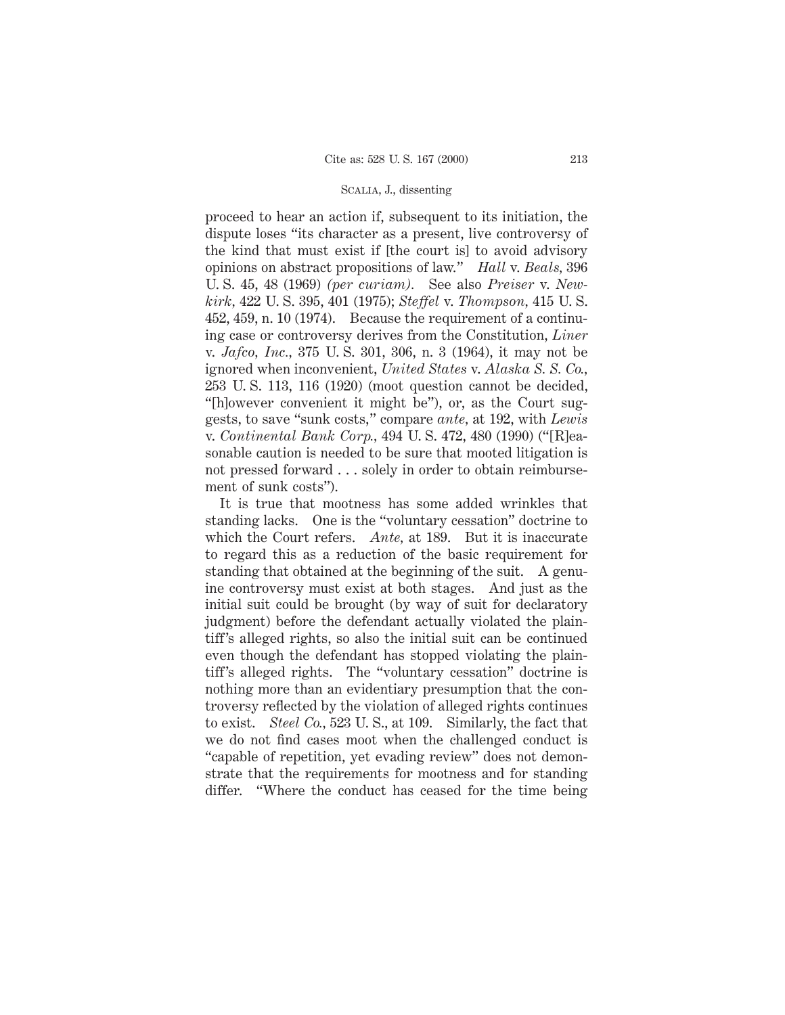### Scalia, J., dissenting

proceed to hear an action if, subsequent to its initiation, the dispute loses "its character as a present, live controversy of the kind that must exist if [the court is] to avoid advisory opinions on abstract propositions of law." *Hall* v. *Beals,* 396 U. S. 45, 48 (1969) *(per curiam).* See also *Preiser* v. *Newkirk,* 422 U. S. 395, 401 (1975); *Steffel* v. *Thompson,* 415 U. S. 452, 459, n. 10 (1974). Because the requirement of a continuing case or controversy derives from the Constitution, *Liner* v. *Jafco, Inc.,* 375 U. S. 301, 306, n. 3 (1964), it may not be ignored when inconvenient, *United States* v. *Alaska S. S. Co.,* 253 U. S. 113, 116 (1920) (moot question cannot be decided, "[h]owever convenient it might be"), or, as the Court suggests, to save "sunk costs," compare *ante,* at 192, with *Lewis* v. *Continental Bank Corp.,* 494 U. S. 472, 480 (1990) ("[R]easonable caution is needed to be sure that mooted litigation is not pressed forward . . . solely in order to obtain reimbursement of sunk costs").

It is true that mootness has some added wrinkles that standing lacks. One is the "voluntary cessation" doctrine to which the Court refers. *Ante,* at 189. But it is inaccurate to regard this as a reduction of the basic requirement for standing that obtained at the beginning of the suit. A genuine controversy must exist at both stages. And just as the initial suit could be brought (by way of suit for declaratory judgment) before the defendant actually violated the plaintiff's alleged rights, so also the initial suit can be continued even though the defendant has stopped violating the plaintiff's alleged rights. The "voluntary cessation" doctrine is nothing more than an evidentiary presumption that the controversy reflected by the violation of alleged rights continues to exist. *Steel Co.,* 523 U. S., at 109. Similarly, the fact that we do not find cases moot when the challenged conduct is "capable of repetition, yet evading review" does not demonstrate that the requirements for mootness and for standing differ. "Where the conduct has ceased for the time being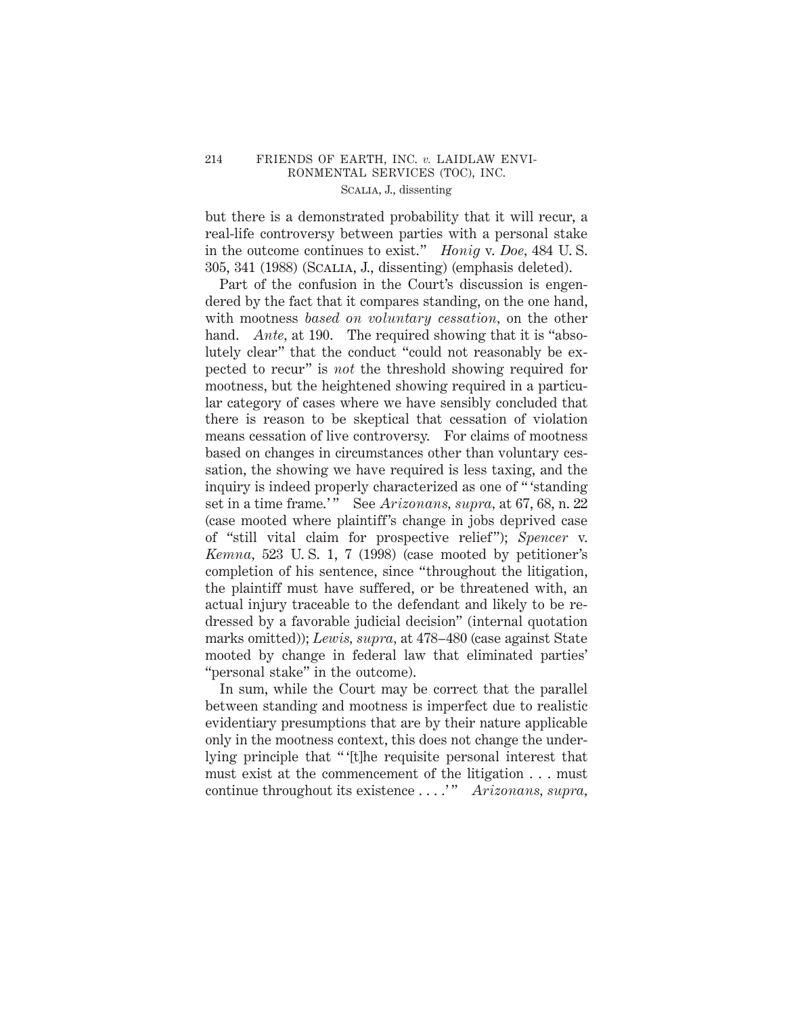# 214 FRIENDS OF EARTH, INC. *v.* LAIDLAW ENVI-RONMENTAL SERVICES (TOC), INC. Scalia, J., dissenting

but there is a demonstrated probability that it will recur, a real-life controversy between parties with a personal stake in the outcome continues to exist." *Honig* v. *Doe,* 484 U. S. 305, 341 (1988) (Scalia, J., dissenting) (emphasis deleted).

Part of the confusion in the Court's discussion is engendered by the fact that it compares standing, on the one hand, with mootness *based on voluntary cessation,* on the other hand. *Ante*, at 190. The required showing that it is "absolutely clear" that the conduct "could not reasonably be expected to recur" is *not* the threshold showing required for mootness, but the heightened showing required in a particular category of cases where we have sensibly concluded that there is reason to be skeptical that cessation of violation means cessation of live controversy. For claims of mootness based on changes in circumstances other than voluntary cessation, the showing we have required is less taxing, and the inquiry is indeed properly characterized as one of " 'standing set in a time frame.'" See *Arizonans, supra,* at 67, 68, n. 22 (case mooted where plaintiff's change in jobs deprived case of "still vital claim for prospective relief"); *Spencer* v. *Kemna,* 523 U. S. 1, 7 (1998) (case mooted by petitioner's completion of his sentence, since "throughout the litigation, the plaintiff must have suffered, or be threatened with, an actual injury traceable to the defendant and likely to be redressed by a favorable judicial decision" (internal quotation marks omitted)); *Lewis, supra,* at 478–480 (case against State mooted by change in federal law that eliminated parties' "personal stake" in the outcome).

In sum, while the Court may be correct that the parallel between standing and mootness is imperfect due to realistic evidentiary presumptions that are by their nature applicable only in the mootness context, this does not change the underlying principle that " '[t]he requisite personal interest that must exist at the commencement of the litigation . . . must continue throughout its existence . . . .' " *Arizonans, supra,*